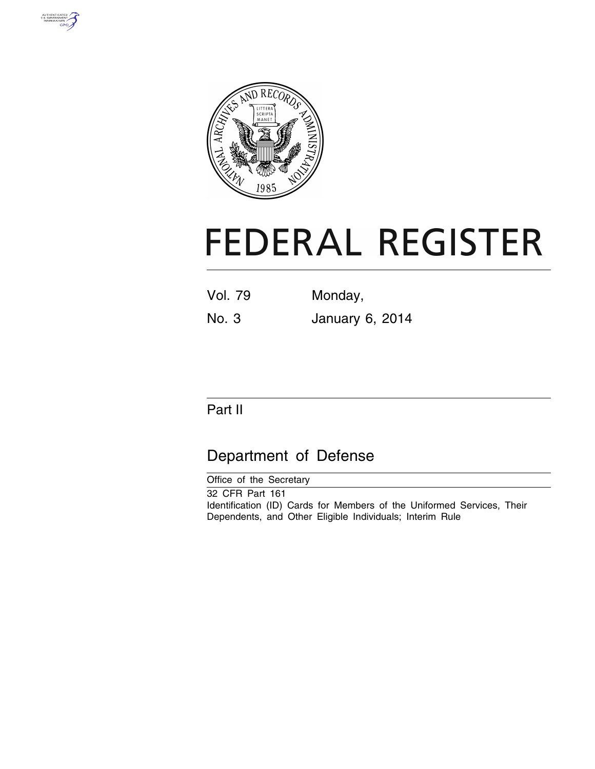



# **FEDERAL REGISTER**

| Vol. 79 | Monday, |
|---------|---------|
|         |         |

No. 3 January 6, 2014

## Part II

## Department of Defense

| Office of the Secretary                                                |
|------------------------------------------------------------------------|
| 32 CFR Part 161                                                        |
| Identification (ID) Cards for Members of the Uniformed Services, Their |
| Dependents, and Other Eligible Individuals; Interim Rule               |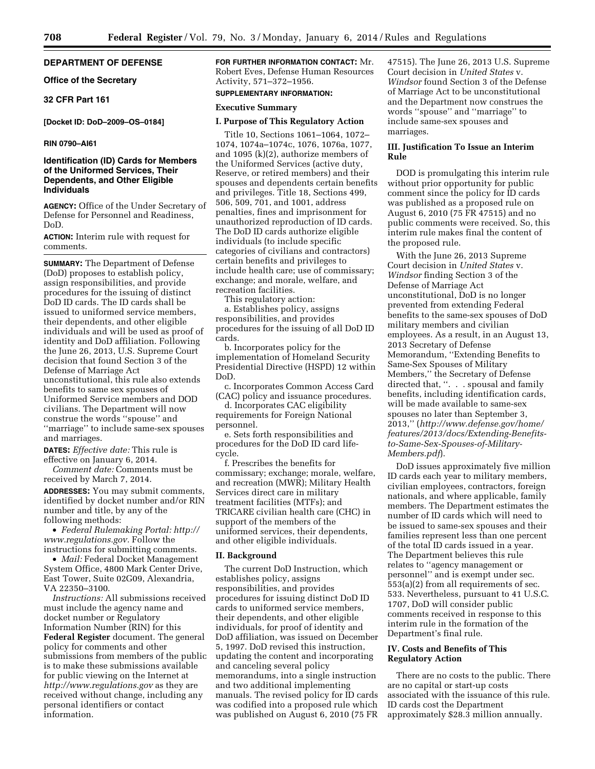#### **DEPARTMENT OF DEFENSE**

**Office of the Secretary** 

**32 CFR Part 161** 

#### **[Docket ID: DoD–2009–OS–0184]**

#### **RIN 0790–AI61**

#### **Identification (ID) Cards for Members of the Uniformed Services, Their Dependents, and Other Eligible Individuals**

**AGENCY:** Office of the Under Secretary of Defense for Personnel and Readiness, DoD.

**ACTION:** Interim rule with request for comments.

**SUMMARY:** The Department of Defense (DoD) proposes to establish policy, assign responsibilities, and provide procedures for the issuing of distinct DoD ID cards. The ID cards shall be issued to uniformed service members, their dependents, and other eligible individuals and will be used as proof of identity and DoD affiliation. Following the June 26, 2013, U.S. Supreme Court decision that found Section 3 of the Defense of Marriage Act unconstitutional, this rule also extends benefits to same sex spouses of Uniformed Service members and DOD civilians. The Department will now construe the words ''spouse'' and ''marriage'' to include same-sex spouses and marriages.

**DATES:** *Effective date:* This rule is effective on January 6, 2014.

*Comment date:* Comments must be received by March 7, 2014.

**ADDRESSES:** You may submit comments, identified by docket number and/or RIN number and title, by any of the following methods:

• *Federal Rulemaking Portal: http:// www.regulations.gov.* Follow the instructions for submitting comments.

• *Mail:* Federal Docket Management System Office, 4800 Mark Center Drive, East Tower, Suite 02G09, Alexandria, VA 22350–3100.

*Instructions:* All submissions received must include the agency name and docket number or Regulatory Information Number (RIN) for this **Federal Register** document. The general policy for comments and other submissions from members of the public is to make these submissions available for public viewing on the Internet at *http://www.regulations.gov* as they are received without change, including any personal identifiers or contact information.

**FOR FURTHER INFORMATION CONTACT:** Mr. Robert Eves, Defense Human Resources Activity, 571–372–1956.

#### **SUPPLEMENTARY INFORMATION:**

#### **Executive Summary**

#### **I. Purpose of This Regulatory Action**

Title 10, Sections 1061–1064, 1072– 1074, 1074a–1074c, 1076, 1076a, 1077, and 1095 (k)(2), authorize members of the Uniformed Services (active duty, Reserve, or retired members) and their spouses and dependents certain benefits and privileges. Title 18, Sections 499, 506, 509, 701, and 1001, address penalties, fines and imprisonment for unauthorized reproduction of ID cards. The DoD ID cards authorize eligible individuals (to include specific categories of civilians and contractors) certain benefits and privileges to include health care; use of commissary; exchange; and morale, welfare, and recreation facilities.

This regulatory action:

a. Establishes policy, assigns responsibilities, and provides procedures for the issuing of all DoD ID cards.

b. Incorporates policy for the implementation of Homeland Security Presidential Directive (HSPD) 12 within DoD.

c. Incorporates Common Access Card (CAC) policy and issuance procedures.

d. Incorporates CAC eligibility requirements for Foreign National personnel.

e. Sets forth responsibilities and procedures for the DoD ID card lifecycle.

f. Prescribes the benefits for commissary; exchange; morale, welfare, and recreation (MWR); Military Health Services direct care in military treatment facilities (MTFs); and TRICARE civilian health care (CHC) in support of the members of the uniformed services, their dependents, and other eligible individuals.

#### **II. Background**

The current DoD Instruction, which establishes policy, assigns responsibilities, and provides procedures for issuing distinct DoD ID cards to uniformed service members, their dependents, and other eligible individuals, for proof of identity and DoD affiliation, was issued on December 5, 1997. DoD revised this instruction, updating the content and incorporating and canceling several policy memorandums, into a single instruction and two additional implementing manuals. The revised policy for ID cards was codified into a proposed rule which was published on August 6, 2010 (75 FR 47515). The June 26, 2013 U.S. Supreme Court decision in *United States* v. *Windsor* found Section 3 of the Defense of Marriage Act to be unconstitutional and the Department now construes the words ''spouse'' and ''marriage'' to include same-sex spouses and marriages.

#### **III. Justification To Issue an Interim Rule**

DOD is promulgating this interim rule without prior opportunity for public comment since the policy for ID cards was published as a proposed rule on August 6, 2010 (75 FR 47515) and no public comments were received. So, this interim rule makes final the content of the proposed rule.

With the June 26, 2013 Supreme Court decision in *United States* v. *Windsor* finding Section 3 of the Defense of Marriage Act unconstitutional, DoD is no longer prevented from extending Federal benefits to the same-sex spouses of DoD military members and civilian employees. As a result, in an August 13, 2013 Secretary of Defense Memorandum, ''Extending Benefits to Same-Sex Spouses of Military Members,'' the Secretary of Defense directed that, ". . . spousal and family benefits, including identification cards, will be made available to same-sex spouses no later than September 3, 2013,'' (*http://www.defense.gov/home/ features/2013/docs/Extending-Benefitsto-Same-Sex-Spouses-of-Military-Members.pdf*).

DoD issues approximately five million ID cards each year to military members, civilian employees, contractors, foreign nationals, and where applicable, family members. The Department estimates the number of ID cards which will need to be issued to same-sex spouses and their families represent less than one percent of the total ID cards issued in a year. The Department believes this rule relates to ''agency management or personnel'' and is exempt under sec. 553(a)(2) from all requirements of sec. 533. Nevertheless, pursuant to 41 U.S.C. 1707, DoD will consider public comments received in response to this interim rule in the formation of the Department's final rule.

#### **IV. Costs and Benefits of This Regulatory Action**

There are no costs to the public. There are no capital or start-up costs associated with the issuance of this rule. ID cards cost the Department approximately \$28.3 million annually.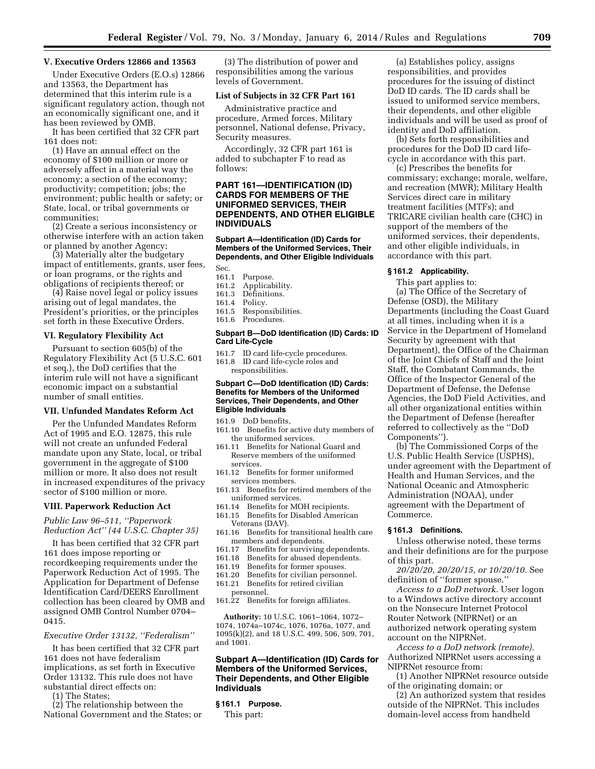#### **V. Executive Orders 12866 and 13563**

Under Executive Orders (E.O.s) 12866 and 13563, the Department has determined that this interim rule is a significant regulatory action, though not an economically significant one, and it has been reviewed by OMB.

It has been certified that 32 CFR part 161 does not:

(1) Have an annual effect on the economy of \$100 million or more or adversely affect in a material way the economy; a section of the economy; productivity; competition; jobs; the environment; public health or safety; or State, local, or tribal governments or communities;

(2) Create a serious inconsistency or otherwise interfere with an action taken or planned by another Agency;

(3) Materially alter the budgetary impact of entitlements, grants, user fees, or loan programs, or the rights and obligations of recipients thereof; or

(4) Raise novel legal or policy issues arising out of legal mandates, the President's priorities, or the principles set forth in these Executive Orders.

#### **VI. Regulatory Flexibility Act**

Pursuant to section 605(b) of the Regulatory Flexibility Act (5 U.S.C. 601 et seq.), the DoD certifies that the interim rule will not have a significant economic impact on a substantial number of small entities.

#### **VII. Unfunded Mandates Reform Act**

Per the Unfunded Mandates Reform Act of 1995 and E.O. 12875, this rule will not create an unfunded Federal mandate upon any State, local, or tribal government in the aggregate of \$100 million or more. It also does not result in increased expenditures of the privacy sector of \$100 million or more.

#### **VIII. Paperwork Reduction Act**

*Public Law 96–511, ''Paperwork Reduction Act'' (44 U.S.C. Chapter 35)* 

It has been certified that 32 CFR part 161 does impose reporting or recordkeeping requirements under the Paperwork Reduction Act of 1995. The Application for Department of Defense Identification Card/DEERS Enrollment collection has been cleared by OMB and assigned OMB Control Number 0704– 0415.

#### *Executive Order 13132, ''Federalism''*

It has been certified that 32 CFR part 161 does not have federalism implications, as set forth in Executive Order 13132. This rule does not have substantial direct effects on:

(1) The States;

(2) The relationship between the National Government and the States; or

(3) The distribution of power and responsibilities among the various levels of Government.

#### **List of Subjects in 32 CFR Part 161**

Administrative practice and procedure, Armed forces, Military personnel, National defense, Privacy, Security measures.

Accordingly, 32 CFR part 161 is added to subchapter F to read as follows:

#### **PART 161—IDENTIFICATION (ID) CARDS FOR MEMBERS OF THE UNIFORMED SERVICES, THEIR DEPENDENTS, AND OTHER ELIGIBLE INDIVIDUALS**

#### **Subpart A—Identification (ID) Cards for Members of the Uniformed Services, Their Dependents, and Other Eligible Individuals**

- Sec.<br>161.1
- Purpose.
- 161.2 Applicability.
- 161.3 Definitions.<br>161.4 Policy. Policy.
- 161.5 Responsibilities.
- 161.6 Procedures.

#### **Subpart B—DoD Identification (ID) Cards: ID Card Life-Cycle**

161.7 ID card life-cycle procedures.

161.8 ID card life-cycle roles and responsibilities.

#### **Subpart C—DoD Identification (ID) Cards: Benefits for Members of the Uniformed Services, Their Dependents, and Other Eligible Individuals**

- 161.9 DoD benefits,
- 161.10 Benefits for active duty members of the uniformed services.
- 161.11 Benefits for National Guard and Reserve members of the uniformed services.
- 161.12 Benefits for former uniformed services members.
- 161.13 Benefits for retired members of the uniformed services.<br>161.14 Benefits for MO
- Benefits for MOH recipients.
- 161.15 Benefits for Disabled American Veterans (DAV).
- 161.16 Benefits for transitional health care members and dependents.<br>161.17 Benefits for surviving
- Benefits for surviving dependents.
- 161.18 Benefits for abused dependents.<br>161.19 Benefits for former spouses.
- 161.19 Benefits for former spouses.<br>161.20 Benefits for civilian personr
- Benefits for civilian personnel.
- 161.21 Benefits for retired civilian
- personnel. 161.22 Benefits for foreign affiliates.

**Authority:** 10 U.S.C. 1061–1064, 1072– 1074, 1074a–1074c, 1076, 1076a, 1077, and 1095(k)(2), and 18 U.S.C. 499, 506, 509, 701, and 1001.

#### **Subpart A—Identification (ID) Cards for Members of the Uniformed Services, Their Dependents, and Other Eligible Individuals**

#### **§ 161.1 Purpose.**

This part:

(a) Establishes policy, assigns responsibilities, and provides procedures for the issuing of distinct DoD ID cards. The ID cards shall be issued to uniformed service members, their dependents, and other eligible individuals and will be used as proof of identity and DoD affiliation.

(b) Sets forth responsibilities and procedures for the DoD ID card lifecycle in accordance with this part.

(c) Prescribes the benefits for commissary; exchange; morale, welfare, and recreation (MWR); Military Health Services direct care in military treatment facilities (MTFs); and TRICARE civilian health care (CHC) in support of the members of the uniformed services, their dependents, and other eligible individuals, in accordance with this part.

#### **§ 161.2 Applicability.**

This part applies to:

(a) The Office of the Secretary of Defense (OSD), the Military Departments (including the Coast Guard at all times, including when it is a Service in the Department of Homeland Security by agreement with that Department), the Office of the Chairman of the Joint Chiefs of Staff and the Joint Staff, the Combatant Commands, the Office of the Inspector General of the Department of Defense, the Defense Agencies, the DoD Field Activities, and all other organizational entities within the Department of Defense (hereafter referred to collectively as the ''DoD Components'').

(b) The Commissioned Corps of the U.S. Public Health Service (USPHS), under agreement with the Department of Health and Human Services, and the National Oceanic and Atmospheric Administration (NOAA), under agreement with the Department of Commerce.

#### **§ 161.3 Definitions.**

Unless otherwise noted, these terms and their definitions are for the purpose of this part.

*20/20/20, 20/20/15, or 10/20/10.* See definition of ''former spouse.''

*Access to a DoD network.* User logon to a Windows active directory account on the Nonsecure Internet Protocol Router Network (NIPRNet) or an authorized network operating system account on the NIPRNet.

*Access to a DoD network (remote).*  Authorized NIPRNet users accessing a NIPRNet resource from:

(1) Another NIPRNet resource outside of the originating domain; or

(2) An authorized system that resides outside of the NIPRNet. This includes domain-level access from handheld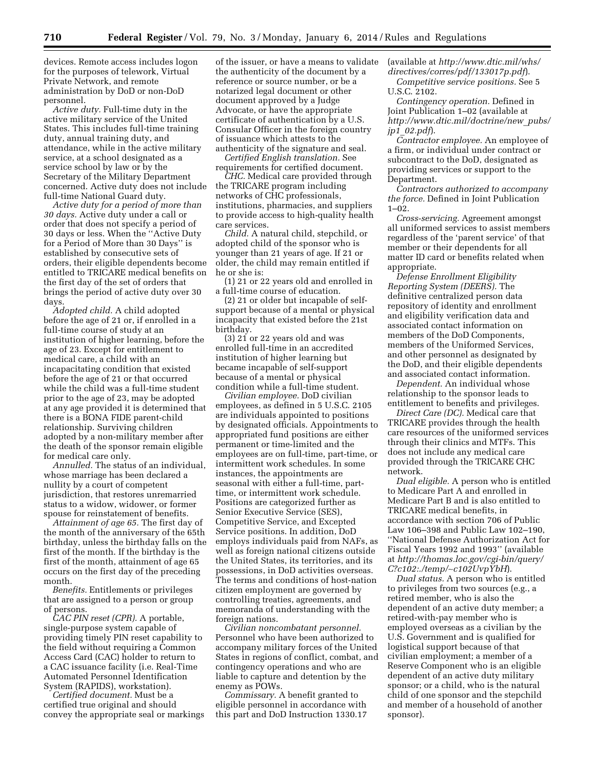devices. Remote access includes logon for the purposes of telework, Virtual Private Network, and remote administration by DoD or non-DoD personnel.

*Active duty.* Full-time duty in the active military service of the United States. This includes full-time training duty, annual training duty, and attendance, while in the active military service, at a school designated as a service school by law or by the Secretary of the Military Department concerned. Active duty does not include full-time National Guard duty.

*Active duty for a period of more than 30 days.* Active duty under a call or order that does not specify a period of 30 days or less. When the ''Active Duty for a Period of More than 30 Days'' is established by consecutive sets of orders, their eligible dependents become entitled to TRICARE medical benefits on the first day of the set of orders that brings the period of active duty over 30 days.

*Adopted child.* A child adopted before the age of 21 or, if enrolled in a full-time course of study at an institution of higher learning, before the age of 23. Except for entitlement to medical care, a child with an incapacitating condition that existed before the age of 21 or that occurred while the child was a full-time student prior to the age of 23, may be adopted at any age provided it is determined that there is a BONA FIDE parent-child relationship. Surviving children adopted by a non-military member after the death of the sponsor remain eligible for medical care only.

*Annulled.* The status of an individual, whose marriage has been declared a nullity by a court of competent jurisdiction, that restores unremarried status to a widow, widower, or former spouse for reinstatement of benefits.

*Attainment of age 65.* The first day of the month of the anniversary of the 65th birthday, unless the birthday falls on the first of the month. If the birthday is the first of the month, attainment of age 65 occurs on the first day of the preceding month.

*Benefits.* Entitlements or privileges that are assigned to a person or group of persons.

*CAC PIN reset (CPR).* A portable, single-purpose system capable of providing timely PIN reset capability to the field without requiring a Common Access Card (CAC) holder to return to a CAC issuance facility (i.e. Real-Time Automated Personnel Identification System (RAPIDS), workstation).

*Certified document.* Must be a certified true original and should convey the appropriate seal or markings

of the issuer, or have a means to validate the authenticity of the document by a reference or source number, or be a notarized legal document or other document approved by a Judge Advocate, or have the appropriate certificate of authentication by a U.S. Consular Officer in the foreign country of issuance which attests to the authenticity of the signature and seal.

*Certified English translation.* See requirements for certified document.

*CHC.* Medical care provided through the TRICARE program including networks of CHC professionals, institutions, pharmacies, and suppliers to provide access to high-quality health care services.

*Child.* A natural child, stepchild, or adopted child of the sponsor who is younger than 21 years of age. If 21 or older, the child may remain entitled if he or she is:

(1) 21 or 22 years old and enrolled in a full-time course of education.

(2) 21 or older but incapable of selfsupport because of a mental or physical incapacity that existed before the 21st birthday.

(3) 21 or 22 years old and was enrolled full-time in an accredited institution of higher learning but became incapable of self-support because of a mental or physical condition while a full-time student.

*Civilian employee.* DoD civilian employees, as defined in 5 U.S.C. 2105 are individuals appointed to positions by designated officials. Appointments to appropriated fund positions are either permanent or time-limited and the employees are on full-time, part-time, or intermittent work schedules. In some instances, the appointments are seasonal with either a full-time, parttime, or intermittent work schedule. Positions are categorized further as Senior Executive Service (SES), Competitive Service, and Excepted Service positions. In addition, DoD employs individuals paid from NAFs, as well as foreign national citizens outside the United States, its territories, and its possessions, in DoD activities overseas. The terms and conditions of host-nation citizen employment are governed by controlling treaties, agreements, and memoranda of understanding with the foreign nations.

*Civilian noncombatant personnel.*  Personnel who have been authorized to accompany military forces of the United States in regions of conflict, combat, and contingency operations and who are liable to capture and detention by the enemy as POWs.

*Commissary.* A benefit granted to eligible personnel in accordance with this part and DoD Instruction 1330.17 (available at *http://www.dtic.mil/whs/ directives/corres/pdf/133017p.pdf*). *Competitive service positions.* See 5

U.S.C. 2102. *Contingency operation.* Defined in Joint Publication 1–02 (available at *http://www.dtic.mil/doctrine/new*\_*pubs/ jp1*\_*02.pdf*).

*Contractor employee.* An employee of a firm, or individual under contract or subcontract to the DoD, designated as providing services or support to the Department.

*Contractors authorized to accompany the force.* Defined in Joint Publication  $1 - 0.2$ .

*Cross-servicing.* Agreement amongst all uniformed services to assist members regardless of the 'parent service' of that member or their dependents for all matter ID card or benefits related when appropriate.

*Defense Enrollment Eligibility Reporting System (DEERS).* The definitive centralized person data repository of identity and enrollment and eligibility verification data and associated contact information on members of the DoD Components, members of the Uniformed Services, and other personnel as designated by the DoD, and their eligible dependents and associated contact information.

*Dependent.* An individual whose relationship to the sponsor leads to entitlement to benefits and privileges.

*Direct Care (DC).* Medical care that TRICARE provides through the health care resources of the uniformed services through their clinics and MTFs. This does not include any medical care provided through the TRICARE CHC network.

*Dual eligible.* A person who is entitled to Medicare Part A and enrolled in Medicare Part B and is also entitled to TRICARE medical benefits, in accordance with section 706 of Public Law 106–398 and Public Law 102–190, ''National Defense Authorization Act for Fiscal Years 1992 and 1993'' (available at *http://thomas.loc.gov/cgi-bin/query/ C?c102:./temp/*∼*c102UvpYbH*).

*Dual status.* A person who is entitled to privileges from two sources (e.g., a retired member, who is also the dependent of an active duty member; a retired-with-pay member who is employed overseas as a civilian by the U.S. Government and is qualified for logistical support because of that civilian employment; a member of a Reserve Component who is an eligible dependent of an active duty military sponsor; or a child, who is the natural child of one sponsor and the stepchild and member of a household of another sponsor).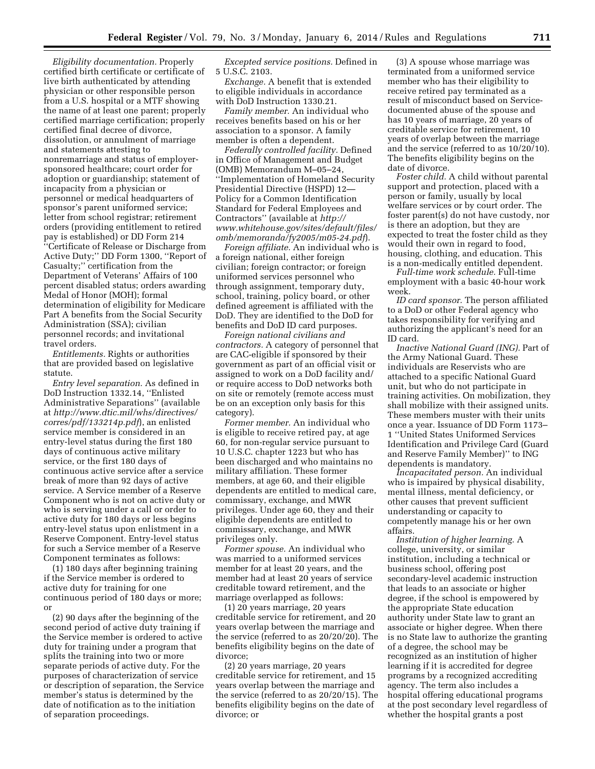*Eligibility documentation.* Properly certified birth certificate or certificate of live birth authenticated by attending physician or other responsible person from a U.S. hospital or a MTF showing the name of at least one parent; properly certified marriage certification; properly certified final decree of divorce, dissolution, or annulment of marriage and statements attesting to nonremarriage and status of employersponsored healthcare; court order for adoption or guardianship; statement of incapacity from a physician or personnel or medical headquarters of sponsor's parent uniformed service; letter from school registrar; retirement orders (providing entitlement to retired pay is established) or DD Form 214 ''Certificate of Release or Discharge from Active Duty;'' DD Form 1300, ''Report of Casualty;'' certification from the Department of Veterans' Affairs of 100 percent disabled status; orders awarding Medal of Honor (MOH); formal determination of eligibility for Medicare Part A benefits from the Social Security Administration (SSA); civilian personnel records; and invitational travel orders.

*Entitlements.* Rights or authorities that are provided based on legislative statute.

*Entry level separation.* As defined in DoD Instruction 1332.14, ''Enlisted Administrative Separations'' (available at *http://www.dtic.mil/whs/directives/ corres/pdf/133214p.pdf*), an enlisted service member is considered in an entry-level status during the first 180 days of continuous active military service, or the first 180 days of continuous active service after a service break of more than 92 days of active service. A Service member of a Reserve Component who is not on active duty or who is serving under a call or order to active duty for 180 days or less begins entry-level status upon enlistment in a Reserve Component. Entry-level status for such a Service member of a Reserve Component terminates as follows:

(1) 180 days after beginning training if the Service member is ordered to active duty for training for one continuous period of 180 days or more; or

(2) 90 days after the beginning of the second period of active duty training if the Service member is ordered to active duty for training under a program that splits the training into two or more separate periods of active duty. For the purposes of characterization of service or description of separation, the Service member's status is determined by the date of notification as to the initiation of separation proceedings.

*Excepted service positions.* Defined in 5 U.S.C. 2103.

*Exchange.* A benefit that is extended to eligible individuals in accordance with DoD Instruction 1330.21.

*Family member.* An individual who receives benefits based on his or her association to a sponsor. A family member is often a dependent.

*Federally controlled facility.* Defined in Office of Management and Budget (OMB) Memorandum M–05–24, ''Implementation of Homeland Security Presidential Directive (HSPD) 12— Policy for a Common Identification Standard for Federal Employees and Contractors'' (available at *http:// www.whitehouse.gov/sites/default/files/ omb/memoranda/fy2005/m05-24.pdf*).

*Foreign affiliate.* An individual who is a foreign national, either foreign civilian; foreign contractor; or foreign uniformed services personnel who through assignment, temporary duty, school, training, policy board, or other defined agreement is affiliated with the DoD. They are identified to the DoD for benefits and DoD ID card purposes.

*Foreign national civilians and contractors.* A category of personnel that are CAC-eligible if sponsored by their government as part of an official visit or assigned to work on a DoD facility and/ or require access to DoD networks both on site or remotely (remote access must be on an exception only basis for this category).

*Former member.* An individual who is eligible to receive retired pay, at age 60, for non-regular service pursuant to 10 U.S.C. chapter 1223 but who has been discharged and who maintains no military affiliation. These former members, at age 60, and their eligible dependents are entitled to medical care, commissary, exchange, and MWR privileges. Under age 60, they and their eligible dependents are entitled to commissary, exchange, and MWR privileges only.

*Former spouse.* An individual who was married to a uniformed services member for at least 20 years, and the member had at least 20 years of service creditable toward retirement, and the marriage overlapped as follows:

(1) 20 years marriage, 20 years creditable service for retirement, and 20 years overlap between the marriage and the service (referred to as 20/20/20). The benefits eligibility begins on the date of divorce;

(2) 20 years marriage, 20 years creditable service for retirement, and 15 years overlap between the marriage and the service (referred to as 20/20/15). The benefits eligibility begins on the date of divorce; or

(3) A spouse whose marriage was terminated from a uniformed service member who has their eligibility to receive retired pay terminated as a result of misconduct based on Servicedocumented abuse of the spouse and has 10 years of marriage, 20 years of creditable service for retirement, 10 years of overlap between the marriage and the service (referred to as 10/20/10). The benefits eligibility begins on the date of divorce.

*Foster child.* A child without parental support and protection, placed with a person or family, usually by local welfare services or by court order. The foster parent(s) do not have custody, nor is there an adoption, but they are expected to treat the foster child as they would their own in regard to food, housing, clothing, and education. This is a non-medically entitled dependent.

*Full-time work schedule.* Full-time employment with a basic 40-hour work week.

*ID card sponsor.* The person affiliated to a DoD or other Federal agency who takes responsibility for verifying and authorizing the applicant's need for an ID card.

*Inactive National Guard (ING).* Part of the Army National Guard. These individuals are Reservists who are attached to a specific National Guard unit, but who do not participate in training activities. On mobilization, they shall mobilize with their assigned units. These members muster with their units once a year. Issuance of DD Form 1173– 1 ''United States Uniformed Services Identification and Privilege Card (Guard and Reserve Family Member)'' to ING dependents is mandatory.

*Incapacitated person.* An individual who is impaired by physical disability, mental illness, mental deficiency, or other causes that prevent sufficient understanding or capacity to competently manage his or her own affairs.

*Institution of higher learning.* A college, university, or similar institution, including a technical or business school, offering post secondary-level academic instruction that leads to an associate or higher degree, if the school is empowered by the appropriate State education authority under State law to grant an associate or higher degree. When there is no State law to authorize the granting of a degree, the school may be recognized as an institution of higher learning if it is accredited for degree programs by a recognized accrediting agency. The term also includes a hospital offering educational programs at the post secondary level regardless of whether the hospital grants a post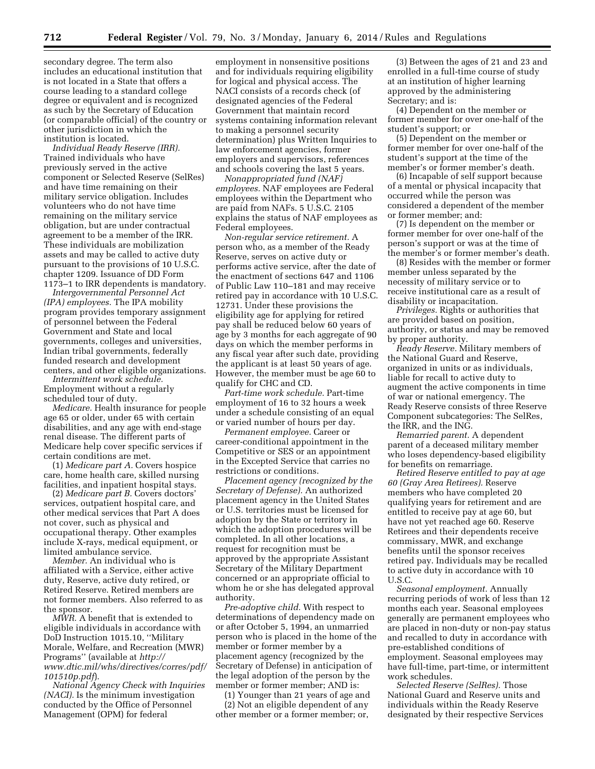secondary degree. The term also includes an educational institution that is not located in a State that offers a course leading to a standard college degree or equivalent and is recognized as such by the Secretary of Education (or comparable official) of the country or other jurisdiction in which the institution is located.

*Individual Ready Reserve (IRR).*  Trained individuals who have previously served in the active component or Selected Reserve (SelRes) and have time remaining on their military service obligation. Includes volunteers who do not have time remaining on the military service obligation, but are under contractual agreement to be a member of the IRR. These individuals are mobilization assets and may be called to active duty pursuant to the provisions of 10 U.S.C. chapter 1209. Issuance of DD Form 1173–1 to IRR dependents is mandatory.

*Intergovernmental Personnel Act (IPA) employees.* The IPA mobility program provides temporary assignment of personnel between the Federal Government and State and local governments, colleges and universities, Indian tribal governments, federally funded research and development centers, and other eligible organizations.

*Intermittent work schedule.*  Employment without a regularly scheduled tour of duty.

*Medicare.* Health insurance for people age 65 or older, under 65 with certain disabilities, and any age with end-stage renal disease. The different parts of Medicare help cover specific services if certain conditions are met.

(1) *Medicare part A.* Covers hospice care, home health care, skilled nursing facilities, and inpatient hospital stays.

(2) *Medicare part B.* Covers doctors' services, outpatient hospital care, and other medical services that Part A does not cover, such as physical and occupational therapy. Other examples include X-rays, medical equipment, or limited ambulance service.

*Member.* An individual who is affiliated with a Service, either active duty, Reserve, active duty retired, or Retired Reserve. Retired members are not former members. Also referred to as the sponsor.

*MWR.* A benefit that is extended to eligible individuals in accordance with DoD Instruction 1015.10, ''Military Morale, Welfare, and Recreation (MWR) Programs'' (available at *http:// www.dtic.mil/whs/directives/corres/pdf/ 101510p.pdf*).

*National Agency Check with Inquiries (NACI).* Is the minimum investigation conducted by the Office of Personnel Management (OPM) for federal

employment in nonsensitive positions and for individuals requiring eligibility for logical and physical access. The NACI consists of a records check (of designated agencies of the Federal Government that maintain record systems containing information relevant to making a personnel security determination) plus Written Inquiries to law enforcement agencies, former employers and supervisors, references and schools covering the last 5 years.

*Nonappropriated fund (NAF) employees.* NAF employees are Federal employees within the Department who are paid from NAFs. 5 U.S.C. 2105 explains the status of NAF employees as Federal employees.

*Non-regular service retirement.* A person who, as a member of the Ready Reserve, serves on active duty or performs active service, after the date of the enactment of sections 647 and 1106 of Public Law 110–181 and may receive retired pay in accordance with 10 U.S.C. 12731. Under these provisions the eligibility age for applying for retired pay shall be reduced below 60 years of age by 3 months for each aggregate of 90 days on which the member performs in any fiscal year after such date, providing the applicant is at least 50 years of age. However, the member must be age 60 to qualify for CHC and CD.

*Part-time work schedule.* Part-time employment of 16 to 32 hours a week under a schedule consisting of an equal or varied number of hours per day.

*Permanent employee.* Career or career-conditional appointment in the Competitive or SES or an appointment in the Excepted Service that carries no restrictions or conditions.

*Placement agency (recognized by the Secretary of Defense).* An authorized placement agency in the United States or U.S. territories must be licensed for adoption by the State or territory in which the adoption procedures will be completed. In all other locations, a request for recognition must be approved by the appropriate Assistant Secretary of the Military Department concerned or an appropriate official to whom he or she has delegated approval authority.

*Pre-adoptive child.* With respect to determinations of dependency made on or after October 5, 1994, an unmarried person who is placed in the home of the member or former member by a placement agency (recognized by the Secretary of Defense) in anticipation of the legal adoption of the person by the member or former member; AND is:

(1) Younger than 21 years of age and (2) Not an eligible dependent of any other member or a former member; or,

(3) Between the ages of 21 and 23 and enrolled in a full-time course of study at an institution of higher learning approved by the administering Secretary; and is:

(4) Dependent on the member or former member for over one-half of the student's support; or

(5) Dependent on the member or former member for over one-half of the student's support at the time of the member's or former member's death.

(6) Incapable of self support because of a mental or physical incapacity that occurred while the person was considered a dependent of the member or former member; and:

(7) Is dependent on the member or former member for over one-half of the person's support or was at the time of the member's or former member's death.

(8) Resides with the member or former member unless separated by the necessity of military service or to receive institutional care as a result of disability or incapacitation.

*Privileges.* Rights or authorities that are provided based on position, authority, or status and may be removed by proper authority.

*Ready Reserve.* Military members of the National Guard and Reserve, organized in units or as individuals, liable for recall to active duty to augment the active components in time of war or national emergency. The Ready Reserve consists of three Reserve Component subcategories: The SelRes, the IRR, and the ING.

*Remarried parent.* A dependent parent of a deceased military member who loses dependency-based eligibility for benefits on remarriage.

*Retired Reserve entitled to pay at age 60 (Gray Area Retirees).* Reserve members who have completed 20 qualifying years for retirement and are entitled to receive pay at age 60, but have not yet reached age 60. Reserve Retirees and their dependents receive commissary, MWR, and exchange benefits until the sponsor receives retired pay. Individuals may be recalled to active duty in accordance with 10 U.S.C.

*Seasonal employment.* Annually recurring periods of work of less than 12 months each year. Seasonal employees generally are permanent employees who are placed in non-duty or non-pay status and recalled to duty in accordance with pre-established conditions of employment. Seasonal employees may have full-time, part-time, or intermittent work schedules.

*Selected Reserve (SelRes).* Those National Guard and Reserve units and individuals within the Ready Reserve designated by their respective Services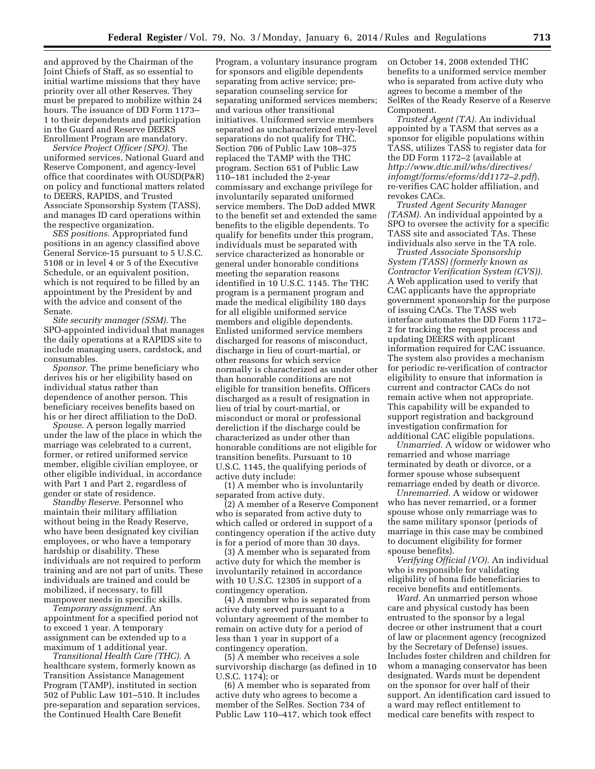and approved by the Chairman of the Joint Chiefs of Staff, as so essential to initial wartime missions that they have priority over all other Reserves. They must be prepared to mobilize within 24 hours. The issuance of DD Form 1173– 1 to their dependents and participation in the Guard and Reserve DEERS Enrollment Program are mandatory.

*Service Project Officer (SPO).* The uniformed services, National Guard and Reserve Component, and agency-level office that coordinates with OUSD(P&R) on policy and functional matters related to DEERS, RAPIDS, and Trusted Associate Sponsorship System (TASS), and manages ID card operations within the respective organization.

*SES positions.* Appropriated fund positions in an agency classified above General Service-15 pursuant to 5 U.S.C. 5108 or in level 4 or 5 of the Executive Schedule, or an equivalent position, which is not required to be filled by an appointment by the President by and with the advice and consent of the Senate.

*Site security manager (SSM).* The SPO-appointed individual that manages the daily operations at a RAPIDS site to include managing users, cardstock, and consumables.

*Sponsor.* The prime beneficiary who derives his or her eligibility based on individual status rather than dependence of another person. This beneficiary receives benefits based on his or her direct affiliation to the DoD.

*Spouse.* A person legally married under the law of the place in which the marriage was celebrated to a current, former, or retired uniformed service member, eligible civilian employee, or other eligible individual, in accordance with Part 1 and Part 2, regardless of gender or state of residence.

*Standby Reserve.* Personnel who maintain their military affiliation without being in the Ready Reserve, who have been designated key civilian employees, or who have a temporary hardship or disability. These individuals are not required to perform training and are not part of units. These individuals are trained and could be mobilized, if necessary, to fill manpower needs in specific skills.

*Temporary assignment.* An appointment for a specified period not to exceed 1 year. A temporary assignment can be extended up to a maximum of 1 additional year.

*Transitional Health Care (THC).* A healthcare system, formerly known as Transition Assistance Management Program (TAMP), instituted in section 502 of Public Law 101–510. It includes pre-separation and separation services, the Continued Health Care Benefit

Program, a voluntary insurance program for sponsors and eligible dependents separating from active service; preseparation counseling service for separating uniformed services members; and various other transitional initiatives. Uniformed service members separated as uncharacterized entry-level separations do not qualify for THC. Section 706 of Public Law 108–375 replaced the TAMP with the THC program. Section 651 of Public Law 110–181 included the 2-year commissary and exchange privilege for involuntarily separated uniformed service members. The DoD added MWR to the benefit set and extended the same benefits to the eligible dependents. To qualify for benefits under this program, individuals must be separated with service characterized as honorable or general under honorable conditions meeting the separation reasons identified in 10 U.S.C. 1145. The THC program is a permanent program and made the medical eligibility 180 days for all eligible uniformed service members and eligible dependents. Enlisted uniformed service members discharged for reasons of misconduct, discharge in lieu of court-martial, or other reasons for which service normally is characterized as under other than honorable conditions are not eligible for transition benefits. Officers discharged as a result of resignation in lieu of trial by court-martial, or misconduct or moral or professional dereliction if the discharge could be characterized as under other than honorable conditions are not eligible for transition benefits. Pursuant to 10 U.S.C. 1145, the qualifying periods of active duty include:

(1) A member who is involuntarily separated from active duty.

(2) A member of a Reserve Component who is separated from active duty to which called or ordered in support of a contingency operation if the active duty is for a period of more than 30 days.

(3) A member who is separated from active duty for which the member is involuntarily retained in accordance with 10 U.S.C. 12305 in support of a contingency operation.

(4) A member who is separated from active duty served pursuant to a voluntary agreement of the member to remain on active duty for a period of less than 1 year in support of a contingency operation.

(5) A member who receives a sole survivorship discharge (as defined in 10 U.S.C. 1174); or

(6) A member who is separated from active duty who agrees to become a member of the SelRes. Section 734 of Public Law 110–417, which took effect on October 14, 2008 extended THC benefits to a uniformed service member who is separated from active duty who agrees to become a member of the SelRes of the Ready Reserve of a Reserve Component.

*Trusted Agent (TA).* An individual appointed by a TASM that serves as a sponsor for eligible populations within TASS, utilizes TASS to register data for the DD Form 1172–2 (available at *http://www.dtic.mil/whs/directives/ infomgt/forms/eforms/dd1172–2.pdf*), re-verifies CAC holder affiliation, and revokes CACs.

*Trusted Agent Security Manager (TASM).* An individual appointed by a SPO to oversee the activity for a specific TASS site and associated TAs. These individuals also serve in the TA role.

*Trusted Associate Sponsorship System (TASS) (formerly known as Contractor Verification System (CVS)).*  A Web application used to verify that CAC applicants have the appropriate government sponsorship for the purpose of issuing CACs. The TASS web interface automates the DD Form 1172– 2 for tracking the request process and updating DEERS with applicant information required for CAC issuance. The system also provides a mechanism for periodic re-verification of contractor eligibility to ensure that information is current and contractor CACs do not remain active when not appropriate. This capability will be expanded to support registration and background investigation confirmation for additional CAC eligible populations.

*Unmarried.* A widow or widower who remarried and whose marriage terminated by death or divorce, or a former spouse whose subsequent remarriage ended by death or divorce.

*Unremarried.* A widow or widower who has never remarried, or a former spouse whose only remarriage was to the same military sponsor (periods of marriage in this case may be combined to document eligibility for former spouse benefits).

*Verifying Official (VO).* An individual who is responsible for validating eligibility of bona fide beneficiaries to receive benefits and entitlements.

*Ward.* An unmarried person whose care and physical custody has been entrusted to the sponsor by a legal decree or other instrument that a court of law or placement agency (recognized by the Secretary of Defense) issues. Includes foster children and children for whom a managing conservator has been designated. Wards must be dependent on the sponsor for over half of their support. An identification card issued to a ward may reflect entitlement to medical care benefits with respect to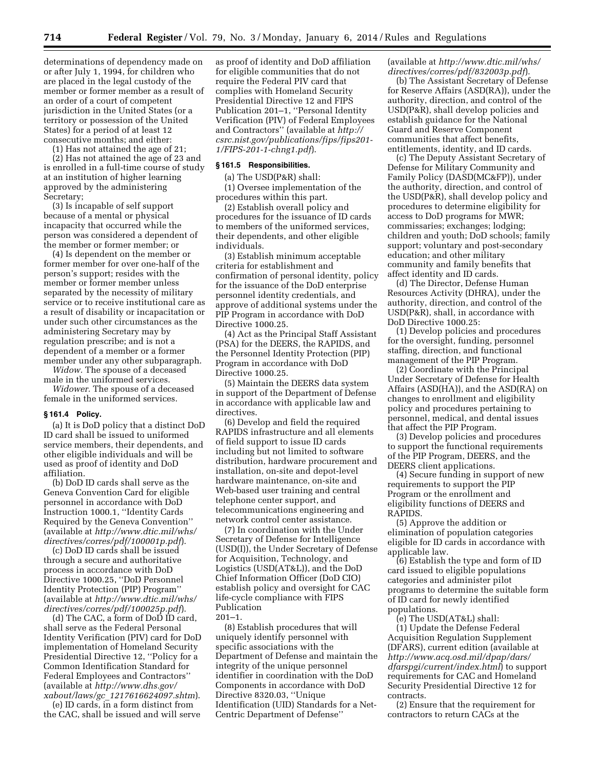determinations of dependency made on or after July 1, 1994, for children who are placed in the legal custody of the member or former member as a result of an order of a court of competent jurisdiction in the United States (or a territory or possession of the United States) for a period of at least 12 consecutive months; and either:

(1) Has not attained the age of 21;

(2) Has not attained the age of 23 and is enrolled in a full-time course of study at an institution of higher learning approved by the administering Secretary;

(3) Is incapable of self support because of a mental or physical incapacity that occurred while the person was considered a dependent of the member or former member; or

(4) Is dependent on the member or former member for over one-half of the person's support; resides with the member or former member unless separated by the necessity of military service or to receive institutional care as a result of disability or incapacitation or under such other circumstances as the administering Secretary may by regulation prescribe; and is not a dependent of a member or a former member under any other subparagraph.

*Widow.* The spouse of a deceased male in the uniformed services.

*Widower.* The spouse of a deceased female in the uniformed services.

#### **§ 161.4 Policy.**

(a) It is DoD policy that a distinct DoD ID card shall be issued to uniformed service members, their dependents, and other eligible individuals and will be used as proof of identity and DoD affiliation.

(b) DoD ID cards shall serve as the Geneva Convention Card for eligible personnel in accordance with DoD Instruction 1000.1, ''Identity Cards Required by the Geneva Convention'' (available at *http://www.dtic.mil/whs/ directives/corres/pdf/100001p.pdf*).

(c) DoD ID cards shall be issued through a secure and authoritative process in accordance with DoD Directive 1000.25, ''DoD Personnel Identity Protection (PIP) Program'' (available at *http://www.dtic.mil/whs/ directives/corres/pdf/100025p.pdf*).

(d) The CAC, a form of DoD ID card, shall serve as the Federal Personal Identity Verification (PIV) card for DoD implementation of Homeland Security Presidential Directive 12, ''Policy for a Common Identification Standard for Federal Employees and Contractors'' (available at *http://www.dhs.gov/ xabout/laws/gc*\_*1217616624097.shtm*).

(e) ID cards, in a form distinct from the CAC, shall be issued and will serve

as proof of identity and DoD affiliation for eligible communities that do not require the Federal PIV card that complies with Homeland Security Presidential Directive 12 and FIPS Publication 201–1, ''Personal Identity Verification (PIV) of Federal Employees and Contractors'' (available at *http:// csrc.nist.gov/publications/fips/fips201- 1/FIPS-201-1-chng1.pdf*).

#### **§ 161.5 Responsibilities.**

(a) The USD(P&R) shall:

(1) Oversee implementation of the procedures within this part.

(2) Establish overall policy and procedures for the issuance of ID cards to members of the uniformed services, their dependents, and other eligible individuals.

(3) Establish minimum acceptable criteria for establishment and confirmation of personal identity, policy for the issuance of the DoD enterprise personnel identity credentials, and approve of additional systems under the PIP Program in accordance with DoD Directive 1000.25.

(4) Act as the Principal Staff Assistant (PSA) for the DEERS, the RAPIDS, and the Personnel Identity Protection (PIP) Program in accordance with DoD Directive 1000.25.

(5) Maintain the DEERS data system in support of the Department of Defense in accordance with applicable law and directives.

(6) Develop and field the required RAPIDS infrastructure and all elements of field support to issue ID cards including but not limited to software distribution, hardware procurement and installation, on-site and depot-level hardware maintenance, on-site and Web-based user training and central telephone center support, and telecommunications engineering and network control center assistance.

(7) In coordination with the Under Secretary of Defense for Intelligence (USD(I)), the Under Secretary of Defense for Acquisition, Technology, and Logistics (USD(AT&L)), and the DoD Chief Information Officer (DoD CIO) establish policy and oversight for CAC life-cycle compliance with FIPS Publication

201–1.

(8) Establish procedures that will uniquely identify personnel with specific associations with the Department of Defense and maintain the integrity of the unique personnel identifier in coordination with the DoD Components in accordance with DoD Directive 8320.03, ''Unique Identification (UID) Standards for a Net-Centric Department of Defense''

(available at *http://www.dtic.mil/whs/ directives/corres/pdf/832003p.pdf*).

(b) The Assistant Secretary of Defense for Reserve Affairs (ASD(RA)), under the authority, direction, and control of the USD(P&R), shall develop policies and establish guidance for the National Guard and Reserve Component communities that affect benefits, entitlements, identity, and ID cards.

(c) The Deputy Assistant Secretary of Defense for Military Community and Family Policy (DASD(MC&FP)), under the authority, direction, and control of the USD(P&R), shall develop policy and procedures to determine eligibility for access to DoD programs for MWR; commissaries; exchanges; lodging; children and youth; DoD schools; family support; voluntary and post-secondary education; and other military community and family benefits that affect identity and ID cards.

(d) The Director, Defense Human Resources Activity (DHRA), under the authority, direction, and control of the USD(P&R), shall, in accordance with DoD Directive 1000.25:

(1) Develop policies and procedures for the oversight, funding, personnel staffing, direction, and functional management of the PIP Program.

(2) Coordinate with the Principal Under Secretary of Defense for Health Affairs (ASD(HA)), and the ASD(RA) on changes to enrollment and eligibility policy and procedures pertaining to personnel, medical, and dental issues that affect the PIP Program.

(3) Develop policies and procedures to support the functional requirements of the PIP Program, DEERS, and the DEERS client applications.

(4) Secure funding in support of new requirements to support the PIP Program or the enrollment and eligibility functions of DEERS and RAPIDS.

(5) Approve the addition or elimination of population categories eligible for ID cards in accordance with applicable law.

(6) Establish the type and form of ID card issued to eligible populations categories and administer pilot programs to determine the suitable form of ID card for newly identified populations.

(e) The USD(AT&L) shall:

(1) Update the Defense Federal Acquisition Regulation Supplement (DFARS), current edition (available at *http://www.acq.osd.mil/dpap/dars/ dfarspgi/current/index.html*) to support requirements for CAC and Homeland Security Presidential Directive 12 for contracts.

(2) Ensure that the requirement for contractors to return CACs at the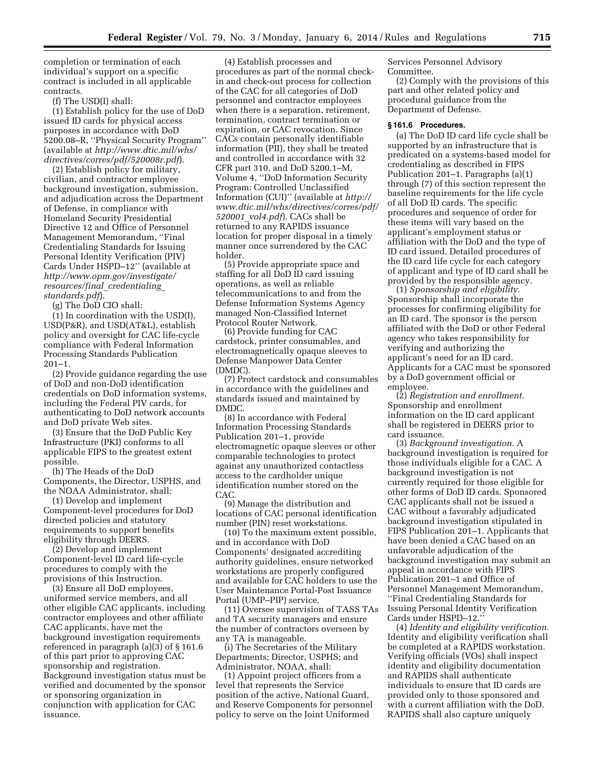completion or termination of each individual's support on a specific contract is included in all applicable contracts.

(f) The USD(I) shall:

(1) Establish policy for the use of DoD issued ID cards for physical access purposes in accordance with DoD 5200.08–R, ''Physical Security Program'' (available at *http://www.dtic.mil/whs/ directives/corres/pdf/520008r.pdf*).

(2) Establish policy for military, civilian, and contractor employee background investigation, submission, and adjudication across the Department of Defense, in compliance with Homeland Security Presidential Directive 12 and Office of Personnel Management Memorandum, ''Final Credentialing Standards for Issuing Personal Identity Verification (PIV) Cards Under HSPD–12'' (available at *http://www.opm.gov/investigate/ resources/final*\_*credentialing*\_ *standards.pdf*).

(g) The DoD CIO shall:

(1) In coordination with the USD(I), USD(P&R), and USD(AT&L), establish policy and oversight for CAC life-cycle compliance with Federal Information Processing Standards Publication 201–1.

(2) Provide guidance regarding the use of DoD and non-DoD identification credentials on DoD information systems, including the Federal PIV cards, for authenticating to DoD network accounts and DoD private Web sites.

(3) Ensure that the DoD Public Key Infrastructure (PKI) conforms to all applicable FIPS to the greatest extent possible.

(h) The Heads of the DoD Components, the Director, USPHS, and the NOAA Administrator, shall:

(1) Develop and implement Component-level procedures for DoD directed policies and statutory requirements to support benefits eligibility through DEERS.

(2) Develop and implement Component-level ID card life-cycle procedures to comply with the provisions of this Instruction.

(3) Ensure all DoD employees, uniformed service members, and all other eligible CAC applicants, including contractor employees and other affiliate CAC applicants, have met the background investigation requirements referenced in paragraph (a)(3) of § 161.6 of this part prior to approving CAC sponsorship and registration. Background investigation status must be verified and documented by the sponsor or sponsoring organization in conjunction with application for CAC issuance.

(4) Establish processes and procedures as part of the normal checkin and check-out process for collection of the CAC for all categories of DoD personnel and contractor employees when there is a separation, retirement, termination, contract termination or expiration, or CAC revocation. Since CACs contain personally identifiable information (PII), they shall be treated and controlled in accordance with 32 CFR part 310, and DoD 5200.1–M, Volume 4, ''DoD Information Security Program: Controlled Unclassified Information (CUI)'' (available at *http:// www.dtic.mil/whs/directives/corres/pdf/ 520001*\_*vol4.pdf*). CACs shall be returned to any RAPIDS issuance location for proper disposal in a timely manner once surrendered by the CAC holder.

(5) Provide appropriate space and staffing for all DoD ID card issuing operations, as well as reliable telecommunications to and from the Defense Information Systems Agency managed Non-Classified Internet Protocol Router Network.

(6) Provide funding for CAC cardstock, printer consumables, and electromagnetically opaque sleeves to Defense Manpower Data Center (DMDC).

(7) Protect cardstock and consumables in accordance with the guidelines and standards issued and maintained by DMDC.

(8) In accordance with Federal Information Processing Standards Publication 201–1, provide electromagnetic opaque sleeves or other comparable technologies to protect against any unauthorized contactless access to the cardholder unique identification number stored on the CAC.

(9) Manage the distribution and locations of CAC personal identification number (PIN) reset workstations.

(10) To the maximum extent possible, and in accordance with DoD Components' designated accrediting authority guidelines, ensure networked workstations are properly configured and available for CAC holders to use the User Maintenance Portal-Post Issuance Portal (UMP–PIP) service.

(11) Oversee supervision of TASS TAs and TA security managers and ensure the number of contractors overseen by any TA is manageable.

(i) The Secretaries of the Military Departments; Director, USPHS; and Administrator, NOAA, shall:

(1) Appoint project officers from a level that represents the Service position of the active, National Guard, and Reserve Components for personnel policy to serve on the Joint Uniformed

Services Personnel Advisory Committee.

(2) Comply with the provisions of this part and other related policy and procedural guidance from the Department of Defense.

#### **§ 161.6 Procedures.**

(a) The DoD ID card life cycle shall be supported by an infrastructure that is predicated on a systems-based model for credentialing as described in FIPS Publication 201–1. Paragraphs (a)(1) through (7) of this section represent the baseline requirements for the life cycle of all DoD ID cards. The specific procedures and sequence of order for these items will vary based on the applicant's employment status or affiliation with the DoD and the type of ID card issued. Detailed procedures of the ID card life cycle for each category of applicant and type of ID card shall be provided by the responsible agency.

(1) *Sponsorship and eligibility.*  Sponsorship shall incorporate the processes for confirming eligibility for an ID card. The sponsor is the person affiliated with the DoD or other Federal agency who takes responsibility for verifying and authorizing the applicant's need for an ID card. Applicants for a CAC must be sponsored by a DoD government official or employee.

(2) *Registration and enrollment.*  Sponsorship and enrollment information on the ID card applicant shall be registered in DEERS prior to card issuance.

(3) *Background investigation.* A background investigation is required for those individuals eligible for a CAC. A background investigation is not currently required for those eligible for other forms of DoD ID cards. Sponsored CAC applicants shall not be issued a CAC without a favorably adjudicated background investigation stipulated in FIPS Publication 201–1. Applicants that have been denied a CAC based on an unfavorable adjudication of the background investigation may submit an appeal in accordance with FIPS Publication 201–1 and Office of Personnel Management Memorandum, ''Final Credentialing Standards for Issuing Personal Identity Verification Cards under HSPD–12.''

(4) *Identity and eligibility verification.*  Identity and eligibility verification shall be completed at a RAPIDS workstation. Verifying officials (VOs) shall inspect identity and eligibility documentation and RAPIDS shall authenticate individuals to ensure that ID cards are provided only to those sponsored and with a current affiliation with the DoD. RAPIDS shall also capture uniquely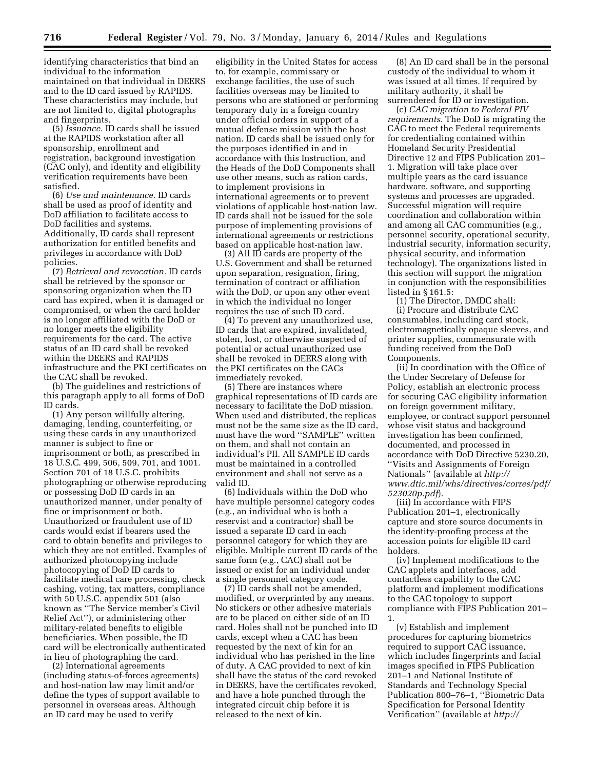identifying characteristics that bind an individual to the information maintained on that individual in DEERS and to the ID card issued by RAPIDS. These characteristics may include, but are not limited to, digital photographs and fingerprints.

(5) *Issuance.* ID cards shall be issued at the RAPIDS workstation after all sponsorship, enrollment and registration, background investigation (CAC only), and identity and eligibility verification requirements have been satisfied.

(6) *Use and maintenance.* ID cards shall be used as proof of identity and DoD affiliation to facilitate access to DoD facilities and systems. Additionally, ID cards shall represent authorization for entitled benefits and privileges in accordance with DoD policies.

(7) *Retrieval and revocation.* ID cards shall be retrieved by the sponsor or sponsoring organization when the ID card has expired, when it is damaged or compromised, or when the card holder is no longer affiliated with the DoD or no longer meets the eligibility requirements for the card. The active status of an ID card shall be revoked within the DEERS and RAPIDS infrastructure and the PKI certificates on the CAC shall be revoked.

(b) The guidelines and restrictions of this paragraph apply to all forms of DoD ID cards.

(1) Any person willfully altering, damaging, lending, counterfeiting, or using these cards in any unauthorized manner is subject to fine or imprisonment or both, as prescribed in 18 U.S.C. 499, 506, 509, 701, and 1001. Section 701 of 18 U.S.C. prohibits photographing or otherwise reproducing or possessing DoD ID cards in an unauthorized manner, under penalty of fine or imprisonment or both. Unauthorized or fraudulent use of ID cards would exist if bearers used the card to obtain benefits and privileges to which they are not entitled. Examples of authorized photocopying include photocopying of DoD ID cards to facilitate medical care processing, check cashing, voting, tax matters, compliance with 50 U.S.C. appendix 501 (also known as ''The Service member's Civil Relief Act''), or administering other military-related benefits to eligible beneficiaries. When possible, the ID card will be electronically authenticated in lieu of photographing the card.

(2) International agreements (including status-of-forces agreements) and host-nation law may limit and/or define the types of support available to personnel in overseas areas. Although an ID card may be used to verify

eligibility in the United States for access to, for example, commissary or exchange facilities, the use of such facilities overseas may be limited to persons who are stationed or performing temporary duty in a foreign country under official orders in support of a mutual defense mission with the host nation. ID cards shall be issued only for the purposes identified in and in accordance with this Instruction, and the Heads of the DoD Components shall use other means, such as ration cards, to implement provisions in international agreements or to prevent violations of applicable host-nation law. ID cards shall not be issued for the sole purpose of implementing provisions of international agreements or restrictions based on applicable host-nation law.

(3) All ID cards are property of the U.S. Government and shall be returned upon separation, resignation, firing, termination of contract or affiliation with the DoD, or upon any other event in which the individual no longer requires the use of such ID card.

(4) To prevent any unauthorized use, ID cards that are expired, invalidated, stolen, lost, or otherwise suspected of potential or actual unauthorized use shall be revoked in DEERS along with the PKI certificates on the CACs immediately revoked.

(5) There are instances where graphical representations of ID cards are necessary to facilitate the DoD mission. When used and distributed, the replicas must not be the same size as the ID card, must have the word ''SAMPLE'' written on them, and shall not contain an individual's PII. All SAMPLE ID cards must be maintained in a controlled environment and shall not serve as a valid ID.

(6) Individuals within the DoD who have multiple personnel category codes (e.g., an individual who is both a reservist and a contractor) shall be issued a separate ID card in each personnel category for which they are eligible. Multiple current ID cards of the same form (e.g., CAC) shall not be issued or exist for an individual under a single personnel category code.

(7) ID cards shall not be amended, modified, or overprinted by any means. No stickers or other adhesive materials are to be placed on either side of an ID card. Holes shall not be punched into ID cards, except when a CAC has been requested by the next of kin for an individual who has perished in the line of duty. A CAC provided to next of kin shall have the status of the card revoked in DEERS, have the certificates revoked, and have a hole punched through the integrated circuit chip before it is released to the next of kin.

(8) An ID card shall be in the personal custody of the individual to whom it was issued at all times. If required by military authority, it shall be surrendered for ID or investigation.

(c) *CAC migration to Federal PIV requirements.* The DoD is migrating the CAC to meet the Federal requirements for credentialing contained within Homeland Security Presidential Directive 12 and FIPS Publication 201– 1. Migration will take place over multiple years as the card issuance hardware, software, and supporting systems and processes are upgraded. Successful migration will require coordination and collaboration within and among all CAC communities (e.g., personnel security, operational security, industrial security, information security, physical security, and information technology). The organizations listed in this section will support the migration in conjunction with the responsibilities listed in § 161.5:

(1) The Director, DMDC shall: (i) Procure and distribute CAC consumables, including card stock, electromagnetically opaque sleeves, and printer supplies, commensurate with funding received from the DoD Components.

(ii) In coordination with the Office of the Under Secretary of Defense for Policy, establish an electronic process for securing CAC eligibility information on foreign government military, employee, or contract support personnel whose visit status and background investigation has been confirmed, documented, and processed in accordance with DoD Directive 5230.20, ''Visits and Assignments of Foreign Nationals'' (available at *http:// www.dtic.mil/whs/directives/corres/pdf/ 523020p.pdf*).

(iii) In accordance with FIPS Publication 201–1, electronically capture and store source documents in the identity-proofing process at the accession points for eligible ID card holders.

(iv) Implement modifications to the CAC applets and interfaces, add contactless capability to the CAC platform and implement modifications to the CAC topology to support compliance with FIPS Publication 201– 1.

(v) Establish and implement procedures for capturing biometrics required to support CAC issuance, which includes fingerprints and facial images specified in FIPS Publication 201–1 and National Institute of Standards and Technology Special Publication 800–76–1, ''Biometric Data Specification for Personal Identity Verification'' (available at *http://*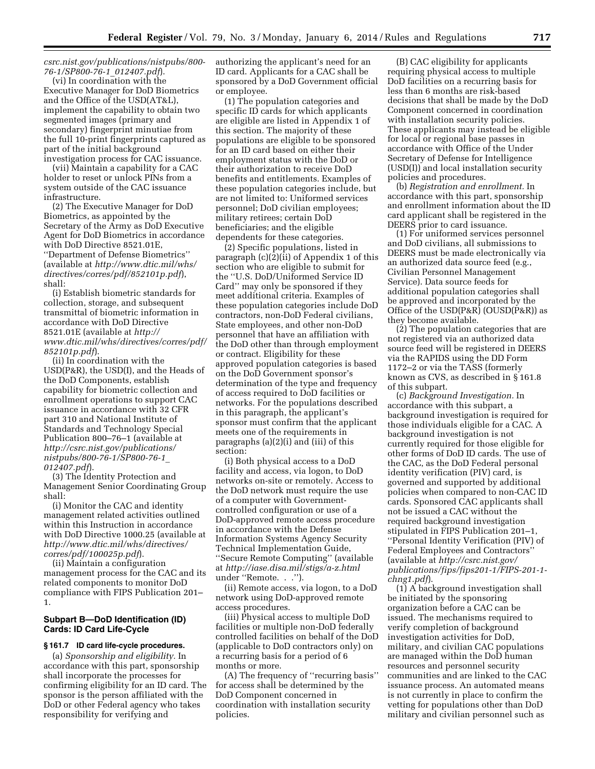#### *csrc.nist.gov/publications/nistpubs/800- 76-1/SP800-76-1*\_*012407.pdf*).

(vi) In coordination with the Executive Manager for DoD Biometrics and the Office of the USD(AT&L), implement the capability to obtain two segmented images (primary and secondary) fingerprint minutiae from the full 10-print fingerprints captured as part of the initial background investigation process for CAC issuance.

(vii) Maintain a capability for a CAC holder to reset or unlock PINs from a system outside of the CAC issuance infrastructure.

(2) The Executive Manager for DoD Biometrics, as appointed by the Secretary of the Army as DoD Executive Agent for DoD Biometrics in accordance with DoD Directive 8521.01E, ''Department of Defense Biometrics'' (available at *http://www.dtic.mil/whs/ directives/corres/pdf/852101p.pdf*), shall:

(i) Establish biometric standards for collection, storage, and subsequent transmittal of biometric information in accordance with DoD Directive 8521.01E (available at *http:// www.dtic.mil/whs/directives/corres/pdf/ 852101p.pdf*).

(ii) In coordination with the USD(P&R), the USD(I), and the Heads of the DoD Components, establish capability for biometric collection and enrollment operations to support CAC issuance in accordance with 32 CFR part 310 and National Institute of Standards and Technology Special Publication 800–76–1 (available at *http://csrc.nist.gov/publications/ nistpubs/800-76-1/SP800-76-1*\_ *012407.pdf*).

(3) The Identity Protection and Management Senior Coordinating Group shall:

(i) Monitor the CAC and identity management related activities outlined within this Instruction in accordance with DoD Directive 1000.25 (available at *http://www.dtic.mil/whs/directives/ corres/pdf/100025p.pdf*).

(ii) Maintain a configuration management process for the CAC and its related components to monitor DoD compliance with FIPS Publication 201– 1.

#### **Subpart B—DoD Identification (ID) Cards: ID Card Life-Cycle**

#### **§ 161.7 ID card life-cycle procedures.**

(a) *Sponsorship and eligibility.* In accordance with this part, sponsorship shall incorporate the processes for confirming eligibility for an ID card. The sponsor is the person affiliated with the DoD or other Federal agency who takes responsibility for verifying and

authorizing the applicant's need for an ID card. Applicants for a CAC shall be sponsored by a DoD Government official or employee.

(1) The population categories and specific ID cards for which applicants are eligible are listed in Appendix 1 of this section. The majority of these populations are eligible to be sponsored for an ID card based on either their employment status with the DoD or their authorization to receive DoD benefits and entitlements. Examples of these population categories include, but are not limited to: Uniformed services personnel; DoD civilian employees; military retirees; certain DoD beneficiaries; and the eligible dependents for these categories.

(2) Specific populations, listed in paragraph (c)(2)(ii) of Appendix 1 of this section who are eligible to submit for the ''U.S. DoD/Uniformed Service ID Card'' may only be sponsored if they meet additional criteria. Examples of these population categories include DoD contractors, non-DoD Federal civilians, State employees, and other non-DoD personnel that have an affiliation with the DoD other than through employment or contract. Eligibility for these approved population categories is based on the DoD Government sponsor's determination of the type and frequency of access required to DoD facilities or networks. For the populations described in this paragraph, the applicant's sponsor must confirm that the applicant meets one of the requirements in paragraphs (a)(2)(i) and (iii) of this section:

(i) Both physical access to a DoD facility and access, via logon, to DoD networks on-site or remotely. Access to the DoD network must require the use of a computer with Governmentcontrolled configuration or use of a DoD-approved remote access procedure in accordance with the Defense Information Systems Agency Security Technical Implementation Guide, ''Secure Remote Computing'' (available at *http://iase.disa.mil/stigs/a-z.html*  under ''Remote. . .'').

(ii) Remote access, via logon, to a DoD network using DoD-approved remote access procedures.

(iii) Physical access to multiple DoD facilities or multiple non-DoD federally controlled facilities on behalf of the DoD (applicable to DoD contractors only) on a recurring basis for a period of 6 months or more.

(A) The frequency of ''recurring basis'' for access shall be determined by the DoD Component concerned in coordination with installation security policies.

(B) CAC eligibility for applicants requiring physical access to multiple DoD facilities on a recurring basis for less than 6 months are risk-based decisions that shall be made by the DoD Component concerned in coordination with installation security policies. These applicants may instead be eligible for local or regional base passes in accordance with Office of the Under Secretary of Defense for Intelligence (USD(I)) and local installation security policies and procedures.

(b) *Registration and enrollment.* In accordance with this part, sponsorship and enrollment information about the ID card applicant shall be registered in the DEERS prior to card issuance.

(1) For uniformed services personnel and DoD civilians, all submissions to DEERS must be made electronically via an authorized data source feed (e.g., Civilian Personnel Management Service). Data source feeds for additional population categories shall be approved and incorporated by the Office of the  $USD(P\&R)$  (OUSD(P&R)) as they become available.

(2) The population categories that are not registered via an authorized data source feed will be registered in DEERS via the RAPIDS using the DD Form 1172–2 or via the TASS (formerly known as CVS, as described in § 161.8 of this subpart.

(c) *Background Investigation.* In accordance with this subpart, a background investigation is required for those individuals eligible for a CAC. A background investigation is not currently required for those eligible for other forms of DoD ID cards. The use of the CAC, as the DoD Federal personal identity verification (PIV) card, is governed and supported by additional policies when compared to non-CAC ID cards. Sponsored CAC applicants shall not be issued a CAC without the required background investigation stipulated in FIPS Publication 201–1, ''Personal Identity Verification (PIV) of Federal Employees and Contractors'' (available at *http://csrc.nist.gov/ publications/fips/fips201-1/FIPS-201-1 chng1.pdf*).

(1) A background investigation shall be initiated by the sponsoring organization before a CAC can be issued. The mechanisms required to verify completion of background investigation activities for DoD, military, and civilian CAC populations are managed within the DoD human resources and personnel security communities and are linked to the CAC issuance process. An automated means is not currently in place to confirm the vetting for populations other than DoD military and civilian personnel such as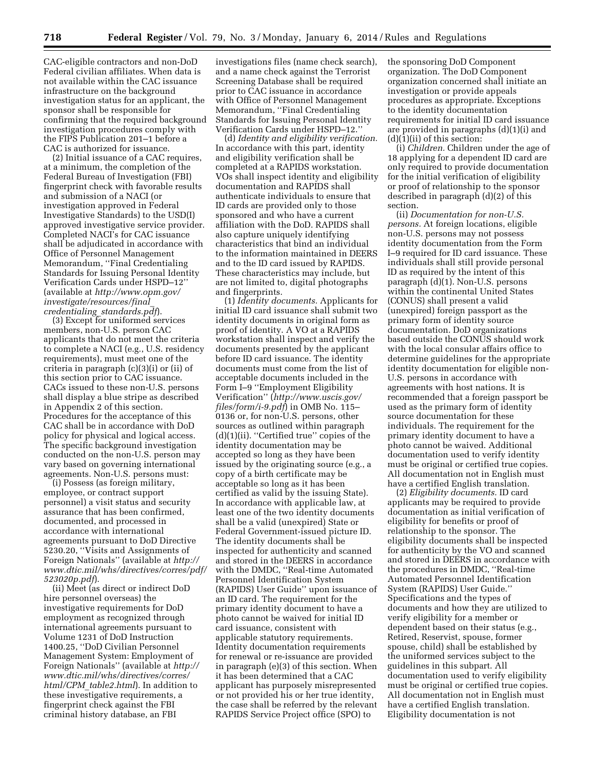CAC-eligible contractors and non-DoD Federal civilian affiliates. When data is not available within the CAC issuance infrastructure on the background investigation status for an applicant, the sponsor shall be responsible for confirming that the required background investigation procedures comply with the FIPS Publication 201–1 before a CAC is authorized for issuance.

(2) Initial issuance of a CAC requires, at a minimum, the completion of the Federal Bureau of Investigation (FBI) fingerprint check with favorable results and submission of a NACI (or investigation approved in Federal Investigative Standards) to the USD(I) approved investigative service provider. Completed NACI's for CAC issuance shall be adjudicated in accordance with Office of Personnel Management Memorandum, ''Final Credentialing Standards for Issuing Personal Identity Verification Cards under HSPD–12'' (available at *http://www.opm.gov/ investigate/resources/final*\_ *credentialing*\_*standards.pdf*).

(3) Except for uniformed services members, non-U.S. person CAC applicants that do not meet the criteria to complete a NACI (e.g., U.S. residency requirements), must meet one of the criteria in paragraph (c)(3)(i) or (ii) of this section prior to CAC issuance. CACs issued to these non-U.S. persons shall display a blue stripe as described in Appendix 2 of this section. Procedures for the acceptance of this CAC shall be in accordance with DoD policy for physical and logical access. The specific background investigation conducted on the non-U.S. person may vary based on governing international agreements. Non-U.S. persons must:

(i) Possess (as foreign military, employee, or contract support personnel) a visit status and security assurance that has been confirmed, documented, and processed in accordance with international agreements pursuant to DoD Directive 5230.20, ''Visits and Assignments of Foreign Nationals'' (available at *http:// www.dtic.mil/whs/directives/corres/pdf/ 523020p.pdf*).

(ii) Meet (as direct or indirect DoD hire personnel overseas) the investigative requirements for DoD employment as recognized through international agreements pursuant to Volume 1231 of DoD Instruction 1400.25, ''DoD Civilian Personnel Management System: Employment of Foreign Nationals'' (available at *http:// www.dtic.mil/whs/directives/corres/ html/CPM*\_*table2.html*). In addition to these investigative requirements, a fingerprint check against the FBI criminal history database, an FBI

investigations files (name check search), and a name check against the Terrorist Screening Database shall be required prior to CAC issuance in accordance with Office of Personnel Management Memorandum, ''Final Credentialing Standards for Issuing Personal Identity Verification Cards under HSPD–12.''

(d) *Identity and eligibility verification.*  In accordance with this part, identity and eligibility verification shall be completed at a RAPIDS workstation. VOs shall inspect identity and eligibility documentation and RAPIDS shall authenticate individuals to ensure that ID cards are provided only to those sponsored and who have a current affiliation with the DoD. RAPIDS shall also capture uniquely identifying characteristics that bind an individual to the information maintained in DEERS and to the ID card issued by RAPIDS. These characteristics may include, but are not limited to, digital photographs and fingerprints.

(1) *Identity documents.* Applicants for initial ID card issuance shall submit two identity documents in original form as proof of identity. A VO at a RAPIDS workstation shall inspect and verify the documents presented by the applicant before ID card issuance. The identity documents must come from the list of acceptable documents included in the Form I–9 ''Employment Eligibility Verification'' (*http://www.uscis.gov/ files/form/i-9.pdf*) in OMB No. 115– 0136 or, for non-U.S. persons, other sources as outlined within paragraph (d)(1)(ii). ''Certified true'' copies of the identity documentation may be accepted so long as they have been issued by the originating source (e.g., a copy of a birth certificate may be acceptable so long as it has been certified as valid by the issuing State). In accordance with applicable law, at least one of the two identity documents shall be a valid (unexpired) State or Federal Government-issued picture ID. The identity documents shall be inspected for authenticity and scanned and stored in the DEERS in accordance with the DMDC, ''Real-time Automated Personnel Identification System (RAPIDS) User Guide'' upon issuance of an ID card. The requirement for the primary identity document to have a photo cannot be waived for initial ID card issuance, consistent with applicable statutory requirements. Identity documentation requirements for renewal or re-issuance are provided in paragraph (e)(3) of this section. When it has been determined that a CAC applicant has purposely misrepresented or not provided his or her true identity, the case shall be referred by the relevant RAPIDS Service Project office (SPO) to

the sponsoring DoD Component organization. The DoD Component organization concerned shall initiate an investigation or provide appeals procedures as appropriate. Exceptions to the identity documentation requirements for initial ID card issuance are provided in paragraphs (d)(1)(i) and  $(d)(i)(ii)$  of this section:

(i) *Children.* Children under the age of 18 applying for a dependent ID card are only required to provide documentation for the initial verification of eligibility or proof of relationship to the sponsor described in paragraph (d)(2) of this section.

(ii) *Documentation for non-U.S. persons.* At foreign locations, eligible non-U.S. persons may not possess identity documentation from the Form I–9 required for ID card issuance. These individuals shall still provide personal ID as required by the intent of this paragraph (d)(1). Non-U.S. persons within the continental United States (CONUS) shall present a valid (unexpired) foreign passport as the primary form of identity source documentation. DoD organizations based outside the CONUS should work with the local consular affairs office to determine guidelines for the appropriate identity documentation for eligible non-U.S. persons in accordance with agreements with host nations. It is recommended that a foreign passport be used as the primary form of identity source documentation for these individuals. The requirement for the primary identity document to have a photo cannot be waived. Additional documentation used to verify identity must be original or certified true copies. All documentation not in English must have a certified English translation.

(2) *Eligibility documents.* ID card applicants may be required to provide documentation as initial verification of eligibility for benefits or proof of relationship to the sponsor. The eligibility documents shall be inspected for authenticity by the VO and scanned and stored in DEERS in accordance with the procedures in DMDC, ''Real-time Automated Personnel Identification System (RAPIDS) User Guide.'' Specifications and the types of documents and how they are utilized to verify eligibility for a member or dependent based on their status (e.g., Retired, Reservist, spouse, former spouse, child) shall be established by the uniformed services subject to the guidelines in this subpart. All documentation used to verify eligibility must be original or certified true copies. All documentation not in English must have a certified English translation. Eligibility documentation is not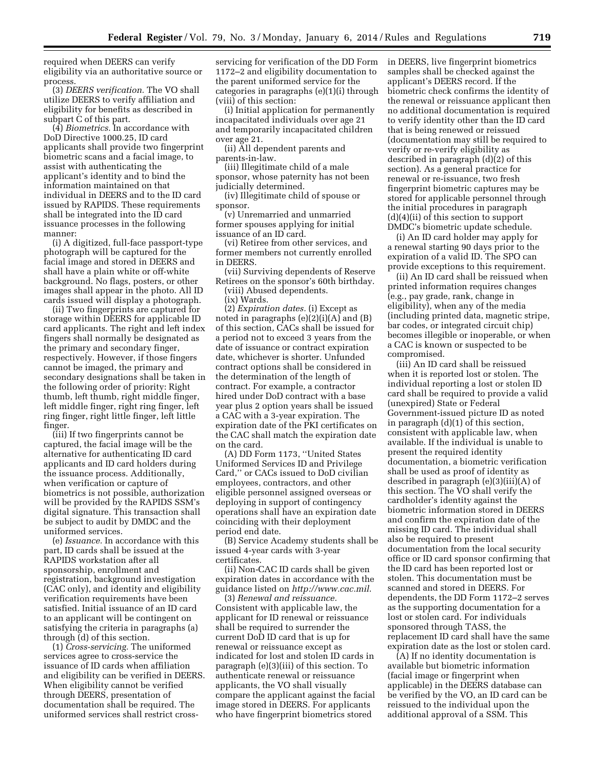required when DEERS can verify eligibility via an authoritative source or process.

(3) *DEERS verification.* The VO shall utilize DEERS to verify affiliation and eligibility for benefits as described in subpart C of this part.

(4) *Biometrics.* In accordance with DoD Directive 1000.25, ID card applicants shall provide two fingerprint biometric scans and a facial image, to assist with authenticating the applicant's identity and to bind the information maintained on that individual in DEERS and to the ID card issued by RAPIDS. These requirements shall be integrated into the ID card issuance processes in the following manner:

(i) A digitized, full-face passport-type photograph will be captured for the facial image and stored in DEERS and shall have a plain white or off-white background. No flags, posters, or other images shall appear in the photo. All ID cards issued will display a photograph.

(ii) Two fingerprints are captured for storage within DEERS for applicable ID card applicants. The right and left index fingers shall normally be designated as the primary and secondary finger, respectively. However, if those fingers cannot be imaged, the primary and secondary designations shall be taken in the following order of priority: Right thumb, left thumb, right middle finger, left middle finger, right ring finger, left ring finger, right little finger, left little finger.

(iii) If two fingerprints cannot be captured, the facial image will be the alternative for authenticating ID card applicants and ID card holders during the issuance process. Additionally, when verification or capture of biometrics is not possible, authorization will be provided by the RAPIDS SSM's digital signature. This transaction shall be subject to audit by DMDC and the uniformed services.

(e) *Issuance.* In accordance with this part, ID cards shall be issued at the RAPIDS workstation after all sponsorship, enrollment and registration, background investigation (CAC only), and identity and eligibility verification requirements have been satisfied. Initial issuance of an ID card to an applicant will be contingent on satisfying the criteria in paragraphs (a) through (d) of this section.

(1) *Cross-servicing.* The uniformed services agree to cross-service the issuance of ID cards when affiliation and eligibility can be verified in DEERS. When eligibility cannot be verified through DEERS, presentation of documentation shall be required. The uniformed services shall restrict crossservicing for verification of the DD Form 1172–2 and eligibility documentation to the parent uniformed service for the categories in paragraphs (e)(1)(i) through (viii) of this section:

(i) Initial application for permanently incapacitated individuals over age 21 and temporarily incapacitated children over age 21.

(ii) All dependent parents and parents-in-law.

(iii) Illegitimate child of a male sponsor, whose paternity has not been judicially determined.

(iv) Illegitimate child of spouse or sponsor.

(v) Unremarried and unmarried former spouses applying for initial issuance of an ID card.

(vi) Retiree from other services, and former members not currently enrolled in DEERS.

(vii) Surviving dependents of Reserve Retirees on the sponsor's 60th birthday.

(viii) Abused dependents. (ix) Wards.

(2) *Expiration dates.* (i) Except as noted in paragraphs (e)(2)(i)(A) and (B) of this section, CACs shall be issued for a period not to exceed 3 years from the date of issuance or contract expiration date, whichever is shorter. Unfunded contract options shall be considered in the determination of the length of contract. For example, a contractor hired under DoD contract with a base year plus 2 option years shall be issued a CAC with a 3-year expiration. The expiration date of the PKI certificates on the CAC shall match the expiration date on the card.

(A) DD Form 1173, ''United States Uniformed Services ID and Privilege Card,'' or CACs issued to DoD civilian employees, contractors, and other eligible personnel assigned overseas or deploying in support of contingency operations shall have an expiration date coinciding with their deployment period end date.

(B) Service Academy students shall be issued 4-year cards with 3-year certificates.

(ii) Non-CAC ID cards shall be given expiration dates in accordance with the guidance listed on *http://www.cac.mil*.

(3) *Renewal and reissuance.*  Consistent with applicable law, the applicant for ID renewal or reissuance shall be required to surrender the current DoD ID card that is up for renewal or reissuance except as indicated for lost and stolen ID cards in paragraph (e)(3)(iii) of this section. To authenticate renewal or reissuance applicants, the VO shall visually compare the applicant against the facial image stored in DEERS. For applicants who have fingerprint biometrics stored

in DEERS, live fingerprint biometrics samples shall be checked against the applicant's DEERS record. If the biometric check confirms the identity of the renewal or reissuance applicant then no additional documentation is required to verify identity other than the ID card that is being renewed or reissued (documentation may still be required to verify or re-verify eligibility as described in paragraph (d)(2) of this section). As a general practice for renewal or re-issuance, two fresh fingerprint biometric captures may be stored for applicable personnel through the initial procedures in paragraph (d)(4)(ii) of this section to support DMDC's biometric update schedule.

(i) An ID card holder may apply for a renewal starting 90 days prior to the expiration of a valid ID. The SPO can provide exceptions to this requirement.

(ii) An ID card shall be reissued when printed information requires changes (e.g., pay grade, rank, change in eligibility), when any of the media (including printed data, magnetic stripe, bar codes, or integrated circuit chip) becomes illegible or inoperable, or when a CAC is known or suspected to be compromised.

(iii) An ID card shall be reissued when it is reported lost or stolen. The individual reporting a lost or stolen ID card shall be required to provide a valid (unexpired) State or Federal Government-issued picture ID as noted in paragraph (d)(1) of this section, consistent with applicable law, when available. If the individual is unable to present the required identity documentation, a biometric verification shall be used as proof of identity as described in paragraph (e)(3)(iii)(A) of this section. The VO shall verify the cardholder's identity against the biometric information stored in DEERS and confirm the expiration date of the missing ID card. The individual shall also be required to present documentation from the local security office or ID card sponsor confirming that the ID card has been reported lost or stolen. This documentation must be scanned and stored in DEERS. For dependents, the DD Form 1172–2 serves as the supporting documentation for a lost or stolen card. For individuals sponsored through TASS, the replacement ID card shall have the same expiration date as the lost or stolen card.

(A) If no identity documentation is available but biometric information (facial image or fingerprint when applicable) in the DEERS database can be verified by the VO, an ID card can be reissued to the individual upon the additional approval of a SSM. This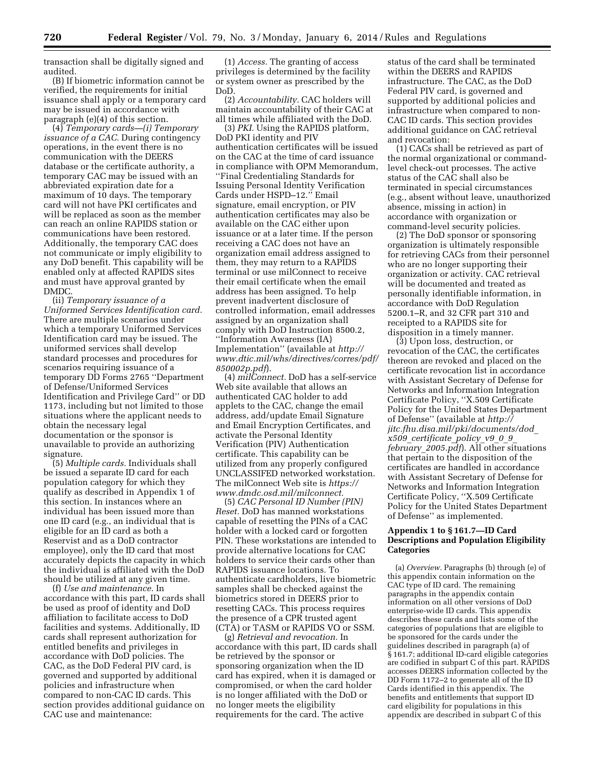transaction shall be digitally signed and audited.

(B) If biometric information cannot be verified, the requirements for initial issuance shall apply or a temporary card may be issued in accordance with paragraph (e)(4) of this section.

(4) *Temporary cards—(i) Temporary issuance of a CAC.* During contingency operations, in the event there is no communication with the DEERS database or the certificate authority, a temporary CAC may be issued with an abbreviated expiration date for a maximum of 10 days. The temporary card will not have PKI certificates and will be replaced as soon as the member can reach an online RAPIDS station or communications have been restored. Additionally, the temporary CAC does not communicate or imply eligibility to any DoD benefit. This capability will be enabled only at affected RAPIDS sites and must have approval granted by DMDC.

(ii) *Temporary issuance of a Uniformed Services Identification card.*  There are multiple scenarios under which a temporary Uniformed Services Identification card may be issued. The uniformed services shall develop standard processes and procedures for scenarios requiring issuance of a temporary DD Forms 2765 ''Department of Defense/Uniformed Services Identification and Privilege Card'' or DD 1173, including but not limited to those situations where the applicant needs to obtain the necessary legal documentation or the sponsor is unavailable to provide an authorizing signature.

(5) *Multiple cards.* Individuals shall be issued a separate ID card for each population category for which they qualify as described in Appendix 1 of this section. In instances where an individual has been issued more than one ID card (e.g., an individual that is eligible for an ID card as both a Reservist and as a DoD contractor employee), only the ID card that most accurately depicts the capacity in which the individual is affiliated with the DoD should be utilized at any given time.

(f) *Use and maintenance.* In accordance with this part, ID cards shall be used as proof of identity and DoD affiliation to facilitate access to DoD facilities and systems. Additionally, ID cards shall represent authorization for entitled benefits and privileges in accordance with DoD policies. The CAC, as the DoD Federal PIV card, is governed and supported by additional policies and infrastructure when compared to non-CAC ID cards. This section provides additional guidance on CAC use and maintenance:

(1) *Access.* The granting of access privileges is determined by the facility or system owner as prescribed by the DoD.

(2) *Accountability.* CAC holders will maintain accountability of their CAC at all times while affiliated with the DoD.

(3) *PKI.* Using the RAPIDS platform, DoD PKI identity and PIV authentication certificates will be issued on the CAC at the time of card issuance in compliance with OPM Memorandum, ''Final Credentialing Standards for Issuing Personal Identity Verification Cards under HSPD–12.'' Email signature, email encryption, or PIV authentication certificates may also be available on the CAC either upon issuance or at a later time. If the person receiving a CAC does not have an organization email address assigned to them, they may return to a RAPIDS terminal or use milConnect to receive their email certificate when the email address has been assigned. To help prevent inadvertent disclosure of controlled information, email addresses assigned by an organization shall comply with DoD Instruction 8500.2, ''Information Awareness (IA) Implementation'' (available at *http:// www.dtic.mil/whs/directives/corres/pdf/ 850002p.pdf*).

(4) *milConnect.* DoD has a self-service Web site available that allows an authenticated CAC holder to add applets to the CAC, change the email address, add/update Email Signature and Email Encryption Certificates, and activate the Personal Identity Verification (PIV) Authentication certificate. This capability can be utilized from any properly configured UNCLASSIFED networked workstation. The milConnect Web site is *https:// www.dmdc.osd.mil/milconnect.* 

(5) *CAC Personal ID Number (PIN) Reset.* DoD has manned workstations capable of resetting the PINs of a CAC holder with a locked card or forgotten PIN. These workstations are intended to provide alternative locations for CAC holders to service their cards other than RAPIDS issuance locations. To authenticate cardholders, live biometric samples shall be checked against the biometrics stored in DEERS prior to resetting CACs. This process requires the presence of a CPR trusted agent (CTA) or TASM or RAPIDS VO or SSM.

(g) *Retrieval and revocation.* In accordance with this part, ID cards shall be retrieved by the sponsor or sponsoring organization when the ID card has expired, when it is damaged or compromised, or when the card holder is no longer affiliated with the DoD or no longer meets the eligibility requirements for the card. The active

status of the card shall be terminated within the DEERS and RAPIDS infrastructure. The CAC, as the DoD Federal PIV card, is governed and supported by additional policies and infrastructure when compared to non-CAC ID cards. This section provides additional guidance on CAC retrieval and revocation:

(1) CACs shall be retrieved as part of the normal organizational or commandlevel check-out processes. The active status of the CAC shall also be terminated in special circumstances (e.g., absent without leave, unauthorized absence, missing in action) in accordance with organization or command-level security policies.

(2) The DoD sponsor or sponsoring organization is ultimately responsible for retrieving CACs from their personnel who are no longer supporting their organization or activity. CAC retrieval will be documented and treated as personally identifiable information, in accordance with DoD Regulation 5200.1–R, and 32 CFR part 310 and receipted to a RAPIDS site for disposition in a timely manner.

(3) Upon loss, destruction, or revocation of the CAC, the certificates thereon are revoked and placed on the certificate revocation list in accordance with Assistant Secretary of Defense for Networks and Information Integration Certificate Policy, ''X.509 Certificate Policy for the United States Department of Defense'' (available at *http:// jitc.fhu.disa.mil/pki/documents/dod*\_ *x509*\_*certificate*\_*policy*\_*v9*\_*0*\_*9*\_ *february*\_*2005.pdf*). All other situations that pertain to the disposition of the certificates are handled in accordance with Assistant Secretary of Defense for Networks and Information Integration Certificate Policy, ''X.509 Certificate Policy for the United States Department of Defense'' as implemented.

#### **Appendix 1 to § 161.7—ID Card Descriptions and Population Eligibility Categories**

(a) *Overview.* Paragraphs (b) through (e) of this appendix contain information on the CAC type of ID card. The remaining paragraphs in the appendix contain information on all other versions of DoD enterprise-wide ID cards. This appendix describes these cards and lists some of the categories of populations that are eligible to be sponsored for the cards under the guidelines described in paragraph (a) of § 161.7; additional ID-card eligible categories are codified in subpart C of this part. RAPIDS accesses DEERS information collected by the DD Form 1172–2 to generate all of the ID Cards identified in this appendix. The benefits and entitlements that support ID card eligibility for populations in this appendix are described in subpart C of this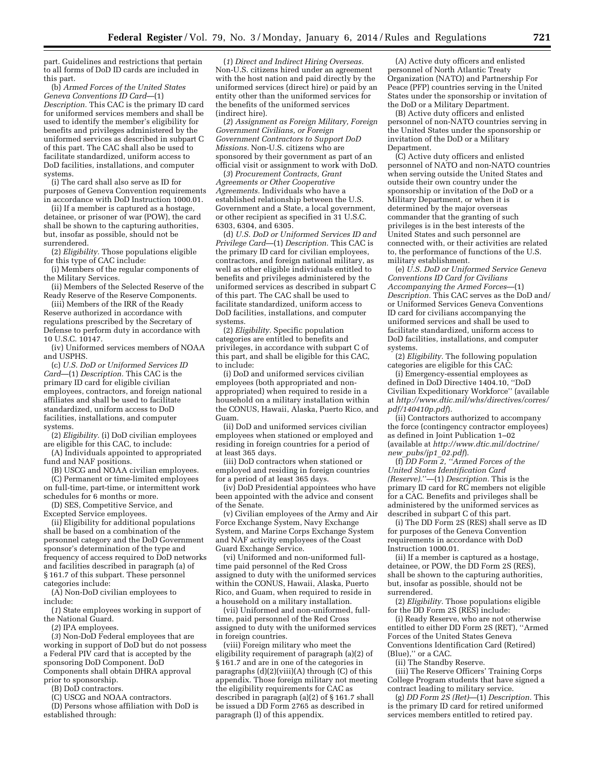part. Guidelines and restrictions that pertain to all forms of DoD ID cards are included in this part.

(b) *Armed Forces of the United States Geneva Conventions ID Card*—(1) *Description.* This CAC is the primary ID card for uniformed services members and shall be used to identify the member's eligibility for benefits and privileges administered by the uniformed services as described in subpart C of this part. The CAC shall also be used to facilitate standardized, uniform access to DoD facilities, installations, and computer systems.

(i) The card shall also serve as ID for purposes of Geneva Convention requirements in accordance with DoD Instruction 1000.01.

(ii) If a member is captured as a hostage, detainee, or prisoner of war (POW), the card shall be shown to the capturing authorities, but, insofar as possible, should not be surrendered.

(2) *Eligibility.* Those populations eligible for this type of CAC include:

(i) Members of the regular components of the Military Services.

(ii) Members of the Selected Reserve of the Ready Reserve of the Reserve Components.

(iii) Members of the IRR of the Ready Reserve authorized in accordance with regulations prescribed by the Secretary of Defense to perform duty in accordance with 10 U.S.C. 10147.

(iv) Uniformed services members of NOAA and USPHS.

(c) *U.S. DoD or Uniformed Services ID Card*—(1) *Description.* This CAC is the primary ID card for eligible civilian employees, contractors, and foreign national affiliates and shall be used to facilitate standardized, uniform access to DoD facilities, installations, and computer systems.

(2) *Eligibility.* (i) DoD civilian employees are eligible for this CAC, to include:

(A) Individuals appointed to appropriated fund and NAF positions.

(B) USCG and NOAA civilian employees. (C) Permanent or time-limited employees on full-time, part-time, or intermittent work

schedules for 6 months or more. (D) SES, Competitive Service, and

Excepted Service employees.

(ii) Eligibility for additional populations shall be based on a combination of the personnel category and the DoD Government sponsor's determination of the type and frequency of access required to DoD networks and facilities described in paragraph (a) of § 161.7 of this subpart. These personnel categories include:

(A) Non-DoD civilian employees to include:

(*1*) State employees working in support of the National Guard.

(*2*) IPA employees.

(*3*) Non-DoD Federal employees that are working in support of DoD but do not possess a Federal PIV card that is accepted by the sponsoring DoD Component. DoD Components shall obtain DHRA approval prior to sponsorship.

(B) DoD contractors.

(C) USCG and NOAA contractors.

(D) Persons whose affiliation with DoD is established through:

(*1*) *Direct and Indirect Hiring Overseas.*  Non-U.S. citizens hired under an agreement with the host nation and paid directly by the uniformed services (direct hire) or paid by an entity other than the uniformed services for the benefits of the uniformed services (indirect hire).

(*2*) *Assignment as Foreign Military, Foreign Government Civilians, or Foreign Government Contractors to Support DoD Missions.* Non-U.S. citizens who are sponsored by their government as part of an official visit or assignment to work with DoD.

(*3*) *Procurement Contracts, Grant Agreements or Other Cooperative Agreements.* Individuals who have a established relationship between the U.S. Government and a State, a local government, or other recipient as specified in 31 U.S.C. 6303, 6304, and 6305.

(d) *U.S. DoD or Uniformed Services ID and Privilege Card*—(1) *Description.* This CAC is the primary ID card for civilian employees, contractors, and foreign national military, as well as other eligible individuals entitled to benefits and privileges administered by the uniformed services as described in subpart C of this part. The CAC shall be used to facilitate standardized, uniform access to DoD facilities, installations, and computer systems.

(2) *Eligibility.* Specific population categories are entitled to benefits and privileges, in accordance with subpart C of this part, and shall be eligible for this CAC, to include:

(i) DoD and uniformed services civilian employees (both appropriated and nonappropriated) when required to reside in a household on a military installation within the CONUS, Hawaii, Alaska, Puerto Rico, and Guam.

(ii) DoD and uniformed services civilian employees when stationed or employed and residing in foreign countries for a period of at least 365 days.

(iii) DoD contractors when stationed or employed and residing in foreign countries for a period of at least 365 days.

(iv) DoD Presidential appointees who have been appointed with the advice and consent of the Senate.

(v) Civilian employees of the Army and Air Force Exchange System, Navy Exchange System, and Marine Corps Exchange System and NAF activity employees of the Coast Guard Exchange Service.

(vi) Uniformed and non-uniformed fulltime paid personnel of the Red Cross assigned to duty with the uniformed services within the CONUS, Hawaii, Alaska, Puerto Rico, and Guam, when required to reside in a household on a military installation.

(vii) Uniformed and non-uniformed, fulltime, paid personnel of the Red Cross assigned to duty with the uniformed services in foreign countries.

(viii) Foreign military who meet the eligibility requirement of paragraph (a)(2) of § 161.7 and are in one of the categories in paragraphs  $(d)(2)(viii)(A)$  through  $(C)$  of this appendix. Those foreign military not meeting the eligibility requirements for CAC as described in paragraph (a)(2) of § 161.7 shall be issued a DD Form 2765 as described in paragraph (l) of this appendix.

(A) Active duty officers and enlisted personnel of North Atlantic Treaty Organization (NATO) and Partnership For Peace (PFP) countries serving in the United States under the sponsorship or invitation of the DoD or a Military Department.

(B) Active duty officers and enlisted personnel of non-NATO countries serving in the United States under the sponsorship or invitation of the DoD or a Military Department.

(C) Active duty officers and enlisted personnel of NATO and non-NATO countries when serving outside the United States and outside their own country under the sponsorship or invitation of the DoD or a Military Department, or when it is determined by the major overseas commander that the granting of such privileges is in the best interests of the United States and such personnel are connected with, or their activities are related to, the performance of functions of the U.S. military establishment.

(e) *U.S. DoD or Uniformed Service Geneva Conventions ID Card for Civilians Accompanying the Armed Forces*—(1) *Description.* This CAC serves as the DoD and/ or Uniformed Services Geneva Conventions ID card for civilians accompanying the uniformed services and shall be used to facilitate standardized, uniform access to DoD facilities, installations, and computer systems.

(2) *Eligibility.* The following population categories are eligible for this CAC:

(i) Emergency-essential employees as defined in DoD Directive 1404.10, ''DoD Civilian Expeditionary Workforce'' (available at *http://www.dtic.mil/whs/directives/corres/ pdf/140410p.pdf*).

(ii) Contractors authorized to accompany the force (contingency contractor employees) as defined in Joint Publication 1–02 (available at *http://www.dtic.mil/doctrine/ new*\_*pubs/jp1*\_*02.pdf*).

(f) *DD Form 2, ''Armed Forces of the United States Identification Card (Reserve)*.''—(1) *Description.* This is the primary ID card for RC members not eligible for a CAC. Benefits and privileges shall be administered by the uniformed services as described in subpart C of this part.

(i) The DD Form 2S (RES) shall serve as ID for purposes of the Geneva Convention requirements in accordance with DoD Instruction 1000.01.

(ii) If a member is captured as a hostage, detainee, or POW, the DD Form 2S (RES), shall be shown to the capturing authorities, but, insofar as possible, should not be surrendered.

(2) *Eligibility.* Those populations eligible for the DD Form 2S (RES) include:

(i) Ready Reserve, who are not otherwise entitled to either DD Form 2S (RET), ''Armed Forces of the United States Geneva Conventions Identification Card (Retired) (Blue),'' or a CAC.

(ii) The Standby Reserve.

(iii) The Reserve Officers' Training Corps College Program students that have signed a contract leading to military service.

(g) *DD Form 2S (Ret)*—(1) *Description.* This is the primary ID card for retired uniformed services members entitled to retired pay.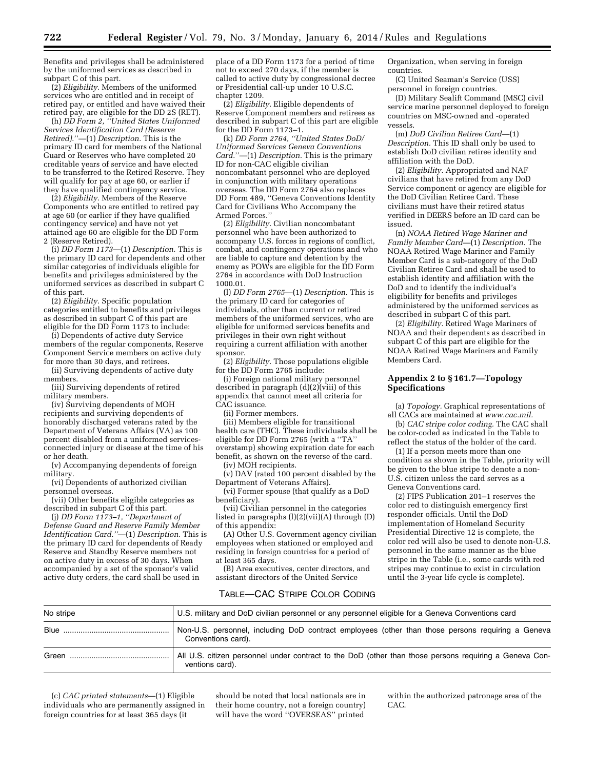Benefits and privileges shall be administered by the uniformed services as described in subpart C of this part.

(2) *Eligibility.* Members of the uniformed services who are entitled and in receipt of retired pay, or entitled and have waived their retired pay, are eligible for the DD 2S (RET).

(h) *DD Form 2, ''United States Uniformed Services Identification Card (Reserve Retired)*.''—(1) *Description.* This is the primary ID card for members of the National Guard or Reserves who have completed 20 creditable years of service and have elected to be transferred to the Retired Reserve. They will qualify for pay at age 60, or earlier if they have qualified contingency service.

(2) *Eligibility.* Members of the Reserve Components who are entitled to retired pay at age 60 (or earlier if they have qualified contingency service) and have not yet attained age 60 are eligible for the DD Form 2 (Reserve Retired).

(i) *DD Form 1173*—(1) *Description.* This is the primary ID card for dependents and other similar categories of individuals eligible for benefits and privileges administered by the uniformed services as described in subpart C of this part.

(2) *Eligibility.* Specific population categories entitled to benefits and privileges as described in subpart C of this part are eligible for the DD Form 1173 to include:

(i) Dependents of active duty Service members of the regular components, Reserve Component Service members on active duty for more than 30 days, and retirees.

(ii) Surviving dependents of active duty members.

(iii) Surviving dependents of retired military members.

(iv) Surviving dependents of MOH recipients and surviving dependents of honorably discharged veterans rated by the Department of Veterans Affairs (VA) as 100 percent disabled from a uniformed servicesconnected injury or disease at the time of his or her death.

(v) Accompanying dependents of foreign military.

(vi) Dependents of authorized civilian personnel overseas.

(vii) Other benefits eligible categories as described in subpart C of this part.

(j) *DD Form 1173–1, ''Department of Defense Guard and Reserve Family Member Identification Card.''*—(1) *Description.* This is the primary ID card for dependents of Ready Reserve and Standby Reserve members not on active duty in excess of 30 days. When accompanied by a set of the sponsor's valid active duty orders, the card shall be used in

place of a DD Form 1173 for a period of time not to exceed 270 days, if the member is called to active duty by congressional decree or Presidential call-up under 10 U.S.C. chapter 1209.

(2) *Eligibility.* Eligible dependents of Reserve Component members and retirees as described in subpart C of this part are eligible for the DD Form 1173–1.

(k) *DD Form 2764, ''United States DoD/ Uniformed Services Geneva Conventions Card.*''—(1) *Description.* This is the primary ID for non-CAC eligible civilian noncombatant personnel who are deployed in conjunction with military operations overseas. The DD Form 2764 also replaces DD Form 489, ''Geneva Conventions Identity Card for Civilians Who Accompany the Armed Forces.''

(2) *Eligibility.* Civilian noncombatant personnel who have been authorized to accompany U.S. forces in regions of conflict, combat, and contingency operations and who are liable to capture and detention by the enemy as POWs are eligible for the DD Form 2764 in accordance with DoD Instruction 1000.01.

(l) *DD Form 2765*—(1) *Description.* This is the primary ID card for categories of individuals, other than current or retired members of the uniformed services, who are eligible for uniformed services benefits and privileges in their own right without requiring a current affiliation with another sponsor.

(2) *Eligibility.* Those populations eligible for the DD Form 2765 include:

(i) Foreign national military personnel described in paragraph (d)(2)(viii) of this appendix that cannot meet all criteria for CAC issuance.

(ii) Former members.

(iii) Members eligible for transitional health care (THC). These individuals shall be eligible for DD Form 2765 (with a ''TA'' overstamp) showing expiration date for each benefit, as shown on the reverse of the card.

(iv) MOH recipients. (v) DAV (rated 100 percent disabled by the

Department of Veterans Affairs). (vi) Former spouse (that qualify as a DoD

beneficiary). (vii) Civilian personnel in the categories listed in paragraphs (l)(2)(vii)(A) through (D) of this appendix:

(A) Other U.S. Government agency civilian employees when stationed or employed and residing in foreign countries for a period of at least 365 days.

(B) Area executives, center directors, and assistant directors of the United Service

Organization, when serving in foreign countries.

(C) United Seaman's Service (USS) personnel in foreign countries.

(D) Military Sealift Command (MSC) civil service marine personnel deployed to foreign countries on MSC-owned and -operated vessels.

(m) *DoD Civilian Retiree Card*—(1) *Description.* This ID shall only be used to establish DoD civilian retiree identity and affiliation with the DoD.

(2) *Eligibility.* Appropriated and NAF civilians that have retired from any DoD Service component or agency are eligible for the DoD Civilian Retiree Card. These civilians must have their retired status verified in DEERS before an ID card can be issued.

(n) *NOAA Retired Wage Mariner and Family Member Card*—(1) *Description.* The NOAA Retired Wage Mariner and Family Member Card is a sub-category of the DoD Civilian Retiree Card and shall be used to establish identity and affiliation with the DoD and to identify the individual's eligibility for benefits and privileges administered by the uniformed services as described in subpart C of this part.

(2) *Eligibility.* Retired Wage Mariners of NOAA and their dependents as described in subpart C of this part are eligible for the NOAA Retired Wage Mariners and Family Members Card.

#### **Appendix 2 to § 161.7—Topology Specifications**

(a) *Topology.* Graphical representations of all CACs are maintained at *www.cac.mil.* 

(b) *CAC stripe color coding.* The CAC shall be color-coded as indicated in the Table to reflect the status of the holder of the card.

(1) If a person meets more than one condition as shown in the Table, priority will be given to the blue stripe to denote a non-U.S. citizen unless the card serves as a Geneva Conventions card.

(2) FIPS Publication 201–1 reserves the color red to distinguish emergency first responder officials. Until the DoD implementation of Homeland Security Presidential Directive 12 is complete, the color red will also be used to denote non-U.S. personnel in the same manner as the blue stripe in the Table (i.e., some cards with red stripes may continue to exist in circulation until the 3-year life cycle is complete).

#### TABLE—CAC STRIPE COLOR CODING

| No stripe | U.S. military and DoD civilian personnel or any personnel eligible for a Geneva Conventions card                          |
|-----------|---------------------------------------------------------------------------------------------------------------------------|
|           | Non-U.S. personnel, including DoD contract employees (other than those persons requiring a Geneva<br>Conventions card).   |
| Green     | All U.S. citizen personnel under contract to the DoD (other than those persons requiring a Geneva Con-<br>ventions card). |

(c) *CAC printed statements*—(1) Eligible individuals who are permanently assigned in foreign countries for at least 365 days (it

should be noted that local nationals are in their home country, not a foreign country) will have the word ''OVERSEAS'' printed

within the authorized patronage area of the CAC.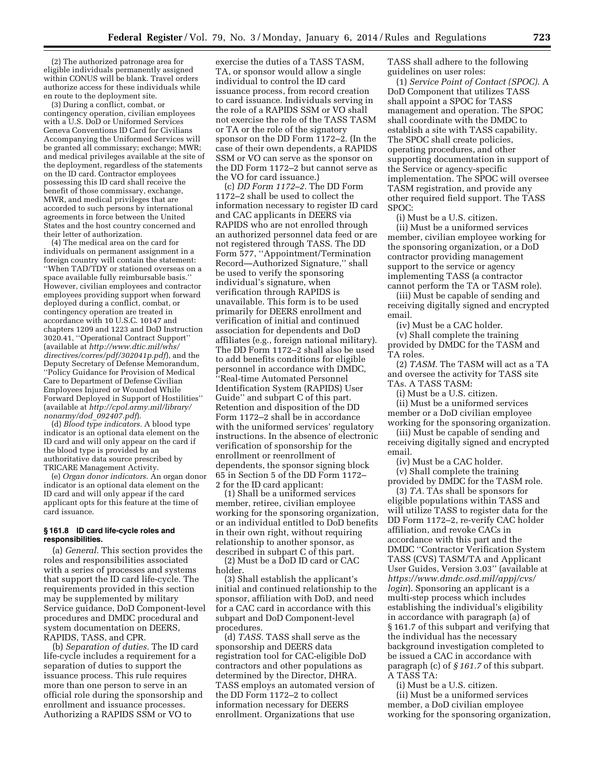(2) The authorized patronage area for eligible individuals permanently assigned within CONUS will be blank. Travel orders authorize access for these individuals while en route to the deployment site.

(3) During a conflict, combat, or contingency operation, civilian employees with a U.S. DoD or Uniformed Services Geneva Conventions ID Card for Civilians Accompanying the Uniformed Services will be granted all commissary; exchange; MWR; and medical privileges available at the site of the deployment, regardless of the statements on the ID card. Contractor employees possessing this ID card shall receive the benefit of those commissary, exchange, MWR, and medical privileges that are accorded to such persons by international agreements in force between the United States and the host country concerned and their letter of authorization.

(4) The medical area on the card for individuals on permanent assignment in a foreign country will contain the statement: ''When TAD/TDY or stationed overseas on a space available fully reimbursable basis.'' However, civilian employees and contractor employees providing support when forward deployed during a conflict, combat, or contingency operation are treated in accordance with 10 U.S.C. 10147 and chapters 1209 and 1223 and DoD Instruction 3020.41, ''Operational Contract Support'' (available at *http://www.dtic.mil/whs/ directives/corres/pdf/302041p.pdf*), and the Deputy Secretary of Defense Memorandum, ''Policy Guidance for Provision of Medical Care to Department of Defense Civilian Employees Injured or Wounded While Forward Deployed in Support of Hostilities'' (available at *http://cpol.army.mil/library/ nonarmy/dod*\_*092407.pdf*).

(d) *Blood type indicators.* A blood type indicator is an optional data element on the ID card and will only appear on the card if the blood type is provided by an authoritative data source prescribed by TRICARE Management Activity.

(e) *Organ donor indicators.* An organ donor indicator is an optional data element on the ID card and will only appear if the card applicant opts for this feature at the time of card issuance.

#### **§ 161.8 ID card life-cycle roles and responsibilities.**

(a) *General.* This section provides the roles and responsibilities associated with a series of processes and systems that support the ID card life-cycle. The requirements provided in this section may be supplemented by military Service guidance, DoD Component-level procedures and DMDC procedural and system documentation on DEERS, RAPIDS, TASS, and CPR.

(b) *Separation of duties.* The ID card life-cycle includes a requirement for a separation of duties to support the issuance process. This rule requires more than one person to serve in an official role during the sponsorship and enrollment and issuance processes. Authorizing a RAPIDS SSM or VO to

exercise the duties of a TASS TASM, TA, or sponsor would allow a single individual to control the ID card issuance process, from record creation to card issuance. Individuals serving in the role of a RAPIDS SSM or VO shall not exercise the role of the TASS TASM or TA or the role of the signatory sponsor on the DD Form 1172–2. (In the case of their own dependents, a RAPIDS SSM or VO can serve as the sponsor on the DD Form 1172–2 but cannot serve as the VO for card issuance.)

(c) *DD Form 1172–2.* The DD Form 1172–2 shall be used to collect the information necessary to register ID card and CAC applicants in DEERS via RAPIDS who are not enrolled through an authorized personnel data feed or are not registered through TASS. The DD Form 577, ''Appointment/Termination Record—Authorized Signature,'' shall be used to verify the sponsoring individual's signature, when verification through RAPIDS is unavailable. This form is to be used primarily for DEERS enrollment and verification of initial and continued association for dependents and DoD affiliates (e.g., foreign national military). The DD Form 1172–2 shall also be used to add benefits conditions for eligible personnel in accordance with DMDC, ''Real-time Automated Personnel Identification System (RAPIDS) User Guide'' and subpart C of this part. Retention and disposition of the DD Form 1172–2 shall be in accordance with the uniformed services' regulatory instructions. In the absence of electronic verification of sponsorship for the enrollment or reenrollment of dependents, the sponsor signing block 65 in Section 5 of the DD Form 1172– 2 for the ID card applicant:

(1) Shall be a uniformed services member, retiree, civilian employee working for the sponsoring organization, or an individual entitled to DoD benefits in their own right, without requiring relationship to another sponsor, as described in subpart C of this part.

(2) Must be a DoD ID card or CAC holder.

(3) Shall establish the applicant's initial and continued relationship to the sponsor, affiliation with DoD, and need for a CAC card in accordance with this subpart and DoD Component-level procedures.

(d) *TASS.* TASS shall serve as the sponsorship and DEERS data registration tool for CAC-eligible DoD contractors and other populations as determined by the Director, DHRA. TASS employs an automated version of the DD Form 1172–2 to collect information necessary for DEERS enrollment. Organizations that use

TASS shall adhere to the following guidelines on user roles:

(1) *Service Point of Contact (SPOC).* A DoD Component that utilizes TASS shall appoint a SPOC for TASS management and operation. The SPOC shall coordinate with the DMDC to establish a site with TASS capability. The SPOC shall create policies, operating procedures, and other supporting documentation in support of the Service or agency-specific implementation. The SPOC will oversee TASM registration, and provide any other required field support. The TASS SPOC:

(i) Must be a U.S. citizen.

(ii) Must be a uniformed services member, civilian employee working for the sponsoring organization, or a DoD contractor providing management support to the service or agency implementing TASS (a contractor cannot perform the TA or TASM role).

(iii) Must be capable of sending and receiving digitally signed and encrypted email.

(iv) Must be a CAC holder. (v) Shall complete the training provided by DMDC for the TASM and TA roles.

(2) *TASM.* The TASM will act as a TA and oversee the activity for TASS site TAs. A TASS TASM:

(i) Must be a U.S. citizen.

(ii) Must be a uniformed services member or a DoD civilian employee working for the sponsoring organization.

(iii) Must be capable of sending and receiving digitally signed and encrypted email.

(iv) Must be a CAC holder.

(v) Shall complete the training provided by DMDC for the TASM role.

(3) *TA.* TAs shall be sponsors for eligible populations within TASS and will utilize TASS to register data for the DD Form 1172–2, re-verify CAC holder affiliation, and revoke CACs in accordance with this part and the DMDC ''Contractor Verification System TASS (CVS) TASM/TA and Applicant User Guides, Version 3.03'' (available at *https://www.dmdc.osd.mil/appj/cvs/ login*). Sponsoring an applicant is a multi-step process which includes establishing the individual's eligibility in accordance with paragraph (a) of § 161.7 of this subpart and verifying that the individual has the necessary background investigation completed to be issued a CAC in accordance with paragraph (c) of *§ 161.7* of this subpart. A TASS TA:

(i) Must be a U.S. citizen.

(ii) Must be a uniformed services member, a DoD civilian employee working for the sponsoring organization,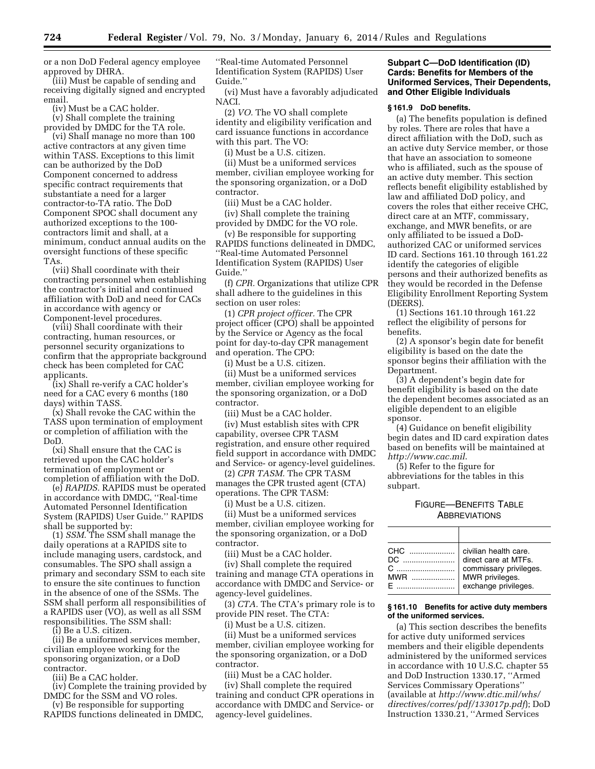or a non DoD Federal agency employee approved by DHRA.

(iii) Must be capable of sending and receiving digitally signed and encrypted email.

(iv) Must be a CAC holder.

(v) Shall complete the training provided by DMDC for the TA role.

(vi) Shall manage no more than 100 active contractors at any given time within TASS. Exceptions to this limit can be authorized by the DoD Component concerned to address specific contract requirements that substantiate a need for a larger contractor-to-TA ratio. The DoD Component SPOC shall document any authorized exceptions to the 100 contractors limit and shall, at a minimum, conduct annual audits on the oversight functions of these specific TAs.

(vii) Shall coordinate with their contracting personnel when establishing the contractor's initial and continued affiliation with DoD and need for CACs in accordance with agency or Component-level procedures.

(viii) Shall coordinate with their contracting, human resources, or personnel security organizations to confirm that the appropriate background check has been completed for CAC applicants.

(ix) Shall re-verify a CAC holder's need for a CAC every 6 months (180 days) within TASS.

(x) Shall revoke the CAC within the TASS upon termination of employment or completion of affiliation with the DoD.

(xi) Shall ensure that the CAC is retrieved upon the CAC holder's termination of employment or completion of affiliation with the DoD.

(e) *RAPIDS.* RAPIDS must be operated in accordance with DMDC, ''Real-time Automated Personnel Identification System (RAPIDS) User Guide.'' RAPIDS shall be supported by:

(1) *SSM.* The SSM shall manage the daily operations at a RAPIDS site to include managing users, cardstock, and consumables. The SPO shall assign a primary and secondary SSM to each site to ensure the site continues to function in the absence of one of the SSMs. The SSM shall perform all responsibilities of a RAPIDS user (VO), as well as all SSM responsibilities. The SSM shall:

(i) Be a U.S. citizen.

(ii) Be a uniformed services member, civilian employee working for the sponsoring organization, or a DoD contractor.

(iii) Be a CAC holder.

(iv) Complete the training provided by DMDC for the SSM and VO roles.

(v) Be responsible for supporting RAPIDS functions delineated in DMDC, ''Real-time Automated Personnel Identification System (RAPIDS) User Guide.''

(vi) Must have a favorably adjudicated NACI.

(2) *VO.* The VO shall complete identity and eligibility verification and card issuance functions in accordance with this part. The VO:

(i) Must be a U.S. citizen.

(ii) Must be a uniformed services member, civilian employee working for the sponsoring organization, or a DoD contractor.

(iii) Must be a CAC holder.

(iv) Shall complete the training provided by DMDC for the VO role.

(v) Be responsible for supporting RAPIDS functions delineated in DMDC, ''Real-time Automated Personnel Identification System (RAPIDS) User Guide.''

(f) *CPR.* Organizations that utilize CPR shall adhere to the guidelines in this section on user roles:

(1) *CPR project officer.* The CPR project officer (CPO) shall be appointed by the Service or Agency as the focal point for day-to-day CPR management and operation. The CPO:

(i) Must be a U.S. citizen.

(ii) Must be a uniformed services member, civilian employee working for the sponsoring organization, or a DoD contractor.

(iii) Must be a CAC holder.

(iv) Must establish sites with CPR capability, oversee CPR TASM registration, and ensure other required field support in accordance with DMDC and Service- or agency-level guidelines.

(2) *CPR TASM.* The CPR TASM manages the CPR trusted agent (CTA) operations. The CPR TASM:

(i) Must be a U.S. citizen.

(ii) Must be a uniformed services member, civilian employee working for the sponsoring organization, or a DoD contractor.

(iii) Must be a CAC holder.

(iv) Shall complete the required training and manage CTA operations in accordance with DMDC and Service- or agency-level guidelines.

(3) *CTA.* The CTA's primary role is to provide PIN reset. The CTA:

(i) Must be a U.S. citizen.

(ii) Must be a uniformed services member, civilian employee working for the sponsoring organization, or a DoD contractor.

(iii) Must be a CAC holder.

(iv) Shall complete the required training and conduct CPR operations in accordance with DMDC and Service- or agency-level guidelines.

#### **Subpart C—DoD Identification (ID) Cards: Benefits for Members of the Uniformed Services, Their Dependents, and Other Eligible Individuals**

#### **§ 161.9 DoD benefits.**

(a) The benefits population is defined by roles. There are roles that have a direct affiliation with the DoD, such as an active duty Service member, or those that have an association to someone who is affiliated, such as the spouse of an active duty member. This section reflects benefit eligibility established by law and affiliated DoD policy, and covers the roles that either receive CHC, direct care at an MTF, commissary, exchange, and MWR benefits, or are only affiliated to be issued a DoDauthorized CAC or uniformed services ID card. Sections 161.10 through 161.22 identify the categories of eligible persons and their authorized benefits as they would be recorded in the Defense Eligibility Enrollment Reporting System (DEERS).

(1) Sections 161.10 through 161.22 reflect the eligibility of persons for benefits.

(2) A sponsor's begin date for benefit eligibility is based on the date the sponsor begins their affiliation with the Department.

(3) A dependent's begin date for benefit eligibility is based on the date the dependent becomes associated as an eligible dependent to an eligible sponsor.

(4) Guidance on benefit eligibility begin dates and ID card expiration dates based on benefits will be maintained at *http://www.cac.mil*.

(5) Refer to the figure for abbreviations for the tables in this subpart.

#### FIGURE—BENEFITS TABLE **ABBREVIATIONS**

| DC. | civilian health care.<br>direct care at MTFs.<br>commissary privileges.<br>MWR privileges.<br>exchange privileges. |
|-----|--------------------------------------------------------------------------------------------------------------------|

#### **§ 161.10 Benefits for active duty members of the uniformed services.**

(a) This section describes the benefits for active duty uniformed services members and their eligible dependents administered by the uniformed services in accordance with 10 U.S.C. chapter 55 and DoD Instruction 1330.17, ''Armed Services Commissary Operations'' (available at *http://www.dtic.mil/whs/ directives/corres/pdf/133017p.pdf*); DoD Instruction 1330.21, ''Armed Services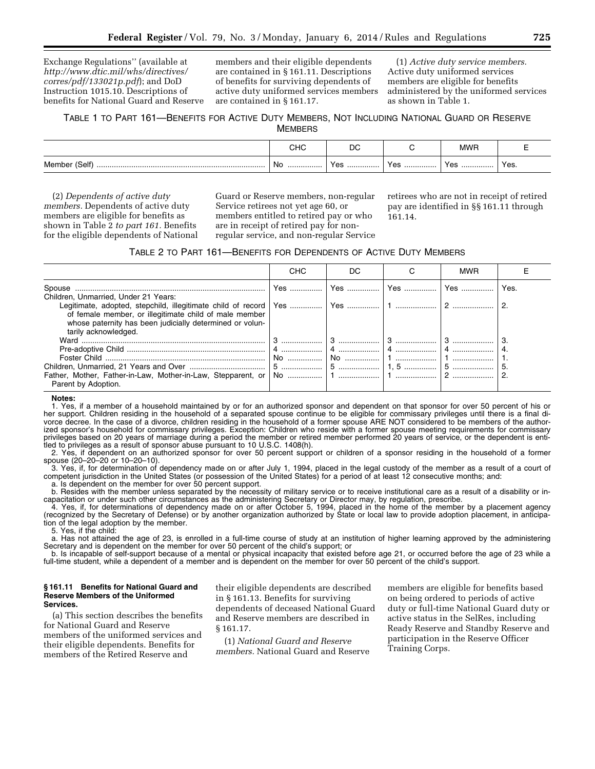Exchange Regulations'' (available at *http://www.dtic.mil/whs/directives/ corres/pdf/133021p.pdf*); and DoD Instruction 1015.10. Descriptions of benefits for National Guard and Reserve

members and their eligible dependents are contained in § 161.11. Descriptions of benefits for surviving dependents of active duty uniformed services members are contained in § 161.17.

(1) *Active duty service members.*  Active duty uniformed services members are eligible for benefits administered by the uniformed services as shown in Table 1.

#### TABLE 1 TO PART 161—BENEFITS FOR ACTIVE DUTY MEMBERS, NOT INCLUDING NATIONAL GUARD OR RESERVE **MEMBERS**

|                    |           | DC   |                | MWF |      |
|--------------------|-----------|------|----------------|-----|------|
| Member (Self)<br>. | . No<br>. | v ac | v.<br>ັບປ<br>. | Yes | Yes. |

(2) *Dependents of active duty members.* Dependents of active duty members are eligible for benefits as shown in Table 2 *to part 161.* Benefits for the eligible dependents of National Guard or Reserve members, non-regular Service retirees not yet age 60, or members entitled to retired pay or who are in receipt of retired pay for nonregular service, and non-regular Service retirees who are not in receipt of retired pay are identified in §§ 161.11 through 161.14.

#### TABLE 2 TO PART 161—BENEFITS FOR DEPENDENTS OF ACTIVE DUTY MEMBERS

|                                                                                                                                            | <b>CHC</b> | DC | <b>MWR</b> |      |
|--------------------------------------------------------------------------------------------------------------------------------------------|------------|----|------------|------|
| Spouse<br>Children, Unmarried, Under 21 Years:                                                                                             |            |    |            | Yes. |
| of female member, or illegitimate child of male member<br>whose paternity has been judicially determined or volun-<br>tarily acknowledged. |            |    |            |      |
|                                                                                                                                            |            |    |            |      |
|                                                                                                                                            |            |    |            |      |
|                                                                                                                                            |            |    |            |      |
|                                                                                                                                            |            |    |            |      |
| Parent by Adoption.                                                                                                                        |            |    |            |      |

#### **Notes:**

1. Yes, if a member of a household maintained by or for an authorized sponsor and dependent on that sponsor for over 50 percent of his or her support. Children residing in the household of a separated spouse continue to be eligible for commissary privileges until there is a final divorce decree. In the case of a divorce, children residing in the household of a former spouse ARE NOT considered to be members of the authorized sponsor's household for commissary privileges. Exception: Children who reside with a former spouse meeting requirements for commissary privileges based on 20 years of marriage during a period the member or retired member performed 20 years of service, or the dependent is entitled to privileges as a result of sponsor abuse pursuant to 10 U.S.C. 1408(h).

2. Yes, if dependent on an authorized sponsor for over 50 percent support or children of a sponsor residing in the household of a former spouse (20–20–20 or 10–20–10).

3. Yes, if, for determination of dependency made on or after July 1, 1994, placed in the legal custody of the member as a result of a court of competent jurisdiction in the United States (or possession of the United States) for a period of at least 12 consecutive months; and: a. Is dependent on the member for over 50 percent support.

b. Resides with the member unless separated by the necessity of military service or to receive institutional care as a result of a disability or incapacitation or under such other circumstances as the administering Secretary or Director may, by regulation, prescribe.

4. Yes, if, for determinations of dependency made on or after October 5, 1994, placed in the home of the member by a placement agency (recognized by the Secretary of Defense) or by another organization authorized by State or local law to provide adoption placement, in anticipation of the legal adoption by the member.

5. Yes, if the child:

a. Has not attained the age of 23, is enrolled in a full-time course of study at an institution of higher learning approved by the administering Secretary and is dependent on the member for over 50 percent of the child's support; or

b. Is incapable of self-support because of a mental or physical incapacity that existed before age 21, or occurred before the age of 23 while a full-time student, while a dependent of a member and is dependent on the member for over 50 percent of the child's support.

#### **§ 161.11 Benefits for National Guard and Reserve Members of the Uniformed Services.**

(a) This section describes the benefits for National Guard and Reserve members of the uniformed services and their eligible dependents. Benefits for members of the Retired Reserve and

their eligible dependents are described in § 161.13. Benefits for surviving dependents of deceased National Guard and Reserve members are described in § 161.17.

(1) *National Guard and Reserve members.* National Guard and Reserve members are eligible for benefits based on being ordered to periods of active duty or full-time National Guard duty or active status in the SelRes, including Ready Reserve and Standby Reserve and participation in the Reserve Officer Training Corps.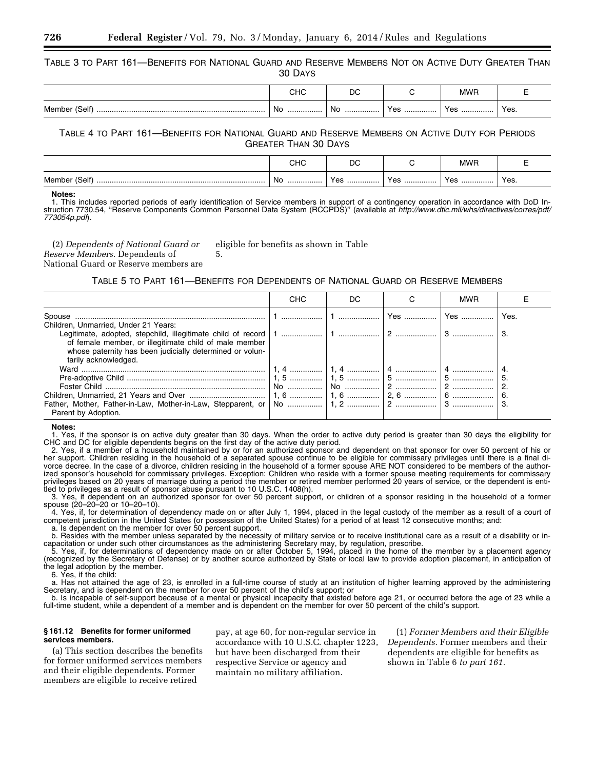TABLE 3 TO PART 161—BENEFITS FOR NATIONAL GUARD AND RESERVE MEMBERS NOT ON ACTIVE DUTY GREATER THAN 30 DAYS

|                      | <b></b><br>טו וש | ◡<br>$\sim$ |                          | <b>MWP</b> |      |
|----------------------|------------------|-------------|--------------------------|------------|------|
| Member<br>(Self)<br> | No<br>.          | No<br>.     | <b>Vac</b><br>1 G J<br>. | Yes<br>.   | Yes. |

TABLE 4 TO PART 161—BENEFITS FOR NATIONAL GUARD AND RESERVE MEMBERS ON ACTIVE DUTY FOR PERIODS GREATER THAN 30 DAYS

|                    | יי י<br>∪⊓∪ | n,<br>יע                 |            | <b>MWR</b> |      |
|--------------------|-------------|--------------------------|------------|------------|------|
| Member (Self)<br>. | . No<br>.   | $V \cap \cap$<br>55<br>. | Voc<br>100 | Yes        | Yes. |

**Notes:** 

1. This includes reported periods of early identification of Service members in support of a contingency operation in accordance with DoD Instruction 7730.54, ''Reserve Components Common Personnel Data System (RCCPDS)'' (available at *http://www.dtic.mil/whs/directives/corres/pdf/ 773054p.pdf*).

(2) *Dependents of National Guard or Reserve Members.* Dependents of National Guard or Reserve members are 5.

eligible for benefits as shown in Table

TABLE 5 TO PART 161—BENEFITS FOR DEPENDENTS OF NATIONAL GUARD OR RESERVE MEMBERS

|                                                          | <b>CHC</b> | DC. |                      | <b>MWR</b> |      |
|----------------------------------------------------------|------------|-----|----------------------|------------|------|
| Spouse                                                   |            |     | <u>l Yes  l Yes </u> |            | Yes. |
| Children, Unmarried, Under 21 Years:                     |            |     |                      |            |      |
| of female member, or illegitimate child of male member   |            |     |                      |            |      |
| whose paternity has been judicially determined or volun- |            |     |                      |            |      |
| tarily acknowledged.                                     |            |     |                      |            |      |
|                                                          |            |     |                      |            |      |
|                                                          |            |     |                      |            |      |
|                                                          |            |     |                      |            |      |
|                                                          |            |     |                      |            |      |
| Parent by Adoption.                                      |            |     |                      |            |      |

**Notes:** 

Yes, if the sponsor is on active duty greater than 30 days. When the order to active duty period is greater than 30 days the eligibility for CHC and DC for eligible dependents begins on the first day of the active duty period.

2. Yes, if a member of a household maintained by or for an authorized sponsor and dependent on that sponsor for over 50 percent of his or her support. Children residing in the household of a separated spouse continue to be eligible for commissary privileges until there is a final divorce decree. In the case of a divorce, children residing in the household of a former spouse ARE NOT considered to be members of the authorized sponsor's household for commissary privileges. Exception: Children who reside with a former spouse meeting requirements for commissary privileges based on 20 years of marriage during a period the member or retired member performed 20 years of service, or the dependent is entitled to privileges as a result of sponsor abuse pursuant to 10 U.S.C. 1408(h).

3. Yes, if dependent on an authorized sponsor for over 50 percent support, or children of a sponsor residing in the household of a former spouse (20–20–20 or 10–20–10).

4. Yes, if, for determination of dependency made on or after July 1, 1994, placed in the legal custody of the member as a result of a court of competent jurisdiction in the United States (or possession of the United States) for a period of at least 12 consecutive months; and: a. Is dependent on the member for over 50 percent support.

b. Resides with the member unless separated by the necessity of military service or to receive institutional care as a result of a disability or incapacitation or under such other circumstances as the administering Secretary may, by regulation, prescribe.

5. Yes, if, for determinations of dependency made on or after October 5, 1994, placed in the home of the member by a placement agency (recognized by the Secretary of Defense) or by another source authorized by State or local law to provide adoption placement, in anticipation of the legal adoption by the member.

6. Yes, if the child:

a. Has not attained the age of 23, is enrolled in a full-time course of study at an institution of higher learning approved by the administering Secretary, and is dependent on the member for over 50 percent of the child's support; or

b. Is incapable of self-support because of a mental or physical incapacity that existed before age 21, or occurred before the age of 23 while a full-time student, while a dependent of a member and is dependent on the member for over 50 percent of the child's support.

#### **§ 161.12 Benefits for former uniformed services members.**

(a) This section describes the benefits for former uniformed services members and their eligible dependents. Former members are eligible to receive retired

pay, at age 60, for non-regular service in accordance with 10 U.S.C. chapter 1223, but have been discharged from their respective Service or agency and maintain no military affiliation.

(1) *Former Members and their Eligible Dependents.* Former members and their dependents are eligible for benefits as shown in Table 6 *to part 161.*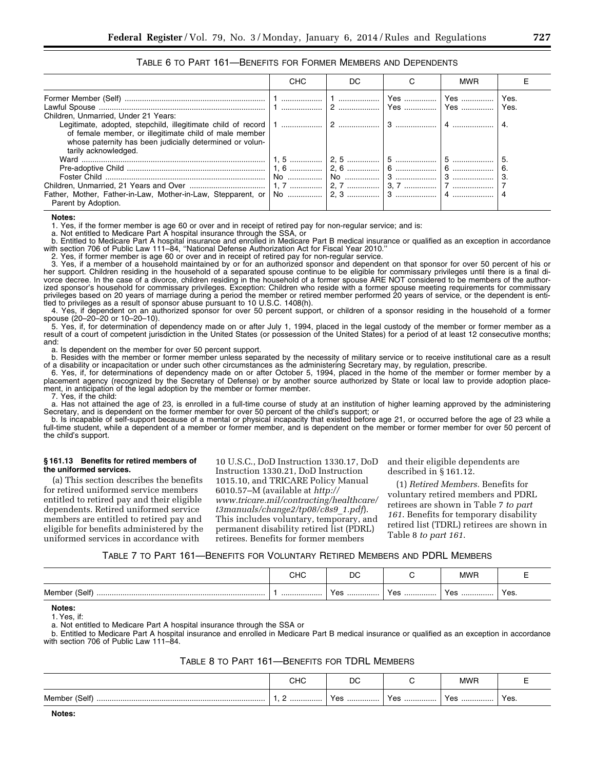#### TABLE 6 TO PART 161—BENEFITS FOR FORMER MEMBERS AND DEPENDENTS

|                                                          | <b>CHC</b> | DC. | <b>MWR</b> |      |
|----------------------------------------------------------|------------|-----|------------|------|
|                                                          |            |     |            |      |
|                                                          |            |     |            | Yes. |
| Children. Unmarried. Under 21 Years:                     |            |     |            |      |
|                                                          |            |     |            |      |
| of female member, or illegitimate child of male member   |            |     |            |      |
| whose paternity has been judicially determined or volun- |            |     |            |      |
| tarily acknowledged.                                     |            |     |            |      |
|                                                          |            |     |            |      |
|                                                          |            |     |            |      |
|                                                          |            |     |            |      |
|                                                          |            |     |            |      |
|                                                          |            |     |            |      |
| Parent by Adoption.                                      |            |     |            |      |

#### **Notes:**

1. Yes, if the former member is age 60 or over and in receipt of retired pay for non-regular service; and is:

a. Not entitled to Medicare Part A hospital insurance through the SSA, or

b. Entitled to Medicare Part A hospital insurance and enrolled in Medicare Part B medical insurance or qualified as an exception in accordance with section 706 of Public Law 111–84, ''National Defense Authorization Act for Fiscal Year 2010.''

2. Yes, if former member is age 60 or over and in receipt of retired pay for non-regular service.

3. Yes, if a member of a household maintained by or for an authorized sponsor and dependent on that sponsor for over 50 percent of his or her support. Children residing in the household of a separated spouse continue to be eligible for commissary privileges until there is a final divorce decree. In the case of a divorce, children residing in the household of a former spouse ARE NOT considered to be members of the authorized sponsor's household for commissary privileges. Exception: Children who reside with a former spouse meeting requirements for commissary privileges based on 20 years of marriage during a period the member or retired member performed 20 years of service, or the dependent is entitled to privileges as a result of sponsor abuse pursuant to 10 U.S.C. 1408(h).

4. Yes, if dependent on an authorized sponsor for over 50 percent support, or children of a sponsor residing in the household of a former spouse (20–20–20 or 10–20–10).

5. Yes, if, for determination of dependency made on or after July 1, 1994, placed in the legal custody of the member or former member as a result of a court of competent jurisdiction in the United States (or possession of the United States) for a period of at least 12 consecutive months; and:

a. Is dependent on the member for over 50 percent support.

b. Resides with the member or former member unless separated by the necessity of military service or to receive institutional care as a result of a disability or incapacitation or under such other circumstances as the administering Secretary may, by regulation, prescribe.

6. Yes, if, for determinations of dependency made on or after October 5, 1994, placed in the home of the member or former member by a placement agency (recognized by the Secretary of Defense) or by another source authorized by State or local law to provide adoption placement, in anticipation of the legal adoption by the member or former member.

7. Yes, if the child:

a. Has not attained the age of 23, is enrolled in a full-time course of study at an institution of higher learning approved by the administering Secretary, and is dependent on the former member for over 50 percent of the child's support; or

b. Is incapable of self-support because of a mental or physical incapacity that existed before age 21, or occurred before the age of 23 while a full-time student, while a dependent of a member or former member, and is dependent on the member or former member for over 50 percent of the child's support.

#### **§ 161.13 Benefits for retired members of the uniformed services.**

(a) This section describes the benefits for retired uniformed service members entitled to retired pay and their eligible dependents. Retired uniformed service members are entitled to retired pay and eligible for benefits administered by the uniformed services in accordance with

10 U.S.C., DoD Instruction 1330.17, DoD Instruction 1330.21, DoD Instruction 1015.10, and TRICARE Policy Manual 6010.57–M (available at *http:// www.tricare.mil/contracting/healthcare/ t3manuals/change2/tp08/c8s9*\_*1.pdf*). This includes voluntary, temporary, and permanent disability retired list (PDRL) retirees. Benefits for former members

and their eligible dependents are described in § 161.12.

(1) *Retired Members.* Benefits for voluntary retired members and PDRL retirees are shown in Table 7 *to part 161*. Benefits for temporary disability retired list (TDRL) retirees are shown in Table 8 *to part 161*.

#### TABLE 7 TO PART 161—BENEFITS FOR VOLUNTARY RETIRED MEMBERS AND PDRL MEMBERS

|               | $\sim$<br>∪⊓∪ | nc<br>◡  |     | <b>MWR</b> |      |
|---------------|---------------|----------|-----|------------|------|
| Member (Self) | .             | Yes<br>. | Yes | Yes        | Yes. |

**Notes:** 

1. Yes, if:

a. Not entitled to Medicare Part A hospital insurance through the SSA or

b. Entitled to Medicare Part A hospital insurance and enrolled in Medicare Part B medical insurance or qualified as an exception in accordance with section 706 of Public Law 111–84.

#### TABLE 8 TO PART 161—BENEFITS FOR TDRL MEMBERS

|                                      | снс | DC      |               | 1111E   |      |
|--------------------------------------|-----|---------|---------------|---------|------|
| (Self <sup>®</sup><br>Member<br><br> | .   | Yes<br> | v م<br>.<br>. | Yes<br> | Yes. |

**Notes:**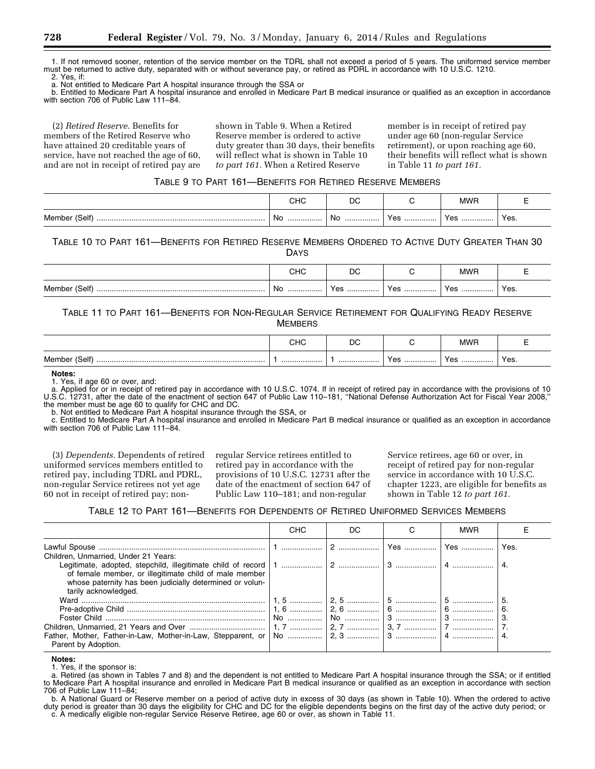1. If not removed sooner, retention of the service member on the TDRL shall not exceed a period of 5 years. The uniformed service member must be returned to active duty, separated with or without severance pay, or retired as PDRL in accordance with 10 U.S.C. 1210.

2. Yes, if:

a. Not entitled to Medicare Part A hospital insurance through the SSA or

b. Entitled to Medicare Part A hospital insurance and enrolled in Medicare Part B medical insurance or qualified as an exception in accordance with section 706 of Public Law 111-84.

(2) *Retired Reserve.* Benefits for members of the Retired Reserve who have attained 20 creditable years of service, have not reached the age of 60, and are not in receipt of retired pay are

shown in Table 9. When a Retired Reserve member is ordered to active duty greater than 30 days, their benefits will reflect what is shown in Table 10 *to part 161.* When a Retired Reserve

member is in receipt of retired pay under age 60 (non-regular Service retirement), or upon reaching age 60, their benefits will reflect what is shown in Table 11 *to part 161.* 

#### TABLE 9 TO PART 161—BENEFITS FOR RETIRED RESERVE MEMBERS

|                        | יי י<br>ี∼⊓ | n,<br>◡ |     | <b>MWR</b> |      |
|------------------------|-------------|---------|-----|------------|------|
| Member (Self)<br>.<br> | - No<br>.   | No<br>. | Yes | Yes<br>.   | Yes. |

### TABLE 10 TO PART 161—BENEFITS FOR RETIRED RESERVE MEMBERS ORDERED TO ACTIVE DUTY GREATER THAN 30

DAYS

|                       | יי י     | ◡          |                       | MWP      |      |
|-----------------------|----------|------------|-----------------------|----------|------|
| (Self)<br>Member<br>. | Nc.<br>. | 0۵<br>. Co | Voc<br>. <del>.</del> | Yes<br>. | Yes. |

#### TABLE 11 TO PART 161—BENEFITS FOR NON-REGULAR SERVICE RETIREMENT FOR QUALIFYING READY RESERVE **MEMBERS**

|                    | снс | DC |          | <b>MWR</b> |      |
|--------------------|-----|----|----------|------------|------|
| Member (Self)<br>. | .   | .  | Yes<br>. | Yes<br>.   | Yes. |

**Notes:** 

1. Yes, if age 60 or over, and:

a. Applied for or in receipt of retired pay in accordance with 10 U.S.C. 1074. If in receipt of retired pay in accordance with the provisions of 10 U.S.C. 12731, after the date of the enactment of section 647 of Public Law 110–181, ''National Defense Authorization Act for Fiscal Year 2008,'' the member must be age 60 to qualify for CHC and DC.

b. Not entitled to Medicare Part A hospital insurance through the SSA, or

c. Entitled to Medicare Part A hospital insurance and enrolled in Medicare Part B medical insurance or qualified as an exception in accordance with section 706 of Public Law 111–84.

(3) *Dependents.* Dependents of retired uniformed services members entitled to retired pay, including TDRL and PDRL, non-regular Service retirees not yet age 60 not in receipt of retired pay; nonregular Service retirees entitled to retired pay in accordance with the provisions of 10 U.S.C. 12731 after the date of the enactment of section 647 of Public Law 110–181; and non-regular

Service retirees, age 60 or over, in receipt of retired pay for non-regular service in accordance with 10 U.S.C. chapter 1223, are eligible for benefits as shown in Table 12 *to part 161.* 

TABLE 12 TO PART 161—BENEFITS FOR DEPENDENTS OF RETIRED UNIFORMED SERVICES MEMBERS

|                                                                                                                                            | <b>CHC</b> | DC. |            | <b>MWR</b> |      |
|--------------------------------------------------------------------------------------------------------------------------------------------|------------|-----|------------|------------|------|
| Children, Unmarried, Under 21 Years:                                                                                                       |            |     | Yes    Yes |            | Yes. |
| of female member, or illegitimate child of male member<br>whose paternity has been judicially determined or volun-<br>tarily acknowledged. |            |     |            |            |      |
|                                                                                                                                            |            |     |            |            |      |
|                                                                                                                                            |            |     |            |            |      |
|                                                                                                                                            |            |     |            |            |      |
|                                                                                                                                            |            |     |            |            |      |
| Parent by Adoption.                                                                                                                        |            |     |            |            |      |

#### **Notes:**

1. Yes, if the sponsor is:

a. Retired (as shown in Tables 7 and 8) and the dependent is not entitled to Medicare Part A hospital insurance through the SSA; or if entitled to Medicare Part A hospital insurance and enrolled in Medicare Part B medical insurance or qualified as an exception in accordance with section 706 of Public Law 111–84;

b. A National Guard or Reserve member on a period of active duty in excess of 30 days (as shown in Table 10). When the ordered to active duty period is greater than 30 days the eligibility for CHC and DC for the eligible dependents begins on the first day of the active duty period; or c. A medically eligible non-regular Service Reserve Retiree, age 60 or over, as shown in Table 11.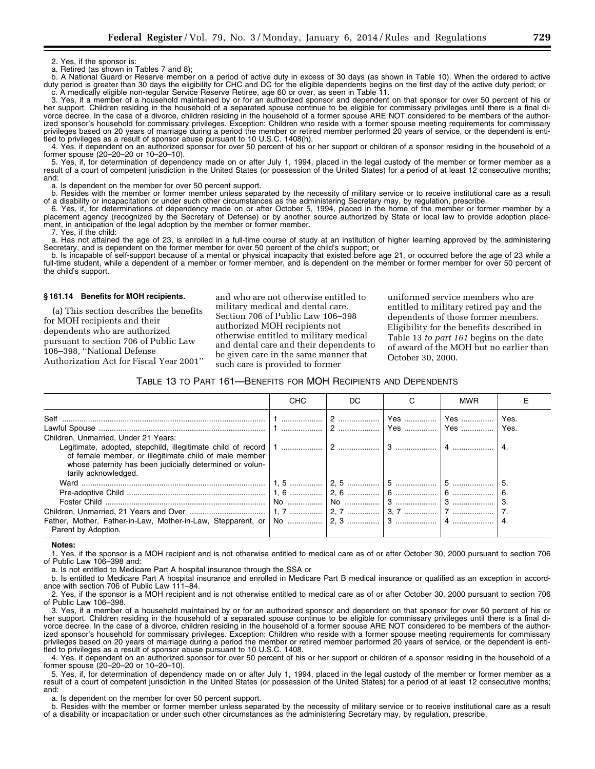2. Yes, if the sponsor is:

a. Retired (as shown in Tables 7 and 8);

b. A National Guard or Reserve member on a period of active duty in excess of 30 days (as shown in Table 10). When the ordered to active duty period is greater than 30 days the eligibility for CHC and DC for the eligible dependents begins on the first day of the active duty period; or c. A medically eligible non-regular Service Reserve Retiree, age 60 or over, as seen in Table 11.

3. Yes, if a member of a household maintained by or for an authorized sponsor and dependent on that sponsor for over 50 percent of his or her support. Children residing in the household of a separated spouse continue to be eligible for commissary privileges until there is a final divorce decree. In the case of a divorce, children residing in the household of a former spouse ARE NOT considered to be members of the authorized sponsor's household for commissary privileges. Exception: Children who reside with a former spouse meeting requirements for commissary privileges based on 20 years of marriage during a period the member or retired member performed 20 years of service, or the dependent is entitled to privileges as a result of sponsor abuse pursuant to 10 U.S.C. 1408(h).

4. Yes, if dependent on an authorized sponsor for over 50 percent of his or her support or children of a sponsor residing in the household of a former spouse (20–20–20 or 10–20–10).

5. Yes, if, for determination of dependency made on or after July 1, 1994, placed in the legal custody of the member or former member as a result of a court of competent jurisdiction in the United States (or possession of the United States) for a period of at least 12 consecutive months; and:

a. Is dependent on the member for over 50 percent support.

b. Resides with the member or former member unless separated by the necessity of military service or to receive institutional care as a result of a disability or incapacitation or under such other circumstances as the administering Secretary may, by regulation, prescribe.

6. Yes, if, for determinations of dependency made on or after October 5, 1994, placed in the home of the member or former member by a placement agency (recognized by the Secretary of Defense) or by another source authorized by State or local law to provide adoption placement, in anticipation of the legal adoption by the member or former member.

7. Yes, if the child:

a. Has not attained the age of 23, is enrolled in a full-time course of study at an institution of higher learning approved by the administering Secretary, and is dependent on the former member for over 50 percent of the child's support; or

b. Is incapable of self-support because of a mental or physical incapacity that existed before age 21, or occurred before the age of 23 while a full-time student, while a dependent of a member or former member, and is dependent on the member or former member for over 50 percent of the child's support.

#### **§ 161.14 Benefits for MOH recipients.**

(a) This section describes the benefits for MOH recipients and their dependents who are authorized pursuant to section 706 of Public Law 106–398, ''National Defense Authorization Act for Fiscal Year 2001'' and who are not otherwise entitled to military medical and dental care. Section 706 of Public Law 106–398 authorized MOH recipients not otherwise entitled to military medical and dental care and their dependents to be given care in the same manner that such care is provided to former

uniformed service members who are entitled to military retired pay and the dependents of those former members. Eligibility for the benefits described in Table 13 *to part 161* begins on the date of award of the MOH but no earlier than October 30, 2000.

#### TABLE 13 TO PART 161—BENEFITS FOR MOH RECIPIENTS AND DEPENDENTS

|                                                                                                                                            | <b>CHC</b> | DC | <b>MWR</b> |      |
|--------------------------------------------------------------------------------------------------------------------------------------------|------------|----|------------|------|
| Self<br>……………………………………………………………………………… │1 ……………… │2 ……………… │Yes …………… │Yes …………… │Yes.                                                     |            |    |            |      |
|                                                                                                                                            |            |    |            | Yes. |
| Children, Unmarried, Under 21 Years:                                                                                                       |            |    |            |      |
| of female member, or illegitimate child of male member<br>whose paternity has been judicially determined or volun-<br>tarily acknowledged. |            |    |            |      |
|                                                                                                                                            |            |    |            |      |
|                                                                                                                                            |            |    |            |      |
|                                                                                                                                            |            |    |            |      |
|                                                                                                                                            |            |    |            |      |
| Parent by Adoption.                                                                                                                        |            |    |            |      |

**Notes:** 

1. Yes, if the sponsor is a MOH recipient and is not otherwise entitled to medical care as of or after October 30, 2000 pursuant to section 706 of Public Law 106–398 and:

a. Is not entitled to Medicare Part A hospital insurance through the SSA or

b. Is entitled to Medicare Part A hospital insurance and enrolled in Medicare Part B medical insurance or qualified as an exception in accordance with section 706 of Public Law 111–84.

2. Yes, if the sponsor is a MOH recipient and is not otherwise entitled to medical care as of or after October 30, 2000 pursuant to section 706 of Public Law 106–398.

3. Yes, if a member of a household maintained by or for an authorized sponsor and dependent on that sponsor for over 50 percent of his or her support. Children residing in the household of a separated spouse continue to be eligible for commissary privileges until there is a final divorce decree. In the case of a divorce, children residing in the household of a former spouse ARE NOT considered to be members of the authorized sponsor's household for commissary privileges. Exception: Children who reside with a former spouse meeting requirements for commissary privileges based on 20 years of marriage during a period the member or retired member performed 20 years of service, or the dependent is entitled to privileges as a result of sponsor abuse pursuant to 10 U.S.C. 1408.

4. Yes, if dependent on an authorized sponsor for over 50 percent of his or her support or children of a sponsor residing in the household of a former spouse (20–20–20 or 10–20–10).

5. Yes, if, for determination of dependency made on or after July 1, 1994, placed in the legal custody of the member or former member as a result of a court of competent jurisdiction in the United States (or possession of the United States) for a period of at least 12 consecutive months; and:

a. Is dependent on the member for over 50 percent support.

b. Resides with the member or former member unless separated by the necessity of military service or to receive institutional care as a result of a disability or incapacitation or under such other circumstances as the administering Secretary may, by regulation, prescribe.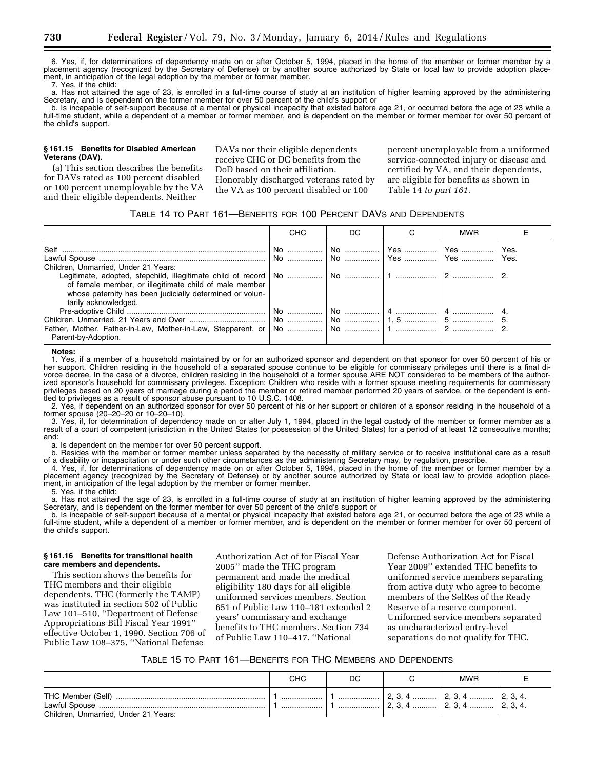6. Yes, if, for determinations of dependency made on or after October 5, 1994, placed in the home of the member or former member by a placement agency (recognized by the Secretary of Defense) or by another source authorized by State or local law to provide adoption placement, in anticipation of the legal adoption by the member or former member.

7. Yes, if the child:

a. Has not attained the age of 23, is enrolled in a full-time course of study at an institution of higher learning approved by the administering Secretary, and is dependent on the former member for over 50 percent of the child's support or

b. Is incapable of self-support because of a mental or physical incapacity that existed before age 21, or occurred before the age of 23 while a full-time student, while a dependent of a member or former member, and is dependent on the member or former member for over 50 percent of the child's support.

#### **§ 161.15 Benefits for Disabled American Veterans (DAV).**

(a) This section describes the benefits for DAVs rated as 100 percent disabled or 100 percent unemployable by the VA and their eligible dependents. Neither

DAVs nor their eligible dependents receive CHC or DC benefits from the DoD based on their affiliation. Honorably discharged veterans rated by the VA as 100 percent disabled or 100

percent unemployable from a uniformed service-connected injury or disease and certified by VA, and their dependents, are eligible for benefits as shown in Table 14 *to part 161.* 

#### TABLE 14 TO PART 161—BENEFITS FOR 100 PERCENT DAVS AND DEPENDENTS

|                                                                                        | <b>CHC</b> | DC. |                                      | <b>MWR</b> |      |
|----------------------------------------------------------------------------------------|------------|-----|--------------------------------------|------------|------|
| Lawful Spouse …………………………………………………………………   No ……………   No ……………   Yes ……………   Yes ……………… |            |     | │ No   │ No   │ Yes   │ Yes   │ Yes. |            | Yes. |
| Children, Unmarried, Under 21 Years:                                                   |            |     |                                      |            |      |
|                                                                                        |            |     |                                      |            |      |
| of female member, or illegitimate child of male member                                 |            |     |                                      |            |      |
| whose paternity has been judicially determined or volun-<br>tarily acknowledged.       |            |     |                                      |            |      |
|                                                                                        |            |     |                                      |            |      |
|                                                                                        |            |     |                                      |            |      |
|                                                                                        |            |     |                                      |            |      |
| Parent-by-Adoption.                                                                    |            |     |                                      |            |      |

#### **Notes:**

1. Yes, if a member of a household maintained by or for an authorized sponsor and dependent on that sponsor for over 50 percent of his or her support. Children residing in the household of a separated spouse continue to be eligible for commissary privileges until there is a final divorce decree. In the case of a divorce, children residing in the household of a former spouse ARE NOT considered to be members of the authorized sponsor's household for commissary privileges. Exception: Children who reside with a former spouse meeting requirements for commissary privileges based on 20 years of marriage during a period the member or retired member performed 20 years of service, or the dependent is entitled to privileges as a result of sponsor abuse pursuant to 10 U.S.C. 1408.

2. Yes, if dependent on an authorized sponsor for over 50 percent of his or her support or children of a sponsor residing in the household of a former spouse (20–20–20 or 10–20–10).

3. Yes, if, for determination of dependency made on or after July 1, 1994, placed in the legal custody of the member or former member as a result of a court of competent jurisdiction in the United States (or possession of the United States) for a period of at least 12 consecutive months; and:

a. Is dependent on the member for over 50 percent support.

b. Resides with the member or former member unless separated by the necessity of military service or to receive institutional care as a result of a disability or incapacitation or under such other circumstances as the administering Secretary may, by regulation, prescribe.

4. Yes, if, for determinations of dependency made on or after October 5, 1994, placed in the home of the member or former member by a placement agency (recognized by the Secretary of Defense) or by another source authorized by State or local law to provide adoption placement, in anticipation of the legal adoption by the member or former member.

5. Yes, if the child:

a. Has not attained the age of 23, is enrolled in a full-time course of study at an institution of higher learning approved by the administering Secretary, and is dependent on the former member for over 50 percent of the child's support or

b. Is incapable of self-support because of a mental or physical incapacity that existed before age 21, or occurred before the age of 23 while a full-time student, while a dependent of a member or former member, and is dependent on the member or former member for over 50 percent of the child's support.

#### **§ 161.16 Benefits for transitional health care members and dependents.**

This section shows the benefits for THC members and their eligible dependents. THC (formerly the TAMP) was instituted in section 502 of Public Law 101–510, ''Department of Defense Appropriations Bill Fiscal Year 1991'' effective October 1, 1990. Section 706 of Public Law 108–375, ''National Defense

Authorization Act of for Fiscal Year 2005'' made the THC program permanent and made the medical eligibility 180 days for all eligible uniformed services members. Section 651 of Public Law 110–181 extended 2 years' commissary and exchange benefits to THC members. Section 734 of Public Law 110–417, ''National

Defense Authorization Act for Fiscal Year 2009'' extended THC benefits to uniformed service members separating from active duty who agree to become members of the SelRes of the Ready Reserve of a reserve component. Uniformed service members separated as uncharacterized entry-level separations do not qualify for THC.

| TABLE 15 TO PART 161-BENEFITS FOR THC MEMBERS AND DEPENDENTS |
|--------------------------------------------------------------|
|                                                              |

|                                      | снс    | DC.  |                                    | <b>MWR</b>                        |  |
|--------------------------------------|--------|------|------------------------------------|-----------------------------------|--|
| Children, Unmarried, Under 21 Years: | .<br>. | <br> | $\vert$ 2, 3, 4  2, 3, 4  2, 3, 4. | $\mid$ 2, 3, 4  2, 3, 4  2, 3, 4. |  |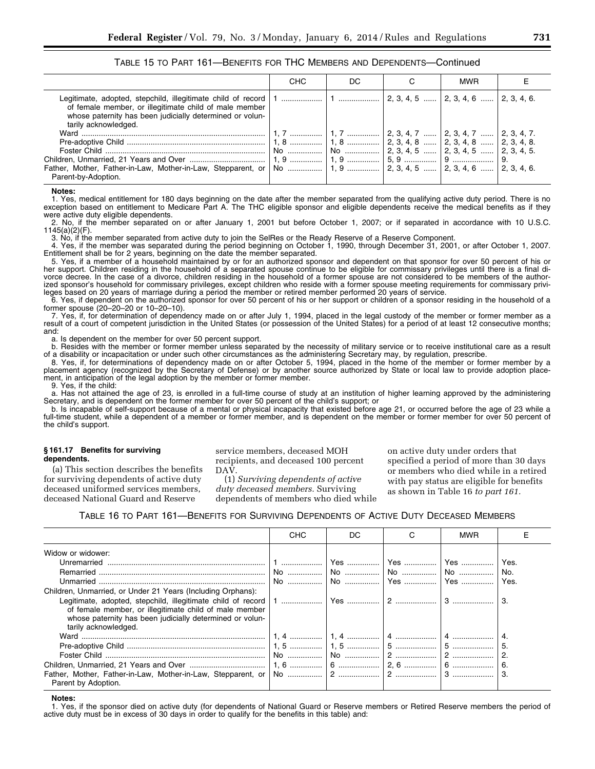|                                                                                                                                                                                                                                                           | <b>CHC</b> | DC. | <b>MWR</b> |  |
|-----------------------------------------------------------------------------------------------------------------------------------------------------------------------------------------------------------------------------------------------------------|------------|-----|------------|--|
| Legitimate, adopted, stepchild, illegitimate child of record   1    2, 3, 4, 5    2, 3, 4, 6    2, 3, 4, 6.<br>of female member, or illegitimate child of male member<br>whose paternity has been judicially determined or volun-<br>tarily acknowledged. |            |     |            |  |
|                                                                                                                                                                                                                                                           |            |     |            |  |
|                                                                                                                                                                                                                                                           |            |     |            |  |
|                                                                                                                                                                                                                                                           |            |     |            |  |
|                                                                                                                                                                                                                                                           |            |     |            |  |
| Parent-by-Adoption.                                                                                                                                                                                                                                       |            |     |            |  |

TABLE 15 TO PART 161—BENEFITS FOR THC MEMBERS AND DEPENDENTS—Continued

#### **Notes:**

1. Yes, medical entitlement for 180 days beginning on the date after the member separated from the qualifying active duty period. There is no exception based on entitlement to Medicare Part A. The THC eligible sponsor and eligible dependents receive the medical benefits as if they were active duty eligible dependents.

2. No, if the member separated on or after January 1, 2001 but before October 1, 2007; or if separated in accordance with 10 U.S.C. 1145(a)(2)(F).

3. No, if the member separated from active duty to join the SelRes or the Ready Reserve of a Reserve Component.

4. Yes, if the member was separated during the period beginning on October 1, 1990, through December 31, 2001, or after October 1, 2007. Entitlement shall be for 2 years, beginning on the date the member separated.

5. Yes, if a member of a household maintained by or for an authorized sponsor and dependent on that sponsor for over 50 percent of his or her support. Children residing in the household of a separated spouse continue to be eligible for commissary privileges until there is a final divorce decree. In the case of a divorce, children residing in the household of a former spouse are not considered to be members of the authorized sponsor's household for commissary privileges, except children who reside with a former spouse meeting requirements for commissary privileges based on 20 years of marriage during a period the member or retired member performed 20 years of service.

6. Yes, if dependent on the authorized sponsor for over 50 percent of his or her support or children of a sponsor residing in the household of a former spouse (20–20–20 or 10–20–10).

7. Yes, if, for determination of dependency made on or after July 1, 1994, placed in the legal custody of the member or former member as a result of a court of competent jurisdiction in the United States (or possession of the United States) for a period of at least 12 consecutive months; and:

a. Is dependent on the member for over 50 percent support.

b. Resides with the member or former member unless separated by the necessity of military service or to receive institutional care as a result of a disability or incapacitation or under such other circumstances as the administering Secretary may, by regulation, prescribe.

8. Yes, if, for determinations of dependency made on or after October 5, 1994, placed in the home of the member or former member by a placement agency (recognized by the Secretary of Defense) or by another source authorized by State or local law to provide adoption placement, in anticipation of the legal adoption by the member or former member.

9. Yes, if the child:

a. Has not attained the age of 23, is enrolled in a full-time course of study at an institution of higher learning approved by the administering Secretary, and is dependent on the former member for over 50 percent of the child's support; or

b. Is incapable of self-support because of a mental or physical incapacity that existed before age 21, or occurred before the age of 23 while a full-time student, while a dependent of a member or former member, and is dependent on the member or former member for over 50 percent of the child's support.

#### **§ 161.17 Benefits for surviving dependents.**

(a) This section describes the benefits for surviving dependents of active duty deceased uniformed services members, deceased National Guard and Reserve

service members, deceased MOH recipients, and deceased 100 percent DAV.

(1) *Surviving dependents of active duty deceased members.* Surviving dependents of members who died while on active duty under orders that specified a period of more than 30 days or members who died while in a retired with pay status are eligible for benefits as shown in Table 16 *to part 161.* 

TABLE 16 TO PART 161—BENEFITS FOR SURVIVING DEPENDENTS OF ACTIVE DUTY DECEASED MEMBERS

|                                                                                                                                                                                                           | <b>CHC</b> | DC | C | <b>MWR</b> |                     |
|-----------------------------------------------------------------------------------------------------------------------------------------------------------------------------------------------------------|------------|----|---|------------|---------------------|
| Widow or widower:                                                                                                                                                                                         |            |    |   |            | Yes.<br>No.<br>Yes. |
| Children, Unmarried, or Under 21 Years (Including Orphans):<br>of female member, or illegitimate child of male member<br>whose paternity has been judicially determined or volun-<br>tarily acknowledged. |            |    |   |            | 3.                  |
|                                                                                                                                                                                                           |            |    |   |            | 5.<br>$\mathbf{2}$  |
| Parent by Adoption.                                                                                                                                                                                       |            |    |   |            | 6.<br>З.            |

**Notes:** 

1. Yes, if the sponsor died on active duty (for dependents of National Guard or Reserve members or Retired Reserve members the period of active duty must be in excess of 30 days in order to qualify for the benefits in this table) and: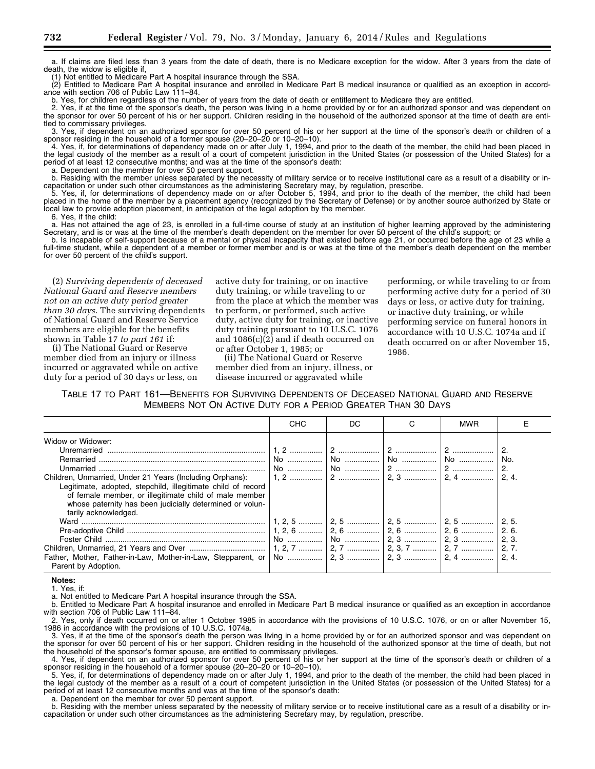a. If claims are filed less than 3 years from the date of death, there is no Medicare exception for the widow. After 3 years from the date of death, the widow is eligible if,

(1) Not entitled to Medicare Part A hospital insurance through the SSA.

(2) Entitled to Medicare Part A hospital insurance and enrolled in Medicare Part B medical insurance or qualified as an exception in accordance with section 706 of Public Law 111–84.

b. Yes, for children regardless of the number of years from the date of death or entitlement to Medicare they are entitled.

2. Yes, if at the time of the sponsor's death, the person was living in a home provided by or for an authorized sponsor and was dependent on the sponsor for over 50 percent of his or her support. Children residing in the household of the authorized sponsor at the time of death are entitled to commissary privileges.

3. Yes, if dependent on an authorized sponsor for over 50 percent of his or her support at the time of the sponsor's death or children of a sponsor residing in the household of a former spouse (20–20–20 or 10–20–10).

4. Yes, if, for determinations of dependency made on or after July 1, 1994, and prior to the death of the member, the child had been placed in the legal custody of the member as a result of a court of competent jurisdiction in the United States (or possession of the United States) for a period of at least 12 consecutive months; and was at the time of the sponsor's death:

a. Dependent on the member for over 50 percent support.

b. Residing with the member unless separated by the necessity of military service or to receive institutional care as a result of a disability or incapacitation or under such other circumstances as the administering Secretary may, by regulation, prescribe.

5. Yes, if, for determinations of dependency made on or after October 5, 1994, and prior to the death of the member, the child had been placed in the home of the member by a placement agency (recognized by the Secretary of Defense) or by another source authorized by State or local law to provide adoption placement, in anticipation of the legal adoption by the member.

6. Yes, if the child:

a. Has not attained the age of 23, is enrolled in a full-time course of study at an institution of higher learning approved by the administering Secretary, and is or was at the time of the member's death dependent on the member for over 50 percent of the child's support; or

b. Is incapable of self-support because of a mental or physical incapacity that existed before age 21, or occurred before the age of 23 while a full-time student, while a dependent of a member or former member and is or was at the time of the member's death dependent on the member for over 50 percent of the child's support.

(2) *Surviving dependents of deceased National Guard and Reserve members not on an active duty period greater than 30 days.* The surviving dependents of National Guard and Reserve Service members are eligible for the benefits shown in Table 17 *to part 161* if:

(i) The National Guard or Reserve member died from an injury or illness incurred or aggravated while on active duty for a period of 30 days or less, on

active duty for training, or on inactive duty training, or while traveling to or from the place at which the member was to perform, or performed, such active duty, active duty for training, or inactive duty training pursuant to 10 U.S.C. 1076 and 1086(c)(2) and if death occurred on or after October 1, 1985; or

(ii) The National Guard or Reserve member died from an injury, illness, or disease incurred or aggravated while

performing, or while traveling to or from performing active duty for a period of 30 days or less, or active duty for training, or inactive duty training, or while performing service on funeral honors in accordance with 10 U.S.C. 1074a and if death occurred on or after November 15, 1986.

TABLE 17 TO PART 161—BENEFITS FOR SURVIVING DEPENDENTS OF DECEASED NATIONAL GUARD AND RESERVE MEMBERS NOT ON ACTIVE DUTY FOR A PERIOD GREATER THAN 30 DAYS

|                                                                                                                                                                                                                                                                                             | <b>CHC</b> | DC. | <b>MWR</b> |                   |
|---------------------------------------------------------------------------------------------------------------------------------------------------------------------------------------------------------------------------------------------------------------------------------------------|------------|-----|------------|-------------------|
| Widow or Widower:<br>Children, Unmarried, Under 21 Years (Including Orphans):<br>Legitimate, adopted, stepchild, illegitimate child of record<br>of female member, or illegitimate child of male member<br>whose paternity has been judicially determined or volun-<br>tarily acknowledged. |            |     |            | No.<br>2.<br>2, 4 |
| Father, Mother, Father-in-Law, Mother-in-Law, Stepparent, or   No    2, 3    2, 4    2, 4    2, 4.<br>Parent by Adoption.                                                                                                                                                                   |            |     |            |                   |

**Notes:** 

1. Yes, if:

a. Not entitled to Medicare Part A hospital insurance through the SSA.

b. Entitled to Medicare Part A hospital insurance and enrolled in Medicare Part B medical insurance or qualified as an exception in accordance with section 706 of Public Law 111–84.

2. Yes, only if death occurred on or after 1 October 1985 in accordance with the provisions of 10 U.S.C. 1076, or on or after November 15, 1986 in accordance with the provisions of 10 U.S.C. 1074a.

3. Yes, if at the time of the sponsor's death the person was living in a home provided by or for an authorized sponsor and was dependent on the sponsor for over 50 percent of his or her support. Children residing in the household of the authorized sponsor at the time of death, but not the household of the sponsor's former spouse, are entitled to commissary privileges.

4. Yes, if dependent on an authorized sponsor for over 50 percent of his or her support at the time of the sponsor's death or children of a sponsor residing in the household of a former spouse (20–20–20 or 10–20–10).

5. Yes, if, for determinations of dependency made on or after July 1, 1994, and prior to the death of the member, the child had been placed in the legal custody of the member as a result of a court of competent jurisdiction in the United States (or possession of the United States) for a period of at least 12 consecutive months and was at the time of the sponsor's death:

a. Dependent on the member for over 50 percent support.

b. Residing with the member unless separated by the necessity of military service or to receive institutional care as a result of a disability or incapacitation or under such other circumstances as the administering Secretary may, by regulation, prescribe.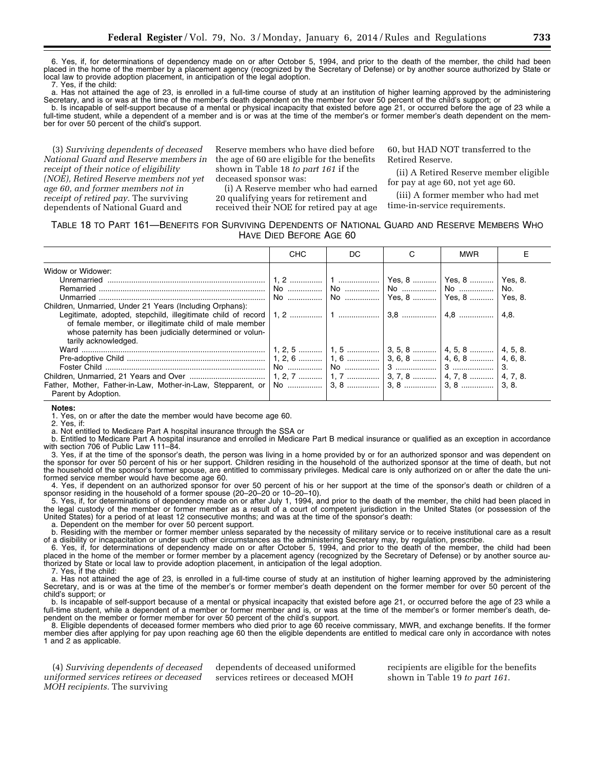6. Yes, if, for determinations of dependency made on or after October 5, 1994, and prior to the death of the member, the child had been placed in the home of the member by a placement agency (recognized by the Secretary of Defense) or by another source authorized by State or local law to provide adoption placement, in anticipation of the legal adoption.

7. Yes, if the child:

a. Has not attained the age of 23, is enrolled in a full-time course of study at an institution of higher learning approved by the administering Secretary, and is or was at the time of the member's death dependent on the member for over 50 percent of the child's support; or

b. Is incapable of self-support because of a mental or physical incapacity that existed before age 21, or occurred before the age of 23 while a full-time student, while a dependent of a member and is or was at the time of the member's or former member's death dependent on the member for over 50 percent of the child's support.

(3) *Surviving dependents of deceased National Guard and Reserve members in receipt of their notice of eligibility (NOE), Retired Reserve members not yet age 60, and former members not in receipt of retired pay.* The surviving dependents of National Guard and

Reserve members who have died before the age of 60 are eligible for the benefits shown in Table 18 *to part 161* if the deceased sponsor was:

(i) A Reserve member who had earned 20 qualifying years for retirement and received their NOE for retired pay at age

60, but HAD NOT transferred to the Retired Reserve.

(ii) A Retired Reserve member eligible for pay at age 60, not yet age 60.

(iii) A former member who had met time-in-service requirements.

#### TABLE 18 TO PART 161—BENEFITS FOR SURVIVING DEPENDENTS OF NATIONAL GUARD AND RESERVE MEMBERS WHO HAVE DIED BEFORE AGE 60

|                                                          | <b>CHC</b> | DC. | <b>MWR</b> |     |
|----------------------------------------------------------|------------|-----|------------|-----|
| Widow or Widower:                                        |            |     |            |     |
|                                                          |            |     |            |     |
|                                                          |            |     |            | No. |
|                                                          |            |     |            |     |
| Children, Unmarried, Under 21 Years (Including Orphans): |            |     |            |     |
|                                                          |            |     |            |     |
| of female member, or illegitimate child of male member   |            |     |            |     |
| whose paternity has been judicially determined or volun- |            |     |            |     |
| tarily acknowledged.                                     |            |     |            |     |
|                                                          |            |     |            |     |
|                                                          |            |     |            |     |
|                                                          |            |     |            |     |
|                                                          |            |     |            |     |
|                                                          |            |     |            |     |
| Parent by Adoption.                                      |            |     |            |     |

#### **Notes:**

1. Yes, on or after the date the member would have become age 60.<br>2. Yes, if:

Yes, if:

a. Not entitled to Medicare Part A hospital insurance through the SSA or

b. Entitled to Medicare Part A hospital insurance and enrolled in Medicare Part B medical insurance or qualified as an exception in accordance with section 706 of Public Law 111–84.

3. Yes, if at the time of the sponsor's death, the person was living in a home provided by or for an authorized sponsor and was dependent on the sponsor for over 50 percent of his or her support. Children residing in the household of the authorized sponsor at the time of death, but not the household of the sponsor's former spouse, are entitled to commissary privileges. Medical care is only authorized on or after the date the uniformed service member would have become age 60.

4. Yes, if dependent on an authorized sponsor for over 50 percent of his or her support at the time of the sponsor's death or children of a sponsor residing in the household of a former spouse (20–20–20 or 10–20–10).

5. Yes, if, for determinations of dependency made on or after July 1, 1994, and prior to the death of the member, the child had been placed in the legal custody of the member or former member as a result of a court of competent jurisdiction in the United States (or possession of the United States) for a period of at least 12 consecutive months; and was at the time of the sponsor's death:

a. Dependent on the member for over 50 percent support.

b. Residing with the member or former member unless separated by the necessity of military service or to receive institutional care as a result of a disibility or incapacitation or under such other circumstances as the administering Secretary may, by regulation, prescribe.

6. Yes, if, for determinations of dependency made on or after October 5, 1994, and prior to the death of the member, the child had been placed in the home of the member or former member by a placement agency (recognized by the Secretary of Defense) or by another source authorized by State or local law to provide adoption placement, in anticipation of the legal adoption.

7. Yes, if the child:

a. Has not attained the age of 23, is enrolled in a full-time course of study at an institution of higher learning approved by the administering Secretary, and is or was at the time of the member's or former member's death dependent on the former member for over 50 percent of the child's support; or

b. Is incapable of self-support because of a mental or physical incapacity that existed before age 21, or occurred before the age of 23 while a full-time student, while a dependent of a member or former member and is, or was at the time of the member's or former member's death, dependent on the member or former member for over 50 percent of the child's support.

8. Eligible dependents of deceased former members who died prior to age 60 receive commissary, MWR, and exchange benefits. If the former member dies after applying for pay upon reaching age 60 then the eligible dependents are entitled to medical care only in accordance with notes 1 and 2 as applicable.

(4) *Surviving dependents of deceased uniformed services retirees or deceased MOH recipients.* The surviving

dependents of deceased uniformed services retirees or deceased MOH

recipients are eligible for the benefits shown in Table 19 *to part 161*.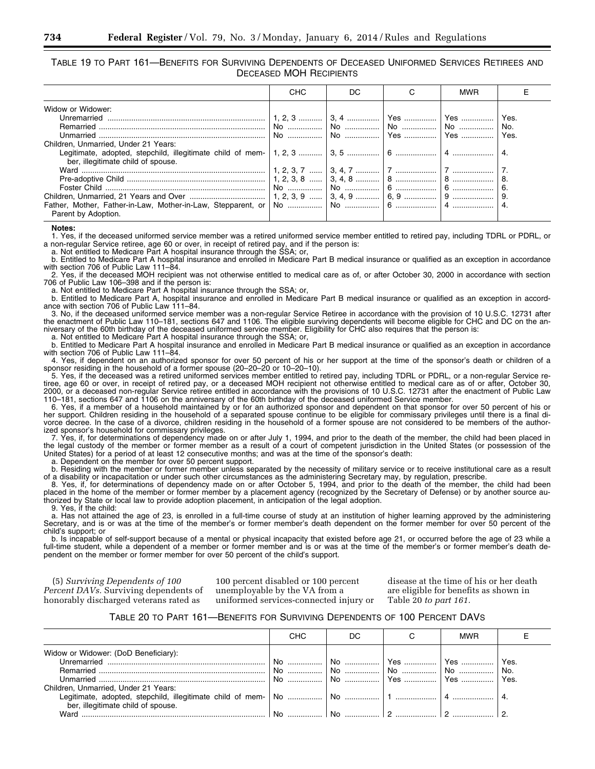TABLE 19 TO PART 161—BENEFITS FOR SURVIVING DEPENDENTS OF DECEASED UNIFORMED SERVICES RETIREES AND DECEASED MOH RECIPIENTS

|                                                                                                 | CHC | DC. | <b>MWR</b> |                     |
|-------------------------------------------------------------------------------------------------|-----|-----|------------|---------------------|
| Widow or Widower:<br>Children. Unmarried. Under 21 Years:<br>ber, illegitimate child of spouse. |     |     |            | Yes.<br>No.<br>Yes. |
| Parent by Adoption.                                                                             |     |     |            | -8.<br>6.           |

**Notes:** 

1. Yes, if the deceased uniformed service member was a retired uniformed service member entitled to retired pay, including TDRL or PDRL, or a non-regular Service retiree, age 60 or over, in receipt of retired pay, and if the person is:

a. Not entitled to Medicare Part A hospital insurance through the SSA; or,

b. Entitled to Medicare Part A hospital insurance and enrolled in Medicare Part B medical insurance or qualified as an exception in accordance with section 706 of Public Law 111–84.

2. Yes, if the deceased MOH recipient was not otherwise entitled to medical care as of, or after October 30, 2000 in accordance with section 706 of Public Law 106–398 and if the person is:

a. Not entitled to Medicare Part A hospital insurance through the SSA; or,

b. Entitled to Medicare Part A, hospital insurance and enrolled in Medicare Part B medical insurance or qualified as an exception in accordance with section 706 of Public Law 111–84.

3. No, if the deceased uniformed service member was a non-regular Service Retiree in accordance with the provision of 10 U.S.C. 12731 after the enactment of Public Law 110–181, sections 647 and 1106. The eligible surviving dependents will become eligible for CHC and DC on the anniversary of the 60th birthday of the deceased uniformed service member. Eligibility for CHC also requires that the person is:

a. Not entitled to Medicare Part A hospital insurance through the SSA; or,

b. Entitled to Medicare Part A hospital insurance and enrolled in Medicare Part B medical insurance or qualified as an exception in accordance with section 706 of Public Law 111–84.

4. Yes, if dependent on an authorized sponsor for over 50 percent of his or her support at the time of the sponsor's death or children of a sponsor residing in the household of a former spouse (20–20–20 or 10–20–10).

5. Yes, if the deceased was a retired uniformed services member entitled to retired pay, including TDRL or PDRL, or a non-regular Service retiree, age 60 or over, in receipt of retired pay, or a deceased MOH recipient not otherwise entitled to medical care as of or after, October 30, 2000, or a deceased non-regular Service retiree entitled in accordance with the provisions of 10 U.S.C. 12731 after the enactment of Public Law 110–181, sections 647 and 1106 on the anniversary of the 60th birthday of the deceased uniformed Service member.

6. Yes, if a member of a household maintained by or for an authorized sponsor and dependent on that sponsor for over 50 percent of his or her support. Children residing in the household of a separated spouse continue to be eligible for commissary privileges until there is a final divorce decree. In the case of a divorce, children residing in the household of a former spouse are not considered to be members of the authorized sponsor's household for commissary privileges.

7. Yes, if, for determinations of dependency made on or after July 1, 1994, and prior to the death of the member, the child had been placed in the legal custody of the member or former member as a result of a court of competent jurisdiction in the United States (or possession of the United States) for a period of at least 12 consecutive months; and was at the time of the sponsor's death:

a. Dependent on the member for over 50 percent support.

b. Residing with the member or former member unless separated by the necessity of military service or to receive institutional care as a result of a disability or incapacitation or under such other circumstances as the administering Secretary may, by regulation, prescribe.

8. Yes, if, for determinations of dependency made on or after October 5, 1994, and prior to the death of the member, the child had been placed in the home of the member or former member by a placement agency (recognized by the Secretary of Defense) or by another source authorized by State or local law to provide adoption placement, in anticipation of the legal adoption.

9. Yes, if the child:

a. Has not attained the age of 23, is enrolled in a full-time course of study at an institution of higher learning approved by the administering Secretary, and is or was at the time of the member's or former member's death dependent on the former member for over 50 percent of the child's support; or

b. Is incapable of self-support because of a mental or physical incapacity that existed before age 21, or occurred before the age of 23 while a full-time student, while a dependent of a member or former member and is or was at the time of the member's or former member's death dependent on the member or former member for over 50 percent of the child's support.

(5) *Surviving Dependents of 100 Percent DAVs.* Surviving dependents of honorably discharged veterans rated as

100 percent disabled or 100 percent unemployable by the VA from a uniformed services-connected injury or

disease at the time of his or her death are eligible for benefits as shown in Table 20 *to part 161.* 

#### TABLE 20 TO PART 161—BENEFITS FOR SURVIVING DEPENDENTS OF 100 PERCENT DAVS

|                                      | CHC | DC. |                                                                                                                                                                                                                                                                                                                                                                                                                                                                   | <b>MWR</b> |      |
|--------------------------------------|-----|-----|-------------------------------------------------------------------------------------------------------------------------------------------------------------------------------------------------------------------------------------------------------------------------------------------------------------------------------------------------------------------------------------------------------------------------------------------------------------------|------------|------|
| Widow or Widower: (DoD Beneficiary): |     |     |                                                                                                                                                                                                                                                                                                                                                                                                                                                                   |            |      |
|                                      |     |     |                                                                                                                                                                                                                                                                                                                                                                                                                                                                   |            | Yes. |
|                                      |     |     |                                                                                                                                                                                                                                                                                                                                                                                                                                                                   |            |      |
|                                      |     |     | $\overline{\text{No}}$ $\overline{\text{No}}$ $\overline{\text{No}}$ $\overline{\text{No}}$ $\overline{\text{Yes}}$ $\overline{\text{Yes}}$ $\overline{\text{Yes}}$ $\overline{\text{S}}$ $\overline{\text{S}}$ $\overline{\text{S}}$ $\overline{\text{S}}$ $\overline{\text{S}}$ $\overline{\text{S}}$ $\overline{\text{S}}$ $\overline{\text{S}}$ $\overline{\text{S}}$ $\overline{\text{S}}$ $\overline{\text{S}}$ $\overline{\text{S}}$ $\overline{\text{S}}$ |            | Yes. |
| Children, Unmarried, Under 21 Years: |     |     |                                                                                                                                                                                                                                                                                                                                                                                                                                                                   |            |      |
|                                      |     |     |                                                                                                                                                                                                                                                                                                                                                                                                                                                                   |            |      |
| ber, illegitimate child of spouse.   |     |     |                                                                                                                                                                                                                                                                                                                                                                                                                                                                   |            |      |
| Ward                                 | No. |     |                                                                                                                                                                                                                                                                                                                                                                                                                                                                   |            |      |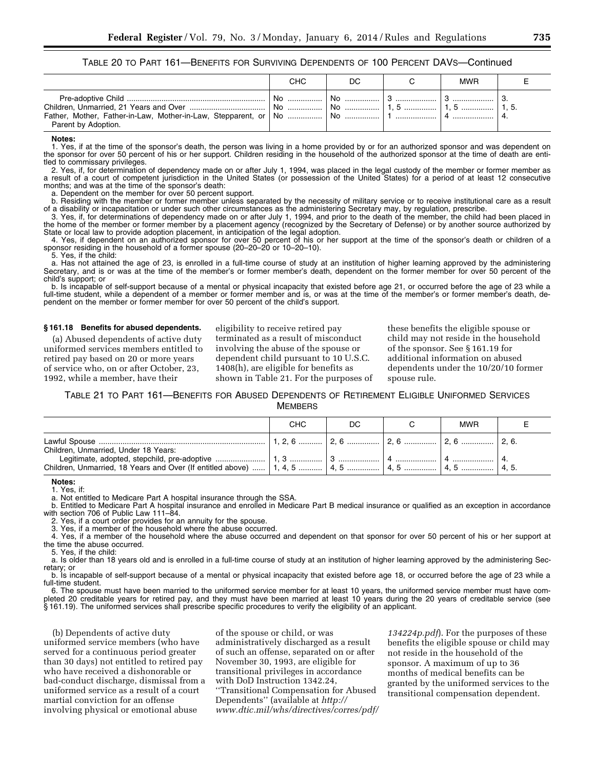TABLE 20 TO PART 161—BENEFITS FOR SURVIVING DEPENDENTS OF 100 PERCENT DAVS—Continued

|                     | CHC. | DC. | MWR |  |
|---------------------|------|-----|-----|--|
| Parent by Adoption. |      |     |     |  |

#### **Notes:**

1. Yes, if at the time of the sponsor's death, the person was living in a home provided by or for an authorized sponsor and was dependent on the sponsor for over 50 percent of his or her support. Children residing in the household of the authorized sponsor at the time of death are entitled to commissary privileges.

2. Yes, if, for determination of dependency made on or after July 1, 1994, was placed in the legal custody of the member or former member as a result of a court of competent jurisdiction in the United States (or possession of the United States) for a period of at least 12 consecutive months; and was at the time of the sponsor's death:

a. Dependent on the member for over 50 percent support.

b. Residing with the member or former member unless separated by the necessity of military service or to receive institutional care as a result of a disability or incapacitation or under such other circumstances as the administering Secretary may, by regulation, prescribe.

3. Yes, if, for determinations of dependency made on or after July 1, 1994, and prior to the death of the member, the child had been placed in the home of the member or former member by a placement agency (recognized by the Secretary of Defense) or by another source authorized by State or local law to provide adoption placement, in anticipation of the legal adoption.

4. Yes, if dependent on an authorized sponsor for over 50 percent of his or her support at the time of the sponsor's death or children of a sponsor residing in the household of a former spouse (20–20–20 or 10–20–10).

5. Yes, if the child:

a. Has not attained the age of 23, is enrolled in a full-time course of study at an institution of higher learning approved by the administering Secretary, and is or was at the time of the member's or former member's death, dependent on the former member for over 50 percent of the child's support; or

b. Is incapable of self-support because of a mental or physical incapacity that existed before age 21, or occurred before the age of 23 while a full-time student, while a dependent of a member or former member and is, or was at the time of the member's or former member's death, dependent on the member or former member for over 50 percent of the child's support.

#### **§ 161.18 Benefits for abused dependents.**

(a) Abused dependents of active duty uniformed services members entitled to retired pay based on 20 or more years of service who, on or after October, 23, 1992, while a member, have their

eligibility to receive retired pay terminated as a result of misconduct involving the abuse of the spouse or dependent child pursuant to 10 U.S.C. 1408(h), are eligible for benefits as shown in Table 21. For the purposes of these benefits the eligible spouse or child may not reside in the household of the sponsor. See § 161.19 for additional information on abused dependents under the 10/20/10 former spouse rule.

#### TABLE 21 TO PART 161—BENEFITS FOR ABUSED DEPENDENTS OF RETIREMENT ELIGIBLE UNIFORMED SERVICES **MEMBERS**

|                                      | CHC | DC. | <b>MWR</b> |  |
|--------------------------------------|-----|-----|------------|--|
| Children, Unmarried, Under 18 Years: |     |     |            |  |
|                                      |     |     |            |  |

**Notes:** 

1. Yes, if:

a. Not entitled to Medicare Part A hospital insurance through the SSA.

b. Entitled to Medicare Part A hospital insurance and enrolled in Medicare Part B medical insurance or qualified as an exception in accordance with section 706 of Public Law 111–84.

2. Yes, if a court order provides for an annuity for the spouse.

3. Yes, if a member of the household where the abuse occurred.

4. Yes, if a member of the household where the abuse occurred and dependent on that sponsor for over 50 percent of his or her support at the time the abuse occurred.

5. Yes, if the child:

a. Is older than 18 years old and is enrolled in a full-time course of study at an institution of higher learning approved by the administering Secretary; or

b. Is incapable of self-support because of a mental or physical incapacity that existed before age 18, or occurred before the age of 23 while a full-time student.

6. The spouse must have been married to the uniformed service member for at least 10 years, the uniformed service member must have completed 20 creditable years for retired pay, and they must have been married at least 10 years during the 20 years of creditable service (see § 161.19). The uniformed services shall prescribe specific procedures to verify the eligibility of an applicant.

(b) Dependents of active duty uniformed service members (who have served for a continuous period greater than 30 days) not entitled to retired pay who have received a dishonorable or bad-conduct discharge, dismissal from a uniformed service as a result of a court martial conviction for an offense involving physical or emotional abuse

of the spouse or child, or was administratively discharged as a result of such an offense, separated on or after November 30, 1993, are eligible for transitional privileges in accordance with DoD Instruction 1342.24, ''Transitional Compensation for Abused Dependents'' (available at *http:// www.dtic.mil/whs/directives/corres/pdf/*

*134224p.pdf*). For the purposes of these benefits the eligible spouse or child may not reside in the household of the sponsor. A maximum of up to 36 months of medical benefits can be granted by the uniformed services to the transitional compensation dependent.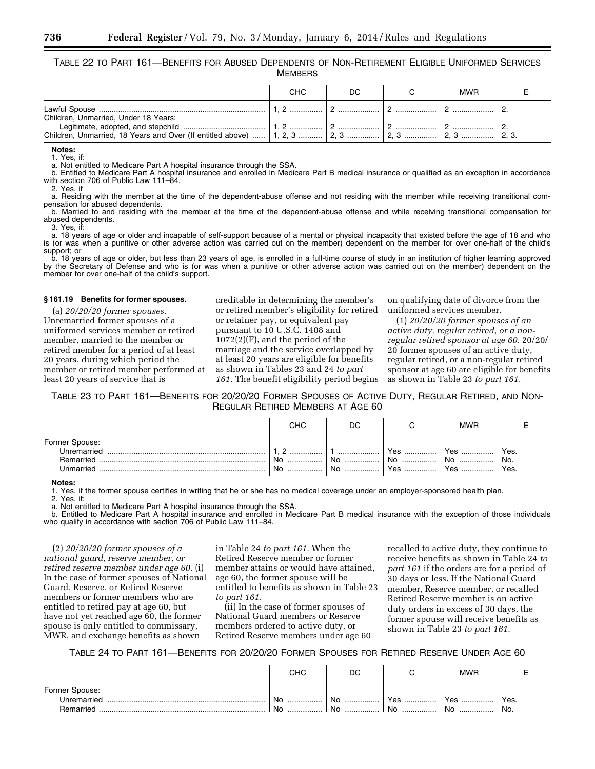TABLE 22 TO PART 161—BENEFITS FOR ABUSED DEPENDENTS OF NON-RETIREMENT ELIGIBLE UNIFORMED SERVICES **MEMBERS** 

|                                                                               | СНС | DС |                | <b>MWR</b> |  |
|-------------------------------------------------------------------------------|-----|----|----------------|------------|--|
| Children, Unmarried, Under 18 Years:                                          |     |    |                |            |  |
| Children, Unmarried, 18 Years and Over (If entitled above)    1, 2, 3    2, 3 |     |    | │ 2, 3 …………… │ |            |  |

**Notes:**  1. Yes, if:

a. Not entitled to Medicare Part A hospital insurance through the SSA.

b. Entitled to Medicare Part A hospital insurance and enrolled in Medicare Part B medical insurance or qualified as an exception in accordance with section 706 of Public Law 111–84.

2. Yes, if

a. Residing with the member at the time of the dependent-abuse offense and not residing with the member while receiving transitional compensation for abused dependents.

b. Married to and residing with the member at the time of the dependent-abuse offense and while receiving transitional compensation for abused dependents.

3. Yes, if:

a. 18 years of age or older and incapable of self-support because of a mental or physical incapacity that existed before the age of 18 and who is (or was when a punitive or other adverse action was carried out on the member) dependent on the member for over one-half of the child's support; or

b. 18 years of age or older, but less than 23 years of age, is enrolled in a full-time course of study in an institution of higher learning approved by the Secretary of Defense and who is (or was when a punitive or other adverse action was carried out on the member) dependent on the member for over one-half of the child's support.

#### **§ 161.19 Benefits for former spouses.**

(a) *20/20/20 former spouses.*  Unremarried former spouses of a uniformed services member or retired member, married to the member or retired member for a period of at least 20 years, during which period the member or retired member performed at least 20 years of service that is

creditable in determining the member's or retired member's eligibility for retired or retainer pay, or equivalent pay pursuant to 10 U.S.C. 1408 and 1072(2)(F), and the period of the marriage and the service overlapped by at least 20 years are eligible for benefits as shown in Tables 23 and 24 *to part 161.* The benefit eligibility period begins

on qualifying date of divorce from the uniformed services member.

(1) *20/20/20 former spouses of an active duty, regular retired, or a nonregular retired sponsor at age 60.* 20/20/ 20 former spouses of an active duty, regular retired, or a non-regular retired sponsor at age 60 are eligible for benefits as shown in Table 23 *to part 161.* 

TABLE 23 TO PART 161—BENEFITS FOR 20/20/20 FORMER SPOUSES OF ACTIVE DUTY, REGULAR RETIRED, AND NON-REGULAR RETIRED MEMBERS AT AGE 60

|                                                                | CHC      | DC            |                        | <b>MWR</b>       |                     |
|----------------------------------------------------------------|----------|---------------|------------------------|------------------|---------------------|
| Former Spouse:<br>Unremarried<br>Remarried<br><b>Jnmarried</b> | No<br>No | .<br>No<br>N∩ | Voc<br>53<br>No<br>Yes | Yes<br>No<br>Yes | Yes.<br>No.<br>Yes. |

**Notes:** 

1. Yes, if the former spouse certifies in writing that he or she has no medical coverage under an employer-sponsored health plan.

2. Yes, if:

a. Not entitled to Medicare Part A hospital insurance through the SSA.

b. Entitled to Medicare Part A hospital insurance and enrolled in Medicare Part B medical insurance with the exception of those individuals who qualify in accordance with section 706 of Public Law 111–84.

(2) *20/20/20 former spouses of a national guard, reserve member, or retired reserve member under age 60.* (i) In the case of former spouses of National Guard, Reserve, or Retired Reserve members or former members who are entitled to retired pay at age 60, but have not yet reached age 60, the former spouse is only entitled to commissary, MWR, and exchange benefits as shown

in Table 24 *to part 161.* When the Retired Reserve member or former member attains or would have attained, age 60, the former spouse will be entitled to benefits as shown in Table 23 *to part 161.* 

(ii) In the case of former spouses of National Guard members or Reserve members ordered to active duty, or Retired Reserve members under age 60

recalled to active duty, they continue to receive benefits as shown in Table 24 *to part 161* if the orders are for a period of 30 days or less. If the National Guard member, Reserve member, or recalled Retired Reserve member is on active duty orders in excess of 30 days, the former spouse will receive benefits as shown in Table 23 *to part 161.* 

TABLE 24 TO PART 161—BENEFITS FOR 20/20/20 FORMER SPOUSES FOR RETIRED RESERVE UNDER AGE 60

|                                            | снс          | DC                       |               | <b>MWR</b>     |             |
|--------------------------------------------|--------------|--------------------------|---------------|----------------|-------------|
| Former Spouse:<br>Unremarried<br>Remarried | No<br><br>No | No<br><br>N <sub>0</sub> | Yes<br><br>No | Yes<br><br>No. | Yes.<br>No. |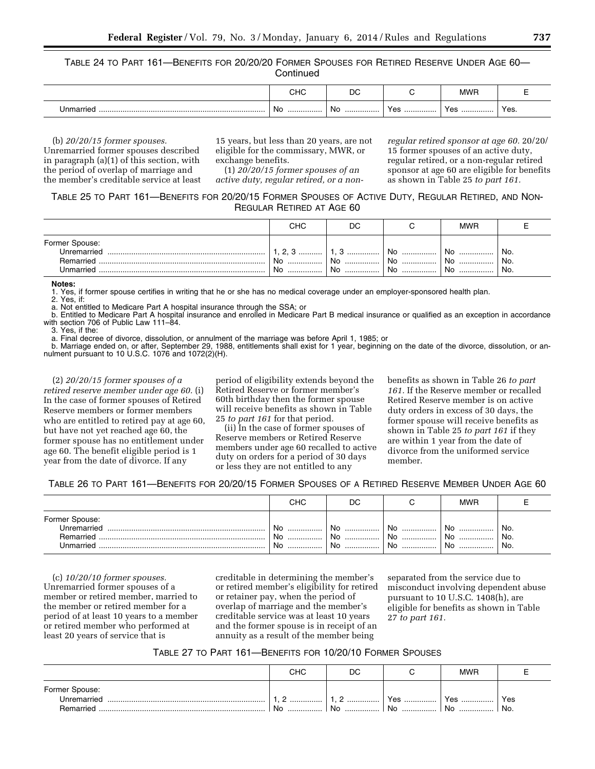TABLE 24 TO PART 161—BENEFITS FOR 20/20/20 FORMER SPOUSES FOR RETIRED RESERVE UNDER AGE 60— **Continued** 

| снс     | DC       |     | <b>MME</b> |      |
|---------|----------|-----|------------|------|
| No<br>. | .No<br>. | Yes | Yes        | Yes. |

(b) *20/20/15 former spouses.*  Unremarried former spouses described in paragraph (a)(1) of this section, with the period of overlap of marriage and the member's creditable service at least 15 years, but less than 20 years, are not eligible for the commissary, MWR, or exchange benefits.

(1) *20/20/15 former spouses of an active duty, regular retired, or a non-* *regular retired sponsor at age 60.* 20/20/ 15 former spouses of an active duty, regular retired, or a non-regular retired sponsor at age 60 are eligible for benefits as shown in Table 25 *to part 161.* 

TABLE 25 TO PART 161—BENEFITS FOR 20/20/15 FORMER SPOUSES OF ACTIVE DUTY, REGULAR RETIRED, AND NON-REGULAR RETIRED AT AGE 60

|                                                                | CHC                    | DC           |                | <b>MWR</b>     |                    |
|----------------------------------------------------------------|------------------------|--------------|----------------|----------------|--------------------|
| Former Spouse:<br>Unremarried<br>Remarried<br><b>Jnmarried</b> | <b>റ</b> വ<br>No<br>No | <br>No<br>No | No<br>No<br>No | No<br>No<br>No | No.<br>No.<br>'No. |

**Notes:** 

1. Yes, if former spouse certifies in writing that he or she has no medical coverage under an employer-sponsored health plan.

2. Yes, if:

a. Not entitled to Medicare Part A hospital insurance through the SSA; or

b. Entitled to Medicare Part A hospital insurance and enrolled in Medicare Part B medical insurance or qualified as an exception in accordance with section 706 of Public Law 111–84.

3. Yes, if the:

a. Final decree of divorce, dissolution, or annulment of the marriage was before April 1, 1985; or

b. Marriage ended on, or after, September 29, 1988, entitlements shall exist for 1 year, beginning on the date of the divorce, dissolution, or annulment pursuant to 10 U.S.C. 1076 and 1072(2)(H).

(2) *20/20/15 former spouses of a retired reserve member under age 60.* (i) In the case of former spouses of Retired Reserve members or former members who are entitled to retired pay at age 60, but have not yet reached age 60, the former spouse has no entitlement under age 60. The benefit eligible period is 1 year from the date of divorce. If any

period of eligibility extends beyond the Retired Reserve or former member's 60th birthday then the former spouse will receive benefits as shown in Table 25 *to part 161* for that period.

(ii) In the case of former spouses of Reserve members or Retired Reserve members under age 60 recalled to active duty on orders for a period of 30 days or less they are not entitled to any

benefits as shown in Table 26 *to part 161.* If the Reserve member or recalled Retired Reserve member is on active duty orders in excess of 30 days, the former spouse will receive benefits as shown in Table 25 *to part 161* if they are within 1 year from the date of divorce from the uniformed service member.

TABLE 26 TO PART 161—BENEFITS FOR 20/20/15 FORMER SPOUSES OF A RETIRED RESERVE MEMBER UNDER AGE 60

|                               | CHC | DC             |    | <b>MWR</b> |     |
|-------------------------------|-----|----------------|----|------------|-----|
| Former Spouse:<br>Unremarried | Nc. | N <sub>c</sub> | No | No         | No. |
| Remarried                     | No  | No             | No | No         | No. |
| Unmarried                     | No  | NI∩            | No | No.        | No. |

(c) *10/20/10 former spouses.*  Unremarried former spouses of a member or retired member, married to the member or retired member for a period of at least 10 years to a member or retired member who performed at least 20 years of service that is

creditable in determining the member's or retired member's eligibility for retired or retainer pay, when the period of overlap of marriage and the member's creditable service was at least 10 years and the former spouse is in receipt of an annuity as a result of the member being

separated from the service due to misconduct involving dependent abuse pursuant to 10 U.S.C. 1408(h), are eligible for benefits as shown in Table 27 *to part 161.* 

#### TABLE 27 TO PART 161—BENEFITS FOR 10/20/10 FORMER SPOUSES

|                                            | снс    | DC               |                             | <b>MWR</b> |            |
|--------------------------------------------|--------|------------------|-----------------------------|------------|------------|
| Former Spouse:<br>Unremarried<br>Remarried | <br>No | <u>.</u><br>NI∩. | <b>Vec</b><br>55<br>.<br>No | Yes<br>No. | Yes<br>No. |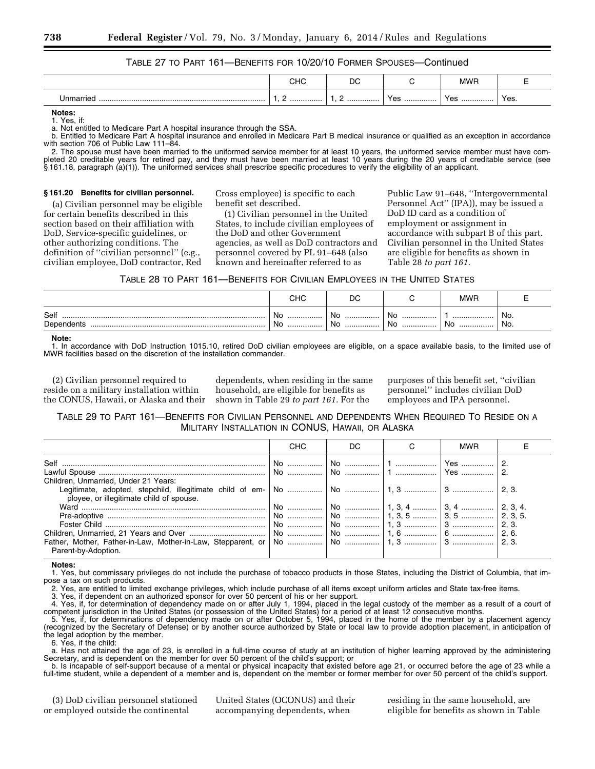#### TABLE 27 TO PART 161—BENEFITS FOR 10/20/10 FORMER SPOUSES—Continued

|   | הו ור<br>∪⊓∪ | DC |     | <b>MWR</b> |      |
|---|--------------|----|-----|------------|------|
| . | <u>.</u>     |    | Yes | Yes        | Yes. |

**Notes:** 

1. Yes, if:

a. Not entitled to Medicare Part A hospital insurance through the SSA.

b. Entitled to Medicare Part A hospital insurance and enrolled in Medicare Part B medical insurance or qualified as an exception in accordance with section 706 of Public Law 111–84.

2. The spouse must have been married to the uniformed service member for at least 10 years, the uniformed service member must have completed 20 creditable years for retired pay, and they must have been married at least 10 years during the 20 years of creditable service (see § 161.18, paragraph (a)(1)). The uniformed services shall prescribe specific procedures to verify the eligibility of an applicant.

#### **§ 161.20 Benefits for civilian personnel.**

(a) Civilian personnel may be eligible for certain benefits described in this section based on their affiliation with DoD, Service-specific guidelines, or other authorizing conditions. The definition of ''civilian personnel'' (e.g., civilian employee, DoD contractor, Red

Cross employee) is specific to each benefit set described.

(1) Civilian personnel in the United States, to include civilian employees of the DoD and other Government agencies, as well as DoD contractors and personnel covered by PL 91–648 (also known and hereinafter referred to as

Public Law 91–648, ''Intergovernmental Personnel Act'' (IPA)), may be issued a DoD ID card as a condition of employment or assignment in accordance with subpart B of this part. Civilian personnel in the United States are eligible for benefits as shown in Table 28 *to part 161.* 

| Table 28 to Part 161—Benefits for Civilian Employees in the United States |  |
|---------------------------------------------------------------------------|--|
|---------------------------------------------------------------------------|--|

|                    | יי י<br>∪⊓∪         | DC                                          |                   | <b>MWR</b>  |             |
|--------------------|---------------------|---------------------------------------------|-------------------|-------------|-------------|
| Self<br>Dependents | .No<br><br>. No<br> | -NK<br><br>w<br>N <sub>c</sub><br>1 Y V<br> | No<br><br>No<br>. | <br>No<br>. | 'No.<br>No. |

**Note:** 

1. In accordance with DoD Instruction 1015.10, retired DoD civilian employees are eligible, on a space available basis, to the limited use of MWR facilities based on the discretion of the installation commander.

(2) Civilian personnel required to reside on a military installation within the CONUS, Hawaii, or Alaska and their

dependents, when residing in the same household, are eligible for benefits as shown in Table 29 *to part 161.* For the

purposes of this benefit set, ''civilian personnel'' includes civilian DoD employees and IPA personnel.

TABLE 29 TO PART 161—BENEFITS FOR CIVILIAN PERSONNEL AND DEPENDENTS WHEN REQUIRED TO RESIDE ON A MILITARY INSTALLATION IN CONUS, HAWAII, OR ALASKA

|                                          | <b>CHC</b> | DC. | <b>MWR</b> |       |
|------------------------------------------|------------|-----|------------|-------|
| Children, Unmarried, Under 21 Years:     |            |     |            |       |
| ployee, or illegitimate child of spouse. |            |     |            |       |
|                                          |            |     |            |       |
|                                          |            |     |            |       |
|                                          |            |     |            | 2. 3. |
|                                          |            |     |            | 2.6.  |
| Parent-by-Adoption.                      |            |     |            |       |

**Notes:** 

1. Yes, but commissary privileges do not include the purchase of tobacco products in those States, including the District of Columbia, that impose a tax on such products.

2. Yes, are entitled to limited exchange privileges, which include purchase of all items except uniform articles and State tax-free items.

3. Yes, if dependent on an authorized sponsor for over 50 percent of his or her support.

4. Yes, if, for determination of dependency made on or after July 1, 1994, placed in the legal custody of the member as a result of a court of competent jurisdiction in the United States (or possession of the United States) for a period of at least 12 consecutive months.

5. Yes, if, for determinations of dependency made on or after October 5, 1994, placed in the home of the member by a placement agency (recognized by the Secretary of Defense) or by another source authorized by State or local law to provide adoption placement, in anticipation of the legal adoption by the member.

6. Yes, if the child:

a. Has not attained the age of 23, is enrolled in a full-time course of study at an institution of higher learning approved by the administering Secretary, and is dependent on the member for over 50 percent of the child's support; or

b. Is incapable of self-support because of a mental or physical incapacity that existed before age 21, or occurred before the age of 23 while a full-time student, while a dependent of a member and is, dependent on the member or former member for over 50 percent of the child's support.

(3) DoD civilian personnel stationed or employed outside the continental

United States (OCONUS) and their accompanying dependents, when

residing in the same household, are eligible for benefits as shown in Table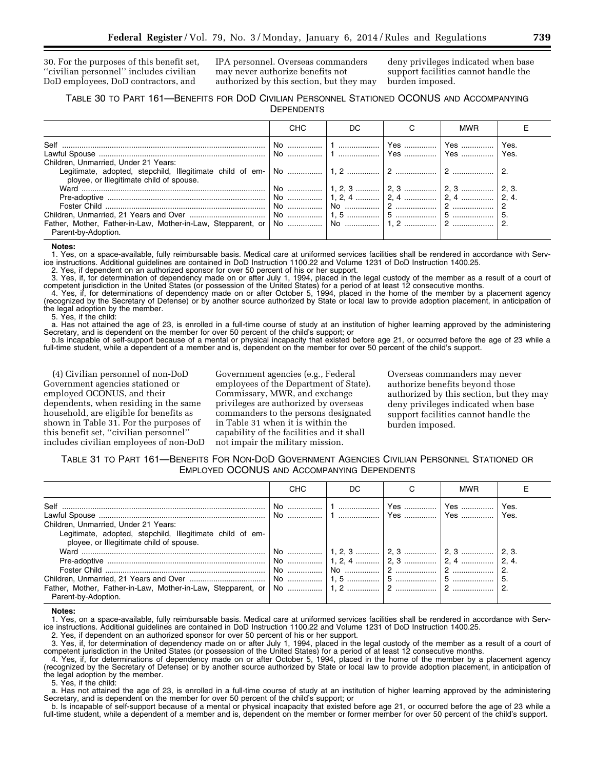30. For the purposes of this benefit set, ''civilian personnel'' includes civilian DoD employees, DoD contractors, and

IPA personnel. Overseas commanders may never authorize benefits not authorized by this section, but they may

deny privileges indicated when base support facilities cannot handle the burden imposed.

#### TABLE 30 TO PART 161—BENEFITS FOR DOD CIVILIAN PERSONNEL STATIONED OCONUS AND ACCOMPANYING **DEPENDENTS**

|                                                                                  | <b>CHC</b> | DC. | MWR |  |
|----------------------------------------------------------------------------------|------------|-----|-----|--|
|                                                                                  |            |     |     |  |
| Children, Unmarried, Under 21 Years:<br>ployee, or Illegitimate child of spouse. |            |     |     |  |
|                                                                                  |            |     |     |  |
| Parent-by-Adoption.                                                              |            |     |     |  |

**Notes:** 

1. Yes, on a space-available, fully reimbursable basis. Medical care at uniformed services facilities shall be rendered in accordance with Service instructions. Additional guidelines are contained in DoD Instruction 1100.22 and Volume 1231 of DoD Instruction 1400.25.

2. Yes, if dependent on an authorized sponsor for over 50 percent of his or her support.

3. Yes, if, for determination of dependency made on or after July 1, 1994, placed in the legal custody of the member as a result of a court of competent jurisdiction in the United States (or possession of the United States) for a period of at least 12 consecutive months.

4. Yes, if, for determinations of dependency made on or after October 5, 1994, placed in the home of the member by a placement agency (recognized by the Secretary of Defense) or by another source authorized by State or local law to provide adoption placement, in anticipation of the legal adoption by the member.

5. Yes, if the child:

a. Has not attained the age of 23, is enrolled in a full-time course of study at an institution of higher learning approved by the administering Secretary, and is dependent on the member for over 50 percent of the child's support; or

b.Is incapable of self-support because of a mental or physical incapacity that existed before age 21, or occurred before the age of 23 while a full-time student, while a dependent of a member and is, dependent on the member for over 50 percent of the child's support.

(4) Civilian personnel of non-DoD Government agencies stationed or employed OCONUS, and their dependents, when residing in the same household, are eligible for benefits as shown in Table 31. For the purposes of this benefit set, ''civilian personnel'' includes civilian employees of non-DoD

Government agencies (e.g., Federal employees of the Department of State). Commissary, MWR, and exchange privileges are authorized by overseas commanders to the persons designated in Table 31 when it is within the capability of the facilities and it shall not impair the military mission.

Overseas commanders may never authorize benefits beyond those authorized by this section, but they may deny privileges indicated when base support facilities cannot handle the burden imposed.

#### TABLE 31 TO PART 161—BENEFITS FOR NON-DOD GOVERNMENT AGENCIES CIVILIAN PERSONNEL STATIONED OR EMPLOYED OCONUS AND ACCOMPANYING DEPENDENTS

|                                                                                                                                               | <b>CHC</b> | DC.                                    | <b>MWR</b> |      |
|-----------------------------------------------------------------------------------------------------------------------------------------------|------------|----------------------------------------|------------|------|
| Children, Unmarried, Under 21 Years:<br>Legitimate, adopted, stepchild, Illegitimate child of em-<br>ployee, or Illegitimate child of spouse. |            |                                        |            | Yes. |
| Parent-by-Adoption.                                                                                                                           |            | No    1, 2, 3    2, 3    2, 3    2, 3. |            |      |

**Notes:** 

1. Yes, on a space-available, fully reimbursable basis. Medical care at uniformed services facilities shall be rendered in accordance with Service instructions. Additional guidelines are contained in DoD Instruction 1100.22 and Volume 1231 of DoD Instruction 1400.25.

2. Yes, if dependent on an authorized sponsor for over 50 percent of his or her support.

3. Yes, if, for determination of dependency made on or after July 1, 1994, placed in the legal custody of the member as a result of a court of competent jurisdiction in the United States (or possession of the United States) for a period of at least 12 consecutive months.

4. Yes, if, for determinations of dependency made on or after October 5, 1994, placed in the home of the member by a placement agency (recognized by the Secretary of Defense) or by another source authorized by State or local law to provide adoption placement, in anticipation of the legal adoption by the member.

5. Yes, if the child:

a. Has not attained the age of 23, is enrolled in a full-time course of study at an institution of higher learning approved by the administering Secretary, and is dependent on the member for over 50 percent of the child's support; or

b. Is incapable of self-support because of a mental or physical incapacity that existed before age 21, or occurred before the age of 23 while a full-time student, while a dependent of a member and is, dependent on the member or former member for over 50 percent of the child's support.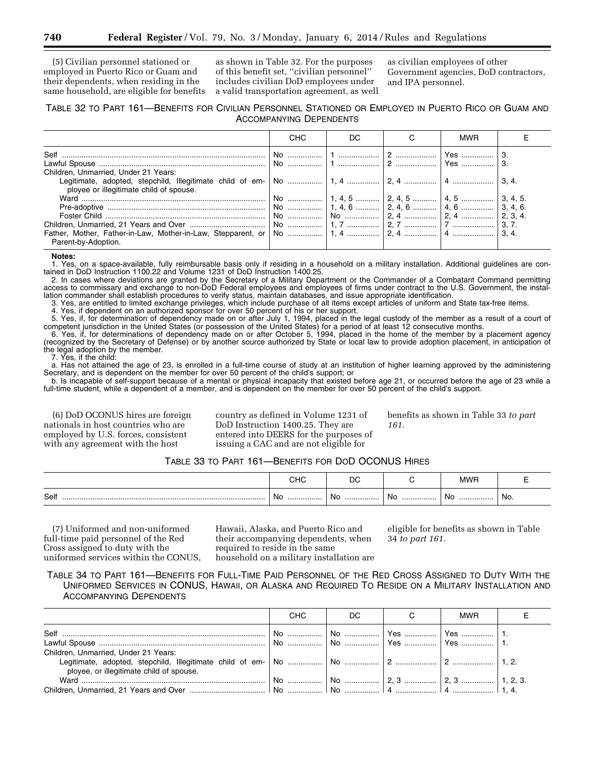(5) Civilian personnel stationed or employed in Puerto Rico or Guam and their dependents, when residing in the same household, are eligible for benefits

as shown in Table 32. For the purposes of this benefit set, ''civilian personnel'' includes civilian DoD employees under a valid transportation agreement, as well as civilian employees of other Government agencies, DoD contractors, and IPA personnel.

#### TABLE 32 TO PART 161—BENEFITS FOR CIVILIAN PERSONNEL STATIONED OR EMPLOYED IN PUERTO RICO OR GUAM AND ACCOMPANYING DEPENDENTS

|                                                                                                                                                                            | <b>CHC</b> | DC. | <b>MWR</b> |  |
|----------------------------------------------------------------------------------------------------------------------------------------------------------------------------|------------|-----|------------|--|
|                                                                                                                                                                            |            |     |            |  |
| Children, Unmarried, Under 21 Years:<br>Legitimate, adopted, stepchild, Illegitimate child of em-   No    1, 4    2, 4    3, 4.<br>ployee or illegitimate child of spouse. |            |     |            |  |
|                                                                                                                                                                            |            |     |            |  |
| Parent-by-Adoption.                                                                                                                                                        |            |     |            |  |

#### **Notes:**

1. Yes, on a space-available, fully reimbursable basis only if residing in a household on a military installation. Additional guidelines are contained in DoD Instruction 1100.22 and Volume 1231 of DoD Instruction 1400.25.

2. In cases where deviations are granted by the Secretary of a Military Department or the Commander of a Combatant Command permitting access to commissary and exchange to non-DoD Federal employees and employees of firms under contract to the U.S. Government, the installation commander shall establish procedures to verify status, maintain databases, and issue appropriate identification.

3. Yes, are entitled to limited exchange privileges, which include purchase of all items except articles of uniform and State tax-free items.

4. Yes, if dependent on an authorized sponsor for over 50 percent of his or her support.

5. Yes, if, for determination of dependency made on or after July 1, 1994, placed in the legal custody of the member as a result of a court of competent jurisdiction in the United States (or possession of the United States) for a period of at least 12 consecutive months.

6. Yes, if, for determinations of dependency made on or after October 5, 1994, placed in the home of the member by a placement agency (recognized by the Secretary of Defense) or by another source authorized by State or local law to provide adoption placement, in anticipation of the legal adoption by the member.

7. Yes, if the child:

a. Has not attained the age of 23, is enrolled in a full-time course of study at an institution of higher learning approved by the administering Secretary, and is dependent on the member for over 50 percent of the child's support; or

b. Is incapable of self-support because of a mental or physical incapacity that existed before age 21, or occurred before the age of 23 while a full-time student, while a dependent of a member, and is dependent on the member for over 50 percent of the child's support.

(6) DoD OCONUS hires are foreign nationals in host countries who are employed by U.S. forces, consistent with any agreement with the host

country as defined in Volume 1231 of DoD Instruction 1400.25. They are entered into DEERS for the purposes of issuing a CAC and are not eligible for

benefits as shown in Table 33 *to part 161.* 

#### TABLE 33 TO PART 161—BENEFITS FOR DOD OCONUS HIRES

|      | $\cdots$<br>טו וי | n,<br>יע |        | <b>MMF</b> |               |
|------|-------------------|----------|--------|------------|---------------|
| Self | .No<br>           | NH<br>   | No<br> | Nc<br>.    | No.<br>$\sim$ |

(7) Uniformed and non-uniformed full-time paid personnel of the Red Cross assigned to duty with the uniformed services within the CONUS,

Hawaii, Alaska, and Puerto Rico and their accompanying dependents, when required to reside in the same household on a military installation are eligible for benefits as shown in Table 34 *to part 161.* 

TABLE 34 TO PART 161—BENEFITS FOR FULL-TIME PAID PERSONNEL OF THE RED CROSS ASSIGNED TO DUTY WITH THE UNIFORMED SERVICES IN CONUS, HAWAII, OR ALASKA AND REQUIRED TO RESIDE ON A MILITARY INSTALLATION AND ACCOMPANYING DEPENDENTS

|                                          | CHC | DC. | <b>MWR</b> |  |
|------------------------------------------|-----|-----|------------|--|
|                                          |     |     |            |  |
|                                          |     |     |            |  |
| Children, Unmarried, Under 21 Years:     |     |     |            |  |
|                                          |     |     |            |  |
| ployee, or illegitimate child of spouse. |     |     |            |  |
|                                          |     |     |            |  |
|                                          |     |     |            |  |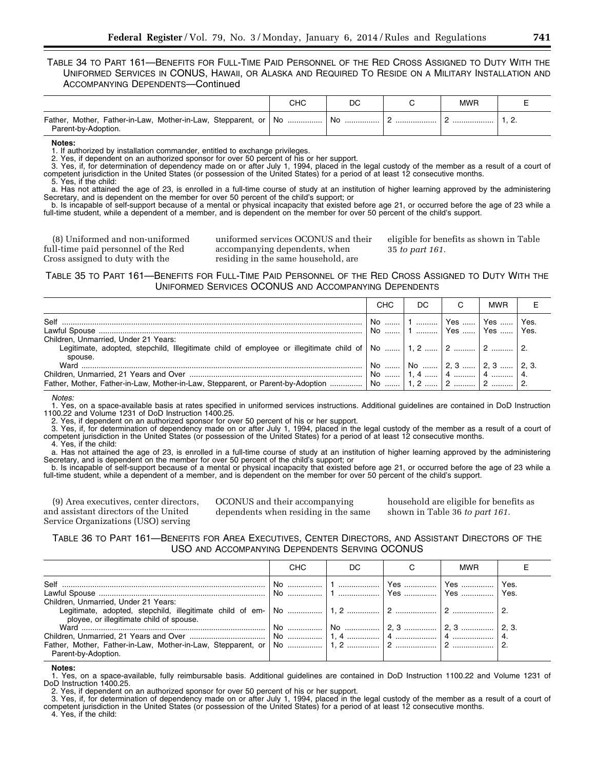TABLE 34 TO PART 161—BENEFITS FOR FULL-TIME PAID PERSONNEL OF THE RED CROSS ASSIGNED TO DUTY WITH THE UNIFORMED SERVICES IN CONUS, HAWAII, OR ALASKA AND REQUIRED TO RESIDE ON A MILITARY INSTALLATION AND ACCOMPANYING DEPENDENTS—Continued

|                                                                                        | снс | DC        |          | <b>MWP</b> |          |
|----------------------------------------------------------------------------------------|-----|-----------|----------|------------|----------|
| Father, Mother, Father-in-Law, Mother-in-Law, Stepparent, or No<br>Parent-by-Adoption. |     | l No<br>. | <u>.</u> |            | <u>.</u> |

**Notes:** 

1. If authorized by installation commander, entitled to exchange privileges.

Yes, if dependent on an authorized sponsor for over 50 percent of his or her support.

3. Yes, if, for determination of dependency made on or after July 1, 1994, placed in the legal custody of the member as a result of a court of competent jurisdiction in the United States (or possession of the United States) for a period of at least 12 consecutive months. 5. Yes, if the child:

a. Has not attained the age of 23, is enrolled in a full-time course of study at an institution of higher learning approved by the administering Secretary, and is dependent on the member for over 50 percent of the child's support; or

b. Is incapable of self-support because of a mental or physical incapacity that existed before age 21, or occurred before the age of 23 while a full-time student, while a dependent of a member, and is dependent on the member for over 50 percent of the child's support.

(8) Uniformed and non-uniformed full-time paid personnel of the Red Cross assigned to duty with the

uniformed services OCONUS and their accompanying dependents, when residing in the same household, are

eligible for benefits as shown in Table 35 *to part 161.* 

TABLE 35 TO PART 161—BENEFITS FOR FULL-TIME PAID PERSONNEL OF THE RED CROSS ASSIGNED TO DUTY WITH THE UNIFORMED SERVICES OCONUS AND ACCOMPANYING DEPENDENTS

|                                                 | CHC. | DC.                                                           | <b>MWR</b> |      |
|-------------------------------------------------|------|---------------------------------------------------------------|------------|------|
| Self                                            |      | │ No   │ 1   │ Yes   │ Yes<br>  No    1    Yes    Yes    Yes. |            | Yes. |
| Children, Unmarried, Under 21 Years:<br>spouse. |      |                                                               |            |      |
|                                                 |      | No    No    2, 3    2, 3    2, 3.                             |            |      |

*Notes:* 

1. Yes, on a space-available basis at rates specified in uniformed services instructions. Additional guidelines are contained in DoD Instruction 1100.22 and Volume 1231 of DoD Instruction 1400.25.

2. Yes, if dependent on an authorized sponsor for over 50 percent of his or her support.

3. Yes, if, for determination of dependency made on or after July 1, 1994, placed in the legal custody of the member as a result of a court of competent jurisdiction in the United States (or possession of the United States) for a period of at least 12 consecutive months. 4. Yes, if the child:

a. Has not attained the age of 23, is enrolled in a full-time course of study at an institution of higher learning approved by the administering Secretary, and is dependent on the member for over 50 percent of the child's support; or

b. Is incapable of self-support because of a mental or physical incapacity that existed before age 21, or occurred before the age of 23 while a full-time student, while a dependent of a member, and is dependent on the member for over 50 percent of the child's support.

(9) Area executives, center directors, and assistant directors of the United Service Organizations (USO) serving

OCONUS and their accompanying dependents when residing in the same household are eligible for benefits as shown in Table 36 *to part 161.* 

TABLE 36 TO PART 161—BENEFITS FOR AREA EXECUTIVES, CENTER DIRECTORS, AND ASSISTANT DIRECTORS OF THE USO AND ACCOMPANYING DEPENDENTS SERVING OCONUS

| CHC | DC | <b>MWR</b> |  |
|-----|----|------------|--|
|     |    |            |  |
|     |    |            |  |
|     |    |            |  |
|     |    |            |  |
|     |    |            |  |
|     |    |            |  |
|     |    |            |  |
|     |    |            |  |
|     |    |            |  |

**Notes:** 

1. Yes, on a space-available, fully reimbursable basis. Additional guidelines are contained in DoD Instruction 1100.22 and Volume 1231 of DoD Instruction 1400.25.

2. Yes, if dependent on an authorized sponsor for over 50 percent of his or her support.

3. Yes, if, for determination of dependency made on or after July 1, 1994, placed in the legal custody of the member as a result of a court of competent jurisdiction in the United States (or possession of the United States) for a period of at least 12 consecutive months.

4. Yes, if the child: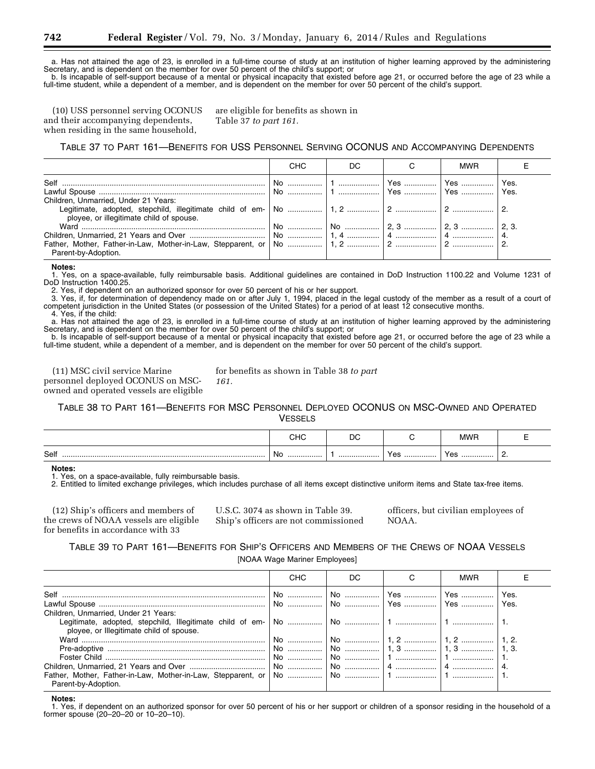a. Has not attained the age of 23, is enrolled in a full-time course of study at an institution of higher learning approved by the administering Secretary, and is dependent on the member for over 50 percent of the child's support; or

b. Is incapable of self-support because of a mental or physical incapacity that existed before age 21, or occurred before the age of 23 while a full-time student, while a dependent of a member, and is dependent on the member for over 50 percent of the child's support.

(10) USS personnel serving OCONUS and their accompanying dependents, when residing in the same household,

are eligible for benefits as shown in Table 37 *to part 161.* 

TABLE 37 TO PART 161—BENEFITS FOR USS PERSONNEL SERVING OCONUS AND ACCOMPANYING DEPENDENTS

|                                          | CHC | DC. | <b>MWR</b> |  |
|------------------------------------------|-----|-----|------------|--|
|                                          |     |     |            |  |
|                                          |     |     |            |  |
| Children, Unmarried, Under 21 Years:     |     |     |            |  |
|                                          |     |     |            |  |
| ployee, or illegitimate child of spouse. |     |     |            |  |
|                                          |     |     |            |  |
|                                          |     |     |            |  |
|                                          |     |     |            |  |
| Parent-by-Adoption.                      |     |     |            |  |

#### **Notes:**

1. Yes, on a space-available, fully reimbursable basis. Additional guidelines are contained in DoD Instruction 1100.22 and Volume 1231 of DoD Instruction 1400.25.

2. Yes, if dependent on an authorized sponsor for over 50 percent of his or her support.

*161.* 

3. Yes, if, for determination of dependency made on or after July 1, 1994, placed in the legal custody of the member as a result of a court of competent jurisdiction in the United States (or possession of the United States) for a period of at least 12 consecutive months. 4. Yes, if the child:

a. Has not attained the age of 23, is enrolled in a full-time course of study at an institution of higher learning approved by the administering Secretary, and is dependent on the member for over 50 percent of the child's support; or

b. Is incapable of self-support because of a mental or physical incapacity that existed before age 21, or occurred before the age of 23 while a full-time student, while a dependent of a member, and is dependent on the member for over 50 percent of the child's support.

(11) MSC civil service Marine personnel deployed OCONUS on MSCowned and operated vessels are eligible for benefits as shown in Table 38 *to part* 

TABLE 38 TO PART 161—BENEFITS FOR MSC PERSONNEL DEPLOYED OCONUS ON MSC-OWNED AND OPERATED **VESSELS** 

|      | יי י<br>∪⊓∪ | r,<br>◡ |            | "MW |  |
|------|-------------|---------|------------|-----|--|
| Self | No          | .       | $V \cap r$ | Yes |  |
|      | .           |         | $100$      | .   |  |

#### **Notes:**

1. Yes, on a space-available, fully reimbursable basis.

2. Entitled to limited exchange privileges, which includes purchase of all items except distinctive uniform items and State tax-free items.

(12) Ship's officers and members of the crews of NOAA vessels are eligible for benefits in accordance with 33

U.S.C. 3074 as shown in Table 39. Ship's officers are not commissioned officers, but civilian employees of NOAA.

TABLE 39 TO PART 161—BENEFITS FOR SHIP'S OFFICERS AND MEMBERS OF THE CREWS OF NOAA VESSELS [NOAA Wage Mariner Employees]

|                                                                                  | CHC | DC. | <b>MWR</b> |  |
|----------------------------------------------------------------------------------|-----|-----|------------|--|
|                                                                                  |     |     |            |  |
| Children, Unmarried, Under 21 Years:<br>ployee, or Illegitimate child of spouse. |     |     |            |  |
|                                                                                  |     |     |            |  |
| Parent-by-Adoption.                                                              |     |     |            |  |

**Notes:** 

1. Yes, if dependent on an authorized sponsor for over 50 percent of his or her support or children of a sponsor residing in the household of a former spouse (20–20–20 or 10–20–10).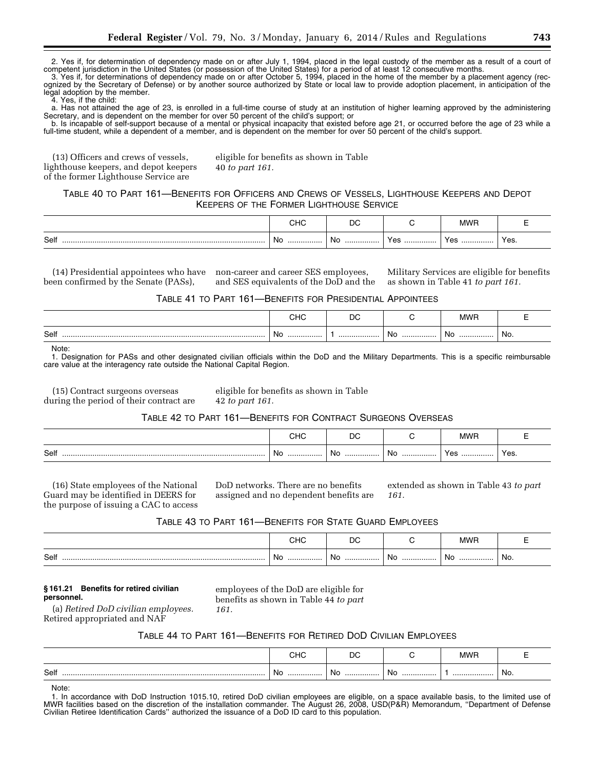2. Yes if, for determination of dependency made on or after July 1, 1994, placed in the legal custody of the member as a result of a court of competent jurisdiction in the United States (or possession of the United States) for a period of at least 12 consecutive months.

3. Yes if, for determinations of dependency made on or after October 5, 1994, placed in the home of the member by a placement agency (recognized by the Secretary of Defense) or by another source authorized by State or local law to provide adoption placement, in anticipation of the legal adoption by the member.

4. Yes, if the child:

a. Has not attained the age of 23, is enrolled in a full-time course of study at an institution of higher learning approved by the administering Secretary, and is dependent on the member for over 50 percent of the child's support; or

b. Is incapable of self-support because of a mental or physical incapacity that existed before age 21, or occurred before the age of 23 while a full-time student, while a dependent of a member, and is dependent on the member for over 50 percent of the child's support.

(13) Officers and crews of vessels, lighthouse keepers, and depot keepers of the former Lighthouse Service are

eligible for benefits as shown in Table 40 *to part 161.* 

#### TABLE 40 TO PART 161—BENEFITS FOR OFFICERS AND CREWS OF VESSELS, LIGHTHOUSE KEEPERS AND DEPOT KEEPERS OF THE FORMER LIGHTHOUSE SERVICE

|      | הו ור<br>∪⊓∪ | DC      |     | $A$ $I$        |      |
|------|--------------|---------|-----|----------------|------|
| Self | - No<br>.    | Νo<br>. | Yes | $V$ $\alpha$ c | Yes. |

been confirmed by the Senate (PASs),

(14) Presidential appointees who have non-career and career SES employees, and SES equivalents of the DoD and the Military Services are eligible for benefits as shown in Table 41 *to part 161.* 

#### TABLE 41 TO PART 161—BENEFITS FOR PRESIDENTIAL APPOINTEES

|      | $\sim$ $\sim$<br>◡⊓◡ | ◡<br>$\sim$ |          | <b>MWF</b> |     |
|------|----------------------|-------------|----------|------------|-----|
| Self | ∵ No<br>.            | .           | .No<br>. | No<br>.    | No. |

Note:

1. Designation for PASs and other designated civilian officials within the DoD and the Military Departments. This is a specific reimbursable care value at the interagency rate outside the National Capital Region.

(15) Contract surgeons overseas during the period of their contract are eligible for benefits as shown in Table 42 *to part 161.* 

#### TABLE 42 TO PART 161—BENEFITS FOR CONTRACT SURGEONS OVERSEAS

|           | הו וה<br>∪⊓∪ | DC      |                | <b>MWF</b> |      |
|-----------|--------------|---------|----------------|------------|------|
| Self<br>. | No<br>.      | No<br>. | <b>Nc</b><br>. | Yes<br>.   | Yes. |

(16) State employees of the National Guard may be identified in DEERS for the purpose of issuing a CAC to access DoD networks. There are no benefits assigned and no dependent benefits are extended as shown in Table 43 *to part 161.* 

#### TABLE 43 TO PART 161—BENEFITS FOR STATE GUARD EMPLOYEES

|          | <b>PIIA</b> | ◡        |         |         |                 |
|----------|-------------|----------|---------|---------|-----------------|
| Self<br> | - No<br>.   | No.<br>. | No<br>. | No<br>. | $^{\prime}$ No. |

#### **§ 161.21 Benefits for retired civilian personnel.**

employees of the DoD are eligible for benefits as shown in Table 44 *to part 161.* 

(a) *Retired DoD civilian employees.*  Retired appropriated and NAF

TABLE 44 TO PART 161—BENEFITS FOR RETIRED DOD CIVILIAN EMPLOYEES

|          | $\sim$              | $\sim$        |                       |         |
|----------|---------------------|---------------|-----------------------|---------|
| Self<br> | Nc.<br>. <b>.</b> . | <b>NC</b><br> | Nκ<br>.<br><br>$\sim$ | <br>No. |

Note:

<sup>1.</sup> In accordance with DoD Instruction 1015.10, retired DoD civilian employees are eligible, on a space available basis, to the limited use of MWR facilities based on the discretion of the installation commander. The August 26, 2008, USD(P&R) Memorandum, ''Department of Defense Civilian Retiree Identification Cards'' authorized the issuance of a DoD ID card to this population.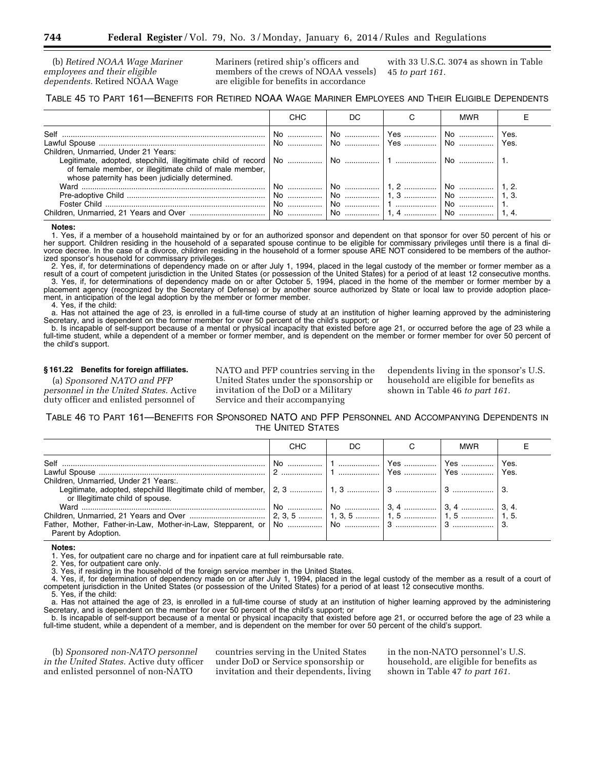(b) *Retired NOAA Wage Mariner employees and their eligible dependents.* Retired NOAA Wage

Mariners (retired ship's officers and members of the crews of NOAA vessels) are eligible for benefits in accordance

with 33 U.S.C. 3074 as shown in Table 45 *to part 161.* 

#### TABLE 45 TO PART 161—BENEFITS FOR RETIRED NOAA WAGE MARINER EMPLOYEES AND THEIR ELIGIBLE DEPENDENTS

|                                                                                                                                                                                                                                      | СНС               | DC                             |           | <b>MWR</b>             |              |
|--------------------------------------------------------------------------------------------------------------------------------------------------------------------------------------------------------------------------------------|-------------------|--------------------------------|-----------|------------------------|--------------|
| Self.                                                                                                                                                                                                                                | No<br>No          | No   <br>No                    | Yes    No |                        | Yes.<br>Yes. |
| Children, Unmarried, Under 21 Years:<br>of female member, or illegitimate child of male member,<br>whose paternity has been judicially determined.                                                                                   |                   |                                |           | No                     |              |
| Ward <u>with the community of the community of the community of the community of the community of the community of the community of the community of the community of the community of the community of the community of the com</u> | No  I<br>No<br>No | │ No   │ 1. 2   │ No   │ 1. 2. |           | .   No     1, 3.<br>No |              |

**Notes:** 

1. Yes, if a member of a household maintained by or for an authorized sponsor and dependent on that sponsor for over 50 percent of his or her support. Children residing in the household of a separated spouse continue to be eligible for commissary privileges until there is a final divorce decree. In the case of a divorce, children residing in the household of a former spouse ARE NOT considered to be members of the authorized sponsor's household for commissary privileges.

2. Yes, if, for determinations of dependency made on or after July 1, 1994, placed in the legal custody of the member or former member as a result of a court of competent jurisdiction in the United States (or possession of the United States) for a period of at least 12 consecutive months. 3. Yes, if, for determinations of dependency made on or after October 5, 1994, placed in the home of the member or former member by a placement agency (recognized by the Secretary of Defense) or by another source authorized by State or local law to provide adoption placement, in anticipation of the legal adoption by the member or former member.

4. Yes, if the child:

a. Has not attained the age of 23, is enrolled in a full-time course of study at an institution of higher learning approved by the administering Secretary, and is dependent on the former member for over 50 percent of the child's support; or

b. Is incapable of self-support because of a mental or physical incapacity that existed before age 21, or occurred before the age of 23 while a full-time student, while a dependent of a member or former member, and is dependent on the member or former member for over 50 percent of the child's support.

#### **§ 161.22 Benefits for foreign affiliates.**

(a) *Sponsored NATO and PFP personnel in the United States.* Active duty officer and enlisted personnel of

NATO and PFP countries serving in the United States under the sponsorship or invitation of the DoD or a Military Service and their accompanying

dependents living in the sponsor's U.S. household are eligible for benefits as shown in Table 46 *to part 161.* 

TABLE 46 TO PART 161—BENEFITS FOR SPONSORED NATO AND PFP PERSONNEL AND ACCOMPANYING DEPENDENTS IN THE UNITED STATES

|                                                                           | <b>CHC</b> | DC. | <b>MWR</b> |       |
|---------------------------------------------------------------------------|------------|-----|------------|-------|
|                                                                           |            |     |            | ∣Yes. |
| Children, Unmarried, Under 21 Years:.<br>or Illegitimate child of spouse. |            |     |            |       |
|                                                                           |            |     |            |       |
| Parent by Adoption.                                                       |            |     |            |       |

**Notes:** 

1. Yes, for outpatient care no charge and for inpatient care at full reimbursable rate.

2. Yes, for outpatient care only.

3. Yes, if residing in the household of the foreign service member in the United States.

4. Yes, if, for determination of dependency made on or after July 1, 1994, placed in the legal custody of the member as a result of a court of competent jurisdiction in the United States (or possession of the United States) for a period of at least 12 consecutive months.

5. Yes, if the child: a. Has not attained the age of 23, is enrolled in a full-time course of study at an institution of higher learning approved by the administering Secretary, and is dependent on the member for over 50 percent of the child's support; or

b. Is incapable of self-support because of a mental or physical incapacity that existed before age 21, or occurred before the age of 23 while a full-time student, while a dependent of a member, and is dependent on the member for over 50 percent of the child's support.

(b) *Sponsored non-NATO personnel in the United States.* Active duty officer and enlisted personnel of non-NATO

countries serving in the United States under DoD or Service sponsorship or invitation and their dependents, living in the non-NATO personnel's U.S. household, are eligible for benefits as shown in Table 47 *to part 161.*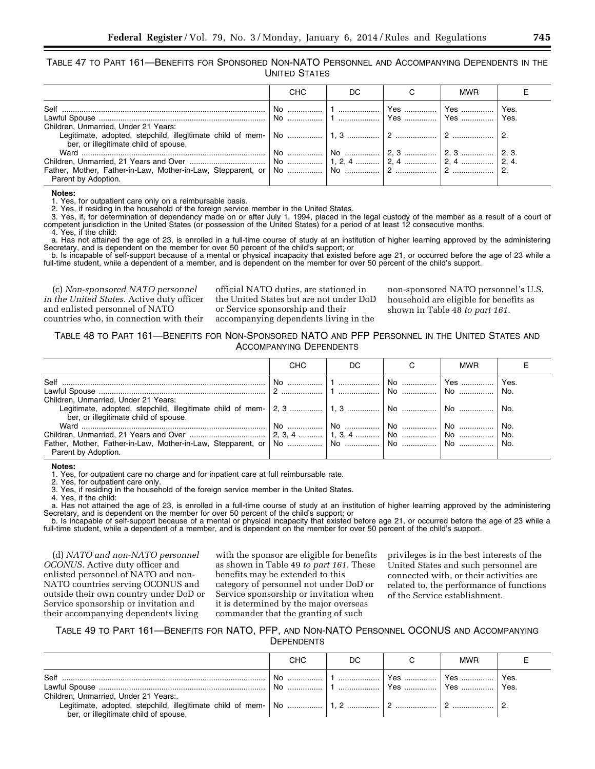TABLE 47 TO PART 161—BENEFITS FOR SPONSORED NON-NATO PERSONNEL AND ACCOMPANYING DEPENDENTS IN THE UNITED STATES

|                                       | CHC | DC. | <b>MWR</b> |  |
|---------------------------------------|-----|-----|------------|--|
|                                       |     |     |            |  |
|                                       |     |     |            |  |
| Children, Unmarried, Under 21 Years:  |     |     |            |  |
|                                       |     |     |            |  |
| ber, or illegitimate child of spouse. |     |     |            |  |
|                                       |     |     |            |  |
|                                       |     |     |            |  |
| Parent by Adoption.                   |     |     |            |  |

**Notes:** 

1. Yes, for outpatient care only on a reimbursable basis.

2. Yes, if residing in the household of the foreign service member in the United States.

3. Yes, if, for determination of dependency made on or after July 1, 1994, placed in the legal custody of the member as a result of a court of competent jurisdiction in the United States (or possession of the United States) for a period of at least 12 consecutive months.

4. Yes, if the child: a. Has not attained the age of 23, is enrolled in a full-time course of study at an institution of higher learning approved by the administering Secretary, and is dependent on the member for over 50 percent of the child's support; or

b. Is incapable of self-support because of a mental or physical incapacity that existed before age 21, or occurred before the age of 23 while a full-time student, while a dependent of a member, and is dependent on the member for over 50 percent of the child's support.

(c) *Non-sponsored NATO personnel in the United States.* Active duty officer and enlisted personnel of NATO countries who, in connection with their

official NATO duties, are stationed in the United States but are not under DoD or Service sponsorship and their accompanying dependents living in the

non-sponsored NATO personnel's U.S. household are eligible for benefits as shown in Table 48 *to part 161.* 

TABLE 48 TO PART 161—BENEFITS FOR NON-SPONSORED NATO AND PFP PERSONNEL IN THE UNITED STATES AND ACCOMPANYING DEPENDENTS

|                                       | CHC | DC. | MWR |     |
|---------------------------------------|-----|-----|-----|-----|
|                                       |     |     |     |     |
|                                       |     |     |     | No. |
| Children, Unmarried, Under 21 Years:  |     |     |     |     |
| ber, or illegitimate child of spouse. |     |     |     |     |
|                                       |     |     |     |     |
|                                       |     |     |     |     |
| Parent by Adoption.                   |     |     |     |     |

**Notes:** 

1. Yes, for outpatient care no charge and for inpatient care at full reimbursable rate.

2. Yes, for outpatient care only.

Yes, if residing in the household of the foreign service member in the United States. 3. Yes, if residing in 4. Yes, if the child:

a. Has not attained the age of 23, is enrolled in a full-time course of study at an institution of higher learning approved by the administering Secretary, and is dependent on the member for over 50 percent of the child's support; or<br>b. Is incapable of self-support because of a mental or physical incapacity that existed before age 21, or occurred before the age of

full-time student, while a dependent of a member, and is dependent on the member for over 50 percent of the child's support.

(d) *NATO and non-NATO personnel OCONUS.* Active duty officer and enlisted personnel of NATO and non-NATO countries serving OCONUS and outside their own country under DoD or Service sponsorship or invitation and their accompanying dependents living

with the sponsor are eligible for benefits as shown in Table 49 *to part 161.* These benefits may be extended to this category of personnel not under DoD or Service sponsorship or invitation when it is determined by the major overseas commander that the granting of such

privileges is in the best interests of the United States and such personnel are connected with, or their activities are related to, the performance of functions of the Service establishment.

#### TABLE 49 TO PART 161—BENEFITS FOR NATO, PFP, AND NON-NATO PERSONNEL OCONUS AND ACCOMPANYING **DEPENDENTS**

|                                       | CHC | DC. |         | <b>MWR</b>         |      |
|---------------------------------------|-----|-----|---------|--------------------|------|
| Self                                  | No. |     | . 1 Yes |                    | Yes. |
|                                       |     |     |         | Yes    Yes    Yes. |      |
| Children, Unmarried, Under 21 Years:. |     |     |         |                    |      |
| ber, or illegitimate child of spouse. |     |     |         |                    |      |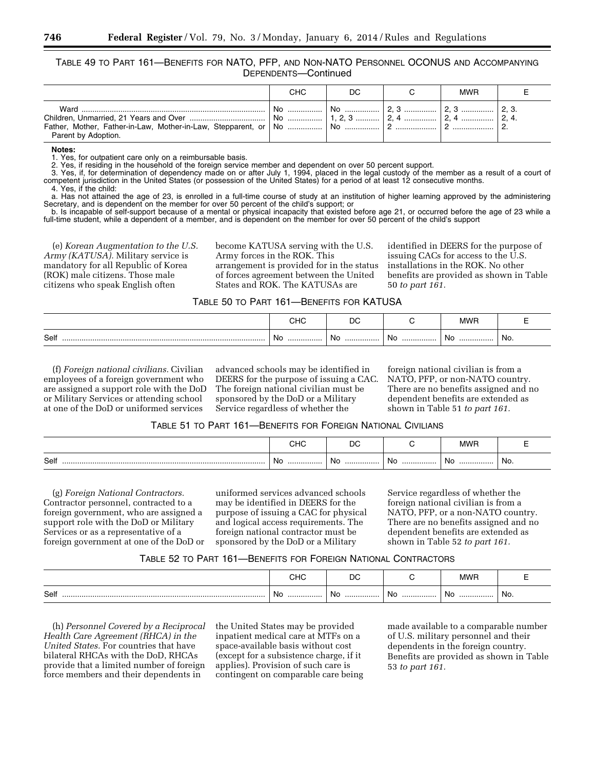TABLE 49 TO PART 161—BENEFITS FOR NATO, PFP, AND NON-NATO PERSONNEL OCONUS AND ACCOMPANYING DEPENDENTS—Continued

|                             | снс | DC | <b>MWR</b> |  |
|-----------------------------|-----|----|------------|--|
| Ward<br>Parent by Adoption. |     |    |            |  |

**Notes:** 

1. Yes, for outpatient care only on a reimbursable basis.

2. Yes, if residing in the household of the foreign service member and dependent on over 50 percent support.

3. Yes, if, for determination of dependency made on or after July 1, 1994, placed in the legal custody of the member as a result of a court of competent jurisdiction in the United States (or possession of the United States) for a period of at least 12 consecutive months.

4. Yes, if the child:

a. Has not attained the age of 23, is enrolled in a full-time course of study at an institution of higher learning approved by the administering Secretary, and is dependent on the member for over 50 percent of the child's support; or

b. Is incapable of self-support because of a mental or physical incapacity that existed before age 21, or occurred before the age of 23 while a full-time student, while a dependent of a member, and is dependent on the member for over 50 percent of the child's support

(e) *Korean Augmentation to the U.S. Army (KATUSA).* Military service is mandatory for all Republic of Korea (ROK) male citizens. Those male citizens who speak English often

become KATUSA serving with the U.S. Army forces in the ROK. This arrangement is provided for in the status of forces agreement between the United States and ROK. The KATUSAs are

identified in DEERS for the purpose of issuing CACs for access to the U.S. installations in the ROK. No other benefits are provided as shown in Table 50 *to part 161.* 

#### TABLE 50 TO PART 161—BENEFITS FOR KATUSA

|      | $\sim$ 10<br>טו וש<br>$ -$ | ◡<br>$\sim$ |      | <b>MWF</b> |     |
|------|----------------------------|-------------|------|------------|-----|
| Self | No                         | No.         | . No | . No       | No. |
|      |                            |             | .    | .          |     |

(f) *Foreign national civilians.* Civilian employees of a foreign government who are assigned a support role with the DoD or Military Services or attending school at one of the DoD or uniformed services

advanced schools may be identified in DEERS for the purpose of issuing a CAC. The foreign national civilian must be sponsored by the DoD or a Military Service regardless of whether the

foreign national civilian is from a NATO, PFP, or non-NATO country. There are no benefits assigned and no dependent benefits are extended as shown in Table 51 *to part 161.* 

#### TABLE 51 TO PART 161—BENEFITS FOR FOREIGN NATIONAL CIVILIANS

|      | снс | DC  |      | <b>MWP</b> |     |
|------|-----|-----|------|------------|-----|
| Self | No  | No. | . No | No         | No. |
|      | .   | .   | .    | .          |     |

(g) *Foreign National Contractors.*  Contractor personnel, contracted to a foreign government, who are assigned a support role with the DoD or Military Services or as a representative of a foreign government at one of the DoD or

uniformed services advanced schools may be identified in DEERS for the purpose of issuing a CAC for physical and logical access requirements. The foreign national contractor must be sponsored by the DoD or a Military

Service regardless of whether the foreign national civilian is from a NATO, PFP, or a non-NATO country. There are no benefits assigned and no dependent benefits are extended as shown in Table 52 *to part 161.* 

#### TABLE 52 TO PART 161—BENEFITS FOR FOREIGN NATIONAL CONTRACTORS

|      | ۱۱ اب | ◡   |      | <b>MWF</b> |     |
|------|-------|-----|------|------------|-----|
| Self | ∵ No  | NO. | . No | No         | No. |
|      | .     | .   | .    | .          |     |

(h) *Personnel Covered by a Reciprocal Health Care Agreement (RHCA) in the United States.* For countries that have bilateral RHCAs with the DoD, RHCAs provide that a limited number of foreign force members and their dependents in

the United States may be provided inpatient medical care at MTFs on a space-available basis without cost (except for a subsistence charge, if it applies). Provision of such care is contingent on comparable care being made available to a comparable number of U.S. military personnel and their dependents in the foreign country. Benefits are provided as shown in Table 53 *to part 161.*